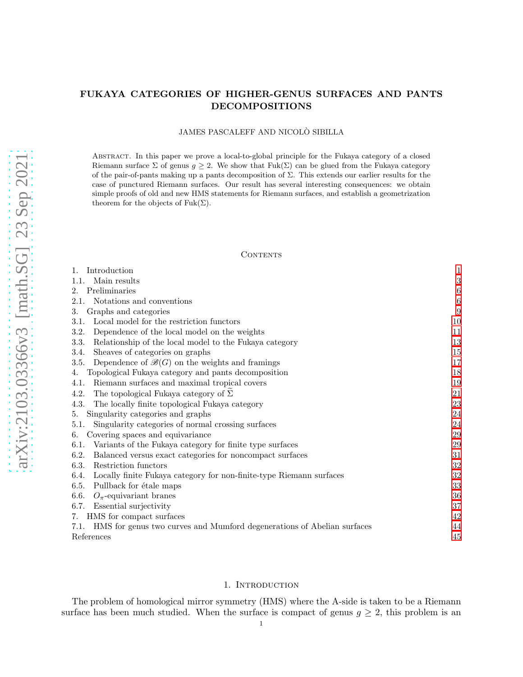# FUKAYA CATEGORIES OF HIGHER-GENUS SURFACES AND PANTS DECOMPOSITIONS

# JAMES PASCALEFF AND NICOLÒ SIBILLA

Abstract. In this paper we prove a local-to-global principle for the Fukaya category of a closed Riemann surface  $\Sigma$  of genus  $g \geq 2$ . We show that Fuk( $\Sigma$ ) can be glued from the Fukaya category of the pair-of-pants making up a pants decomposition of  $\Sigma$ . This extends our earlier results for the case of punctured Riemann surfaces. Our result has several interesting consequences: we obtain simple proofs of old and new HMS statements for Riemann surfaces, and establish a geometrization theorem for the objects of  $Fuk(\Sigma)$ .

#### **CONTENTS**

| Introduction                                                                   | $\mathbf{1}$     |
|--------------------------------------------------------------------------------|------------------|
| Main results<br>1.1.                                                           | 3                |
| Preliminaries<br>2.                                                            | $\boldsymbol{6}$ |
| Notations and conventions<br>2.1.                                              | $\boldsymbol{6}$ |
| Graphs and categories<br>3.                                                    | 9                |
| Local model for the restriction functors<br>3.1.                               | 10               |
| 3.2.<br>Dependence of the local model on the weights                           | 11               |
| 3.3.<br>Relationship of the local model to the Fukaya category                 | 13               |
| Sheaves of categories on graphs<br>3.4.                                        | 15               |
| Dependence of $\mathcal{B}(G)$ on the weights and framings<br>3.5.             | 17               |
| Topological Fukaya category and pants decomposition<br>4.                      | 18               |
| Riemann surfaces and maximal tropical covers<br>4.1.                           | 19               |
| The topological Fukaya category of $\Sigma$<br>4.2.                            | 21               |
| The locally finite topological Fukaya category<br>4.3.                         | 23               |
| Singularity categories and graphs<br>5.                                        | 24               |
| Singularity categories of normal crossing surfaces<br>5.1.                     | 24               |
| Covering spaces and equivariance<br>6.                                         | 29               |
| 6.1.<br>Variants of the Fukaya category for finite type surfaces               | 29               |
| 6.2.<br>Balanced versus exact categories for noncompact surfaces               | 31               |
| 6.3.<br>Restriction functors                                                   | 32               |
| 6.4.<br>Locally finite Fukaya category for non-finite-type Riemann surfaces    | 32               |
| 6.5.<br>Pullback for étale maps                                                | 33               |
| 6.6.<br>$O_{\pi}$ -equivariant branes                                          | 36               |
| 6.7.<br>Essential surjectivity                                                 | 37               |
| HMS for compact surfaces<br>7.                                                 | 42               |
| HMS for genus two curves and Mumford degenerations of Abelian surfaces<br>7.1. | 44               |
| References                                                                     | 45               |

### 1. INTRODUCTION

<span id="page-0-0"></span>The problem of homological mirror symmetry (HMS) where the A-side is taken to be a Riemann surface has been much studied. When the surface is compact of genus  $g \geq 2$ , this problem is an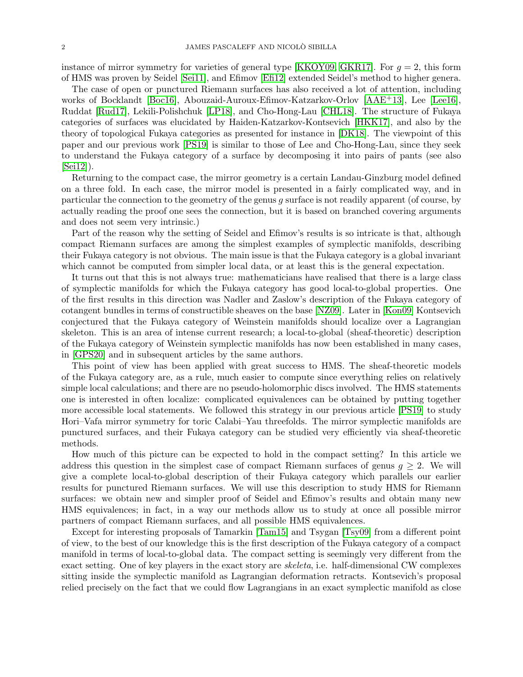instance of mirror symmetry for varieties of general type [\[KKOY09,](#page-44-1) [GKR17\]](#page-44-2). For  $q = 2$ , this form of HMS was proven by Seidel [\[Sei11\]](#page-45-0), and Efimov [\[Efi12\]](#page-44-3) extended Seidel's method to higher genera.

The case of open or punctured Riemann surfaces has also received a lot of attention, including works of Bocklandt [\[Boc16\]](#page-44-4), Abouzaid-Auroux-Efimov-Katzarkov-Orlov [\[AAE](#page-44-5)+13], Lee [\[Lee16\]](#page-44-6), Ruddat [\[Rud17\]](#page-44-7), Lekili-Polishchuk [\[LP18\]](#page-44-8), and Cho-Hong-Lau [\[CHL18\]](#page-44-9). The structure of Fukaya categories of surfaces was elucidated by Haiden-Katzarkov-Kontsevich [\[HKK17\]](#page-44-10), and also by the theory of topological Fukaya categories as presented for instance in [\[DK18\]](#page-44-11). The viewpoint of this paper and our previous work [\[PS19\]](#page-44-12) is similar to those of Lee and Cho-Hong-Lau, since they seek to understand the Fukaya category of a surface by decomposing it into pairs of pants (see also [\[Sei12\]](#page-45-1)).

Returning to the compact case, the mirror geometry is a certain Landau-Ginzburg model defined on a three fold. In each case, the mirror model is presented in a fairly complicated way, and in particular the connection to the geometry of the genus g surface is not readily apparent (of course, by actually reading the proof one sees the connection, but it is based on branched covering arguments and does not seem very intrinsic.)

Part of the reason why the setting of Seidel and Efimov's results is so intricate is that, although compact Riemann surfaces are among the simplest examples of symplectic manifolds, describing their Fukaya category is not obvious. The main issue is that the Fukaya category is a global invariant which cannot be computed from simpler local data, or at least this is the general expectation.

It turns out that this is not always true: mathematicians have realised that there is a large class of symplectic manifolds for which the Fukaya category has good local-to-global properties. One of the first results in this direction was Nadler and Zaslow's description of the Fukaya category of cotangent bundles in terms of constructible sheaves on the base [\[NZ09\]](#page-44-13). Later in [\[Kon09\]](#page-44-14) Kontsevich conjectured that the Fukaya category of Weinstein manifolds should localize over a Lagrangian skeleton. This is an area of intense current research; a local-to-global (sheaf-theoretic) description of the Fukaya category of Weinstein symplectic manifolds has now been established in many cases, in [\[GPS20\]](#page-44-15) and in subsequent articles by the same authors.

This point of view has been applied with great success to HMS. The sheaf-theoretic models of the Fukaya category are, as a rule, much easier to compute since everything relies on relatively simple local calculations; and there are no pseudo-holomorphic discs involved. The HMS statements one is interested in often localize: complicated equivalences can be obtained by putting together more accessible local statements. We followed this strategy in our previous article [\[PS19\]](#page-44-12) to study Hori–Vafa mirror symmetry for toric Calabi–Yau threefolds. The mirror symplectic manifolds are punctured surfaces, and their Fukaya category can be studied very efficiently via sheaf-theoretic methods.

How much of this picture can be expected to hold in the compact setting? In this article we address this question in the simplest case of compact Riemann surfaces of genus  $g \geq 2$ . We will give a complete local-to-global description of their Fukaya category which parallels our earlier results for punctured Riemann surfaces. We will use this description to study HMS for Riemann surfaces: we obtain new and simpler proof of Seidel and Efimov's results and obtain many new HMS equivalences; in fact, in a way our methods allow us to study at once all possible mirror partners of compact Riemann surfaces, and all possible HMS equivalences.

Except for interesting proposals of Tamarkin [\[Tam15\]](#page-45-2) and Tsygan [\[Tsy09\]](#page-45-3) from a different point of view, to the best of our knowledge this is the first description of the Fukaya category of a compact manifold in terms of local-to-global data. The compact setting is seemingly very different from the exact setting. One of key players in the exact story are skeleta, i.e. half-dimensional CW complexes sitting inside the symplectic manifold as Lagrangian deformation retracts. Kontsevich's proposal relied precisely on the fact that we could flow Lagrangians in an exact symplectic manifold as close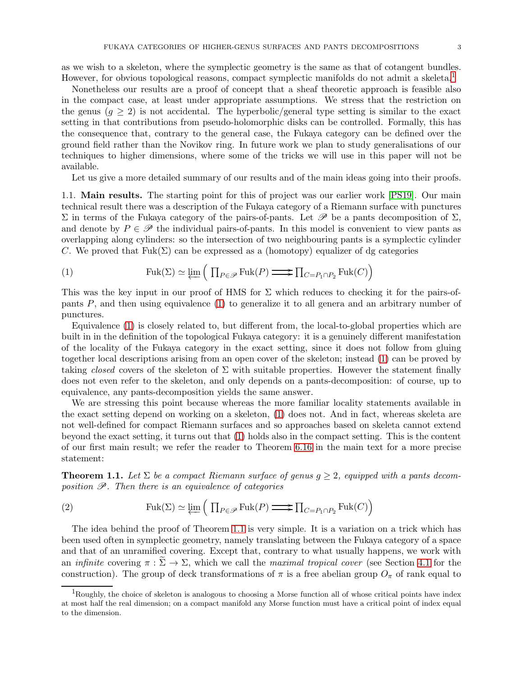as we wish to a skeleton, where the symplectic geometry is the same as that of cotangent bundles. However, for obvious topological reasons, compact symplectic manifolds do not admit a skeleta.<sup>[1](#page-2-1)</sup>

Nonetheless our results are a proof of concept that a sheaf theoretic approach is feasible also in the compact case, at least under appropriate assumptions. We stress that the restriction on the genus  $(q \geq 2)$  is not accidental. The hyperbolic/general type setting is similar to the exact setting in that contributions from pseudo-holomorphic disks can be controlled. Formally, this has the consequence that, contrary to the general case, the Fukaya category can be defined over the ground field rather than the Novikov ring. In future work we plan to study generalisations of our techniques to higher dimensions, where some of the tricks we will use in this paper will not be available.

<span id="page-2-0"></span>Let us give a more detailed summary of our results and of the main ideas going into their proofs.

1.1. Main results. The starting point for this of project was our earlier work [\[PS19\]](#page-44-12). Our main technical result there was a description of the Fukaya category of a Riemann surface with punctures  $\Sigma$  in terms of the Fukaya category of the pairs-of-pants. Let  $\mathscr P$  be a pants decomposition of  $\Sigma$ , and denote by  $P \in \mathscr{P}$  the individual pairs-of-pants. In this model is convenient to view pants as overlapping along cylinders: so the intersection of two neighbouring pants is a symplectic cylinder C. We proved that  $Fuk(\Sigma)$  can be expressed as a (homotopy) equalizer of dg categories

<span id="page-2-2"></span>(1) 
$$
\operatorname{Fuk}(\Sigma) \simeq \varprojlim \left( \prod_{P \in \mathscr{P}} \operatorname{Fuk}(P) \longrightarrow \prod_{C = P_1 \cap P_2} \operatorname{Fuk}(C) \right)
$$

This was the key input in our proof of HMS for  $\Sigma$  which reduces to checking it for the pairs-ofpants  $P$ , and then using equivalence [\(1\)](#page-2-2) to generalize it to all genera and an arbitrary number of punctures.

Equivalence [\(1\)](#page-2-2) is closely related to, but different from, the local-to-global properties which are built in in the definition of the topological Fukaya category: it is a genuinely different manifestation of the locality of the Fukaya category in the exact setting, since it does not follow from gluing together local descriptions arising from an open cover of the skeleton; instead [\(1\)](#page-2-2) can be proved by taking closed covers of the skeleton of  $\Sigma$  with suitable properties. However the statement finally does not even refer to the skeleton, and only depends on a pants-decomposition: of course, up to equivalence, any pants-decomposition yields the same answer.

We are stressing this point because whereas the more familiar locality statements available in the exact setting depend on working on a skeleton, [\(1\)](#page-2-2) does not. And in fact, whereas skeleta are not well-defined for compact Riemann surfaces and so approaches based on skeleta cannot extend beyond the exact setting, it turns out that [\(1\)](#page-2-2) holds also in the compact setting. This is the content of our first main result; we refer the reader to Theorem [6.16](#page-39-0) in the main text for a more precise statement:

<span id="page-2-3"></span>**Theorem 1.1.** Let  $\Sigma$  be a compact Riemann surface of genus  $g \geq 2$ , equipped with a pants decomposition  $\mathscr P$ . Then there is an equivalence of categories

(2) 
$$
\operatorname{Fuk}(\Sigma) \simeq \varprojlim \left( \prod_{P \in \mathscr{P}} \operatorname{Fuk}(P) \longrightarrow \prod_{C = P_1 \cap P_2} \operatorname{Fuk}(C) \right)
$$

The idea behind the proof of Theorem [1.1](#page-2-3) is very simple. It is a variation on a trick which has been used often in symplectic geometry, namely translating between the Fukaya category of a space and that of an unramified covering. Except that, contrary to what usually happens, we work with an *infinite* covering  $\pi : \Sigma \to \Sigma$ , which we call the *maximal tropical cover* (see Section [4.1](#page-18-0) for the construction). The group of deck transformations of  $\pi$  is a free abelian group  $O_{\pi}$  of rank equal to

<span id="page-2-1"></span><sup>&</sup>lt;sup>1</sup>Roughly, the choice of skeleton is analogous to choosing a Morse function all of whose critical points have index at most half the real dimension; on a compact manifold any Morse function must have a critical point of index equal to the dimension.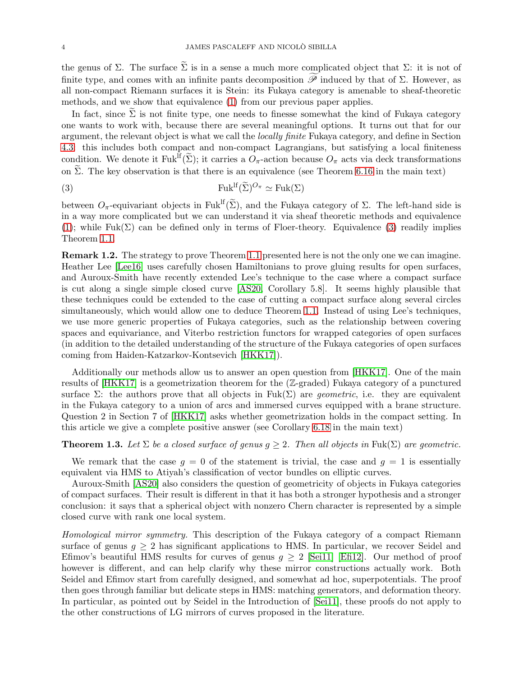the genus of  $\Sigma$ . The surface  $\widetilde{\Sigma}$  is in a sense a much more complicated object that  $\Sigma$ : it is not of finite type, and comes with an infinite pants decomposition  $\widetilde{\mathscr{P}}$  induced by that of  $\Sigma$ . However, as all non-compact Riemann surfaces it is Stein: its Fukaya category is amenable to sheaf-theoretic methods, and we show that equivalence [\(1\)](#page-2-2) from our previous paper applies.

In fact, since  $\Sigma$  is not finite type, one needs to finesse somewhat the kind of Fu kaya category one wants to work with, because there are several meaningful options. It turns out that for our argument, the relevant object is what we call the locally finite Fukaya category, and define in Section [4.3:](#page-22-0) this includes both compact and non-compact Lagrangians, but satisfying a local finiteness condition. We denote it Fuk<sup>If</sup>( $\widetilde{\Sigma}$ ); it carries a  $O_{\pi}$ -action because  $O_{\pi}$  acts via deck transformations on  $\tilde{\Sigma}$ . The key observation is that there is an equivalence (see Theorem [6.16](#page-39-0) in the main text)

<span id="page-3-0"></span>(3) 
$$
\mathrm{Fuk}^{\mathrm{lf}}(\widetilde{\Sigma})^{O_{\pi}} \simeq \mathrm{Fuk}(\Sigma)
$$

between  $O_{\pi}$ -equivariant objects in Fuk<sup>If</sup>( $\widetilde{\Sigma}$ ), and the Fukaya category of  $\Sigma$ . The left-hand side is in a way more complicated but we can understand it via sheaf theoretic methods and equivalence [\(1\)](#page-2-2); while Fuk( $\Sigma$ ) can be defined only in terms of Floer-theory. Equivalence [\(3\)](#page-3-0) readily implies Theorem [1.1.](#page-2-3)

Remark 1.2. The strategy to prove Theorem [1.1](#page-2-3) presented here is not the only one we can imagine. Heather Lee [\[Lee16\]](#page-44-6) uses carefully chosen Hamiltonians to prove gluing results for open surfaces, and Auroux-Smith have recently extended Lee's technique to the case where a compact surface is cut along a single simple closed curve [\[AS20,](#page-44-16) Corollary 5.8]. It seems highly plausible that these techniques could be extended to the case of cutting a compact surface along several circles simultaneously, which would allow one to deduce Theorem [1.1.](#page-2-3) Instead of using Lee's techniques, we use more generic properties of Fukaya categories, such as the relationship between covering spaces and equivariance, and Viterbo restriction functors for wrapped categories of open surfaces (in addition to the detailed understanding of the structure of the Fukaya categories of open surfaces coming from Haiden-Katzarkov-Kontsevich [\[HKK17\]](#page-44-10)).

Additionally our methods allow us to answer an open question from [\[HKK17\]](#page-44-10). One of the main results of [\[HKK17\]](#page-44-10) is a geometrization theorem for the (Z-graded) Fukaya category of a punctured surface  $\Sigma$ : the authors prove that all objects in Fuk( $\Sigma$ ) are *geometric*, i.e. they are equivalent in the Fukaya category to a union of arcs and immersed curves equipped with a brane structure. Question 2 in Section 7 of [\[HKK17\]](#page-44-10) asks whether geometrization holds in the compact setting. In this article we give a complete positive answer (see Corollary [6.18](#page-41-1) in the main text)

**Theorem 1.3.** Let  $\Sigma$  be a closed surface of genus  $g \geq 2$ . Then all objects in Fuk( $\Sigma$ ) are geometric.

We remark that the case  $g = 0$  of the statement is trivial, the case and  $g = 1$  is essentially equivalent via HMS to Atiyah's classification of vector bundles on elliptic curves.

Auroux-Smith [\[AS20\]](#page-44-16) also considers the question of geometricity of objects in Fukaya categories of compact surfaces. Their result is different in that it has both a stronger hypothesis and a stronger conclusion: it says that a spherical object with nonzero Chern character is represented by a simple closed curve with rank one local system.

Homological mirror symmetry. This description of the Fukaya category of a compact Riemann surface of genus  $q \geq 2$  has significant applications to HMS. In particular, we recover Seidel and Efimov's beautiful HMS results for curves of genus  $g \geq 2$  [\[Sei11\]](#page-45-0) [\[Efi12\]](#page-44-3). Our method of proof however is different, and can help clarify why these mirror constructions actually work. Both Seidel and Efimov start from carefully designed, and somewhat ad hoc, superpotentials. The proof then goes through familiar but delicate steps in HMS: matching generators, and deformation theory. In particular, as pointed out by Seidel in the Introduction of [\[Sei11\]](#page-45-0), these proofs do not apply to the other constructions of LG mirrors of curves proposed in the literature.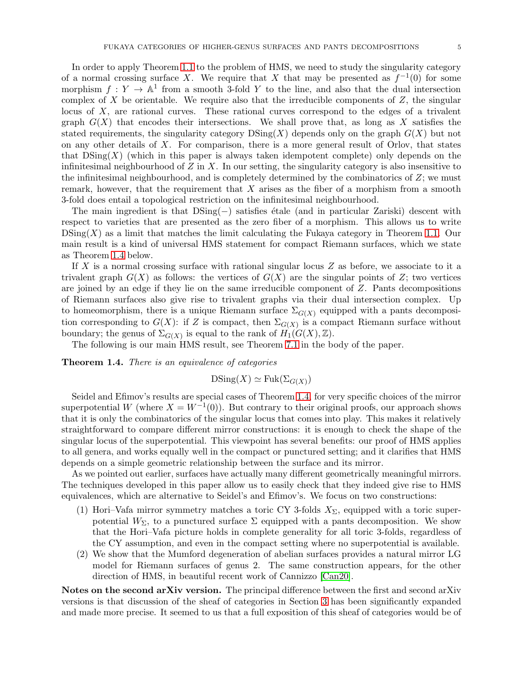In order to apply Theorem [1.1](#page-2-3) to the problem of HMS, we need to study the singularity category of a normal crossing surface X. We require that X that may be presented as  $f^{-1}(0)$  for some morphism  $f: Y \to \mathbb{A}^1$  from a smooth 3-fold Y to the line, and also that the dual intersection complex of X be orientable. We require also that the irreducible components of  $Z$ , the singular locus of X, are rational curves. These rational curves correspond to the edges of a trivalent graph  $G(X)$  that encodes their intersections. We shall prove that, as long as X satisfies the stated requirements, the singularity category  $\text{DSing}(X)$  depends only on the graph  $G(X)$  but not on any other details of  $X$ . For comparison, there is a more general result of Orlov, that states that  $DSing(X)$  (which in this paper is always taken idempotent complete) only depends on the infinitesimal neighbourhood of  $Z$  in  $X$ . In our setting, the singularity category is also insensitive to the infinitesimal neighbourhood, and is completely determined by the combinatorics of  $Z$ ; we must remark, however, that the requirement that  $X$  arises as the fiber of a morphism from a smooth 3-fold does entail a topological restriction on the infinitesimal neighbourhood.

The main ingredient is that DSing(−) satisfies étale (and in particular Zariski) descent with respect to varieties that are presented as the zero fiber of a morphism. This allows us to write  $\text{DSing}(X)$  as a limit that matches the limit calculating the Fukaya category in Theorem [1.1.](#page-2-3) Our main result is a kind of universal HMS statement for compact Riemann surfaces, which we state as Theorem [1.4](#page-4-0) below.

If X is a normal crossing surface with rational singular locus  $Z$  as before, we associate to it a trivalent graph  $G(X)$  as follows: the vertices of  $G(X)$  are the singular points of Z; two vertices are joined by an edge if they lie on the same irreducible component of Z. Pants decompositions of Riemann surfaces also give rise to trivalent graphs via their dual intersection complex. Up to homeomorphism, there is a unique Riemann surface  $\Sigma_{G(X)}$  equipped with a pants decomposition corresponding to  $G(X)$ : if Z is compact, then  $\Sigma_{G(X)}$  is a compact Riemann surface without boundary; the genus of  $\Sigma_{G(X)}$  is equal to the rank of  $H_1(G(X),\mathbb{Z})$ .

The following is our main HMS result, see Theorem [7.1](#page-42-0) in the body of the paper.

<span id="page-4-0"></span>**Theorem 1.4.** There is an equivalence of categories

$$
\mathrm{DSing}(X) \simeq \mathrm{Fuk}(\Sigma_{G(X)})
$$

Seidel and Efimov's results are special cases of Theorem [1.4,](#page-4-0) for very specific choices of the mirror superpotential W (where  $X = W^{-1}(0)$ ). But contrary to their original proofs, our approach shows that it is only the combinatorics of the singular locus that comes into play. This makes it relatively straightforward to compare different mirror constructions: it is enough to check the shape of the singular locus of the superpotential. This viewpoint has several benefits: our proof of HMS applies to all genera, and works equally well in the compact or punctured setting; and it clarifies that HMS depends on a simple geometric relationship between the surface and its mirror.

As we pointed out earlier, surfaces have actually many different geometrically meaningful mirrors. The techniques developed in this paper allow us to easily check that they indeed give rise to HMS equivalences, which are alternative to Seidel's and Efimov's. We focus on two constructions:

- (1) Hori–Vafa mirror symmetry matches a toric CY 3-folds  $X_{\Sigma}$ , equipped with a toric superpotential  $W_{\Sigma}$ , to a punctured surface  $\Sigma$  equipped with a pants decomposition. We show that the Hori–Vafa picture holds in complete generality for all toric 3-folds, regardless of the CY assumption, and even in the compact setting where no superpotential is available.
- (2) We show that the Mumford degeneration of abelian surfaces provides a natural mirror LG model for Riemann surfaces of genus 2. The same construction appears, for the other direction of HMS, in beautiful recent work of Cannizzo [\[Can20\]](#page-44-17).

Notes on the second arXiv version. The principal difference between the first and second arXiv versions is that discussion of the sheaf of categories in Section [3](#page-8-0) has been significantly expanded and made more precise. It seemed to us that a full exposition of this sheaf of categories would be of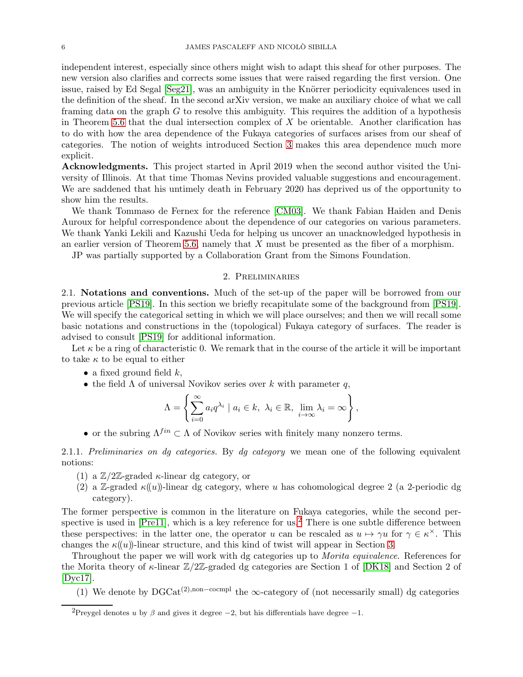independent interest, especially since others might wish to adapt this sheaf for other purposes. The new version also clarifies and corrects some issues that were raised regarding the first version. One issue, raised by Ed Segal [\[Seg21\]](#page-44-18), was an ambiguity in the Knörrer periodicity equivalences used in the definition of the sheaf. In the second arXiv version, we make an auxiliary choice of what we call framing data on the graph  $G$  to resolve this ambiguity. This requires the addition of a hypothesis in Theorem [5.6](#page-24-0) that the dual intersection complex of  $X$  be orientable. Another clarification has to do with how the area dependence of the Fukaya categories of surfaces arises from our sheaf of categories. The notion of weights introduced Section [3](#page-8-0) makes this area dependence much more explicit.

Acknowledgments. This project started in April 2019 when the second author visited the University of Illinois. At that time Thomas Nevins provided valuable suggestions and encouragement. We are saddened that his untimely death in February 2020 has deprived us of the opportunity to show him the results.

We thank Tommaso de Fernex for the reference [\[CM03\]](#page-44-19). We thank Fabian Haiden and Denis Auroux for helpful correspondence about the dependence of our categories on various parameters. We thank Yanki Lekili and Kazushi Ueda for helping us uncover an unacknowledged hypothesis in an earlier version of Theorem [5.6,](#page-24-0) namely that X must be presented as the fiber of a morphism.

<span id="page-5-0"></span>JP was partially supported by a Collaboration Grant from the Simons Foundation.

## 2. Preliminaries

<span id="page-5-1"></span>2.1. Notations and conventions. Much of the set-up of the paper will be borrowed from our previous article [\[PS19\]](#page-44-12). In this section we briefly recapitulate some of the background from [\[PS19\]](#page-44-12). We will specify the categorical setting in which we will place ourselves; and then we will recall some basic notations and constructions in the (topological) Fukaya category of surfaces. The reader is advised to consult [\[PS19\]](#page-44-12) for additional information.

Let  $\kappa$  be a ring of characteristic 0. We remark that in the course of the article it will be important to take  $\kappa$  to be equal to either

- a fixed ground field  $k$ ,
- the field  $\Lambda$  of universal Novikov series over k with parameter q,

$$
\Lambda = \left\{ \sum_{i=0}^{\infty} a_i q^{\lambda_i} \mid a_i \in k, \ \lambda_i \in \mathbb{R}, \ \lim_{i \to \infty} \lambda_i = \infty \right\},\
$$

• or the subring  $\Lambda^{fin} \subset \Lambda$  of Novikov series with finitely many nonzero terms.

2.1.1. Preliminaries on dg categories. By dg category we mean one of the following equivalent notions:

- (1) a  $\mathbb{Z}/2\mathbb{Z}$ -graded *κ*-linear dg category, or
- (2) a Z-graded  $\kappa(u)$ -linear dg category, where u has cohomological degree 2 (a 2-periodic dg category).

The former perspective is common in the literature on Fukaya categories, while the second perspective is used in  $[Pre11]$ , which is a key reference for us.<sup>[2](#page-5-2)</sup> There is one subtle difference between these perspectives: in the latter one, the operator u can be rescaled as  $u \mapsto \gamma u$  for  $\gamma \in \kappa^{\times}$ . This changes the  $\kappa(u)$ -linear structure, and this kind of twist will appear in Section [3.](#page-8-0)

Throughout the paper we will work with dg categories up to Morita equivalence. References for the Morita theory of  $\kappa$ -linear  $\mathbb{Z}/2\mathbb{Z}$ -graded dg categories are Section 1 of [\[DK18\]](#page-44-11) and Section 2 of [\[Dyc17\]](#page-44-21).

(1) We denote by  $DGCat^{(2),\text{non-compl}}$  the  $\infty$ -category of (not necessarily small) dg categories

<span id="page-5-2"></span><sup>&</sup>lt;sup>2</sup>Preygel denotes u by  $\beta$  and gives it degree  $-2$ , but his differentials have degree  $-1$ .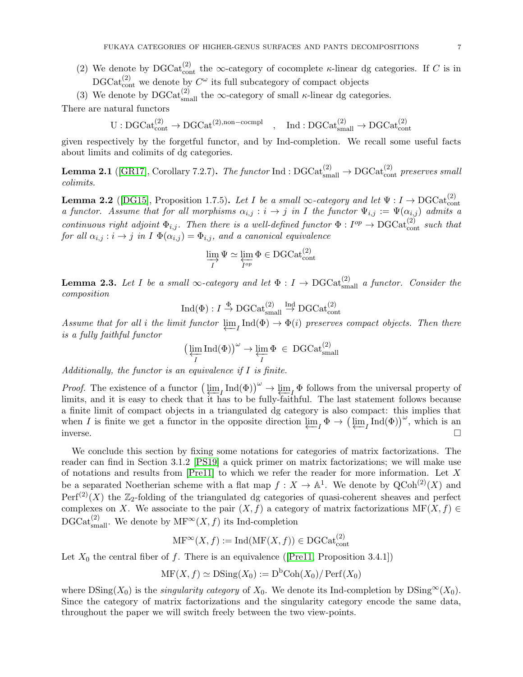- (2) We denote by DGCat<sub>cont</sub> the ∞-category of cocomplete  $\kappa$ -linear dg categories. If C is in  $\text{DGCat}_{\text{cont}}^{(2)}$  we denote by  $C^{\omega}$  its full subcategory of compact objects
- (3) We denote by  $\text{DGCat}_{\text{small}}^{(2)}$  the  $\infty$ -category of small  $\kappa$ -linear dg categories.

There are natural functors

 $U: DGCat_{cont}^{(2)} \rightarrow DGCat^{(2),non-coempl} \quad, \quad Ind: DGCat_{small}^{(2)} \rightarrow DGCat_{cont}^{(2)}$ 

given respectively by the forgetful functor, and by Ind-completion. We recall some useful facts about limits and colimits of dg categories.

**Lemma 2.1** ([\[GR17\]](#page-44-22), Corollary 7.2.7). The functor Ind :  $\text{DGCat}_{\text{small}}^{(2)} \to \text{DGCat}_{\text{cont}}^{(2)}$  preserves small colimits.

<span id="page-6-0"></span>**Lemma 2.2** ([\[DG15\]](#page-44-23), Proposition 1.7.5). Let I be a small  $\infty$ -category and let  $\Psi: I \to \text{DGCat}_{\text{cont}}^{(2)}$ a functor. Assume that for all morphisms  $\alpha_{i,j} : i \to j$  in I the functor  $\Psi_{i,j} := \Psi(\alpha_{i,j})$  admits a continuous right adjoint  $\Phi_{i,j}$ . Then there is a well-defined functor  $\Phi: I^{op} \to \text{DGCat}_{\text{cont}}^{(2)}$  such that for all  $\alpha_{i,j} : i \to j$  in  $I \Phi(\alpha_{i,j}) = \Phi_{i,j}$ , and a canonical equivalence

$$
\varinjlim_{I} \Psi \simeq \varprojlim_{I^{op}} \Phi \in \mathrm{DGCat}_{\mathrm{cont}}^{(2)}
$$

<span id="page-6-1"></span>**Lemma 2.3.** Let I be a small  $\infty$ -category and let  $\Phi: I \to \mathrm{DGCat}_{\text{small}}^{(2)}$  a functor. Consider the composition

$$
\operatorname{Ind}(\Phi) : I \stackrel{\Phi}{\to} \operatorname{DGCat}_{\operatorname{small}}^{(2)} \stackrel{\operatorname{Ind}}{\to} \operatorname{DGCat}_{\operatorname{cont}}^{(2)}
$$

Assume that for all *i* the limit functor  $\varprojlim_I \text{Ind}(\Phi) \to \Phi(i)$  preserves compact objects. Then there is a fully faithful functor is a fully faithful functor

$$
\big(\varprojlim_{I} \mathrm{Ind}(\Phi)\big)^{\omega} \to \varprojlim_{I} \Phi \in \mathrm{DGCat}_{\mathrm{small}}^{(2)}
$$

Additionally, the functor is an equivalence if I is finite.

*Proof.* The existence of a functor  $\left(\frac{\text{im}}{n}I_{\text{ind}}(\Phi)\right)^{\omega} \to \frac{\text{im}}{n}I_{\text{ind}}(\Phi)$  follows from the universal property of limits and it is easy to check that it has to be fully-faithful. The last statement follows be limits, and it is easy to check that it has to be fully-faithful. The last statement follows because a finite limit of compact objects in a triangulated dg category is also compact: this implies that when I is finite we get a functor in the opposite direction  $\varprojlim_{I} \Phi \to (\varprojlim_{I} \text{Ind}(\Phi))^{\omega}$ , which is an inverse.

We conclude this section by fixing some notations for categories of matrix factorizations. The reader can find in Section 3.1.2 [\[PS19\]](#page-44-12) a quick primer on matrix factorizations; we will make use of notations and results from [\[Pre11\]](#page-44-20) to which we refer the reader for more information. Let X be a separated Noetherian scheme with a flat map  $f: X \to \mathbb{A}^1$ . We denote by  $\mathrm{QCoh}^{(2)}(X)$  and  $\text{Perf}^{(2)}(X)$  the  $\mathbb{Z}_2$ -folding of the triangulated dg categories of quasi-coherent sheaves and perfect complexes on X. We associate to the pair  $(X, f)$  a category of matrix factorizations MF $(X, f) \in$ DGCat<sup>(2)</sup><sub>small</sub>. We denote by  $\text{MF}^{\infty}(X, f)$  its Ind-completion

$$
\mathrm{MF}^\infty(X, f) := \mathrm{Ind}(\mathrm{MF}(X, f)) \in \mathrm{DGCat}_{\mathrm{cont}}^{(2)}
$$

Let $X_0$  the central fiber of f. There is an equivalence ([\[Pre11,](#page-44-20) Proposition 3.4.1])

$$
\mathrm{MF}(X,f) \simeq \mathrm{DSing}(X_0) := \mathrm{D}^{\mathrm{b}}\mathrm{Coh}(X_0)/\operatorname{Perf}(X_0)
$$

where  $DSing(X_0)$  is the *singularity category* of  $X_0$ . We denote its Ind-completion by  $DSing^{\infty}(X_0)$ . Since the category of matrix factorizations and the singularity category encode the same data, throughout the paper we will switch freely between the two view-points.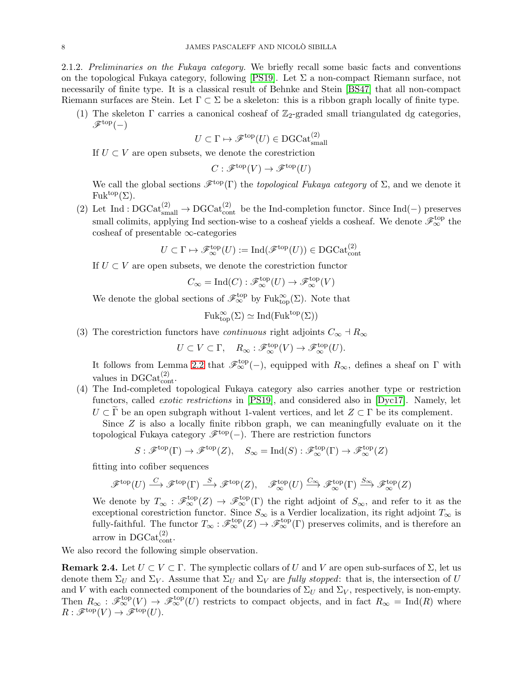<span id="page-7-0"></span>(1) The skeleton  $\Gamma$  carries a canonical cosheaf of  $\mathbb{Z}_2$ -graded small triangulated dg categories,  $\mathscr{F}^{\text{top}}(-)$ 

$$
U \subset \Gamma \mapsto \mathscr{F}^{\text{top}}(U) \in \text{DGCat}_{\text{small}}^{(2)}
$$

If  $U \subset V$  are open subsets, we denote the corestriction

$$
C: \mathscr{F}^{\rm top}(V) \to \mathscr{F}^{\rm top}(U)
$$

We call the global sections  $\mathscr{F}^{top}(\Gamma)$  the topological Fukaya category of  $\Sigma$ , and we denote it  $Fuk^{top}(\Sigma).$ 

(2) Let Ind :  $DGCat_{\text{small}}^{(2)} \rightarrow DGCat_{\text{cont}}^{(2)}$  be the Ind-completion functor. Since Ind(-) preserves small colimits, applying Ind section-wise to a cosheaf yields a cosheaf. We denote  $\mathscr{F}_{\infty}^{\text{top}}$  the cosheaf of presentable ∞-categories

$$
U \subset \Gamma \mapsto \mathcal{F}_{\infty}^{\text{top}}(U) := \text{Ind}(\mathcal{F}^{\text{top}}(U)) \in \text{DGCat}_{\text{cont}}^{(2)}
$$

If  $U \subset V$  are open subsets, we denote the corestriction functor

$$
C_{\infty} = \text{Ind}(C) : \mathcal{F}_{\infty}^{\text{top}}(U) \to \mathcal{F}_{\infty}^{\text{top}}(V)
$$

We denote the global sections of  $\mathscr{F}_{\infty}^{\text{top}}$  by Fuk $_{\text{top}}^{\infty}(\Sigma)$ . Note that

$$
\mathrm{Fuk}^{\infty}_{\mathrm{top}}(\Sigma) \simeq \mathrm{Ind}(\mathrm{Fuk}^{\mathrm{top}}(\Sigma))
$$

(3) The corestriction functors have *continuous* right adjoints  $C_{\infty} \dashv R_{\infty}$ 

 $U \subset V \subset \Gamma$ ,  $R_{\infty} : \mathscr{F}_{\infty}^{\text{top}}(V) \to \mathscr{F}_{\infty}^{\text{top}}(U)$ .

It follows from Lemma [2.2](#page-6-0) that  $\mathscr{F}_{\infty}^{top}(-)$ , equipped with  $R_{\infty}$ , defines a sheaf on  $\Gamma$  with values in  $DGCat_{\text{cont}}^{(2)}$ .

(4) The Ind-completed topological Fukaya category also carries another type or restriction functors, called *exotic restrictions* in [\[PS19\]](#page-44-12), and considered also in [\[Dyc17\]](#page-44-21). Namely, let  $U \subset \Gamma$  be an open subgraph without 1-valent vertices, and let  $Z \subset \Gamma$  be its complement.

Since  $Z$  is also a locally finite ribbon graph, we can meaningfully evaluate on it the topological Fukaya category  $\mathscr{F}^{\text{top}}(-)$ . There are restriction functors

$$
S: \mathscr{F}^{\text{top}}(\Gamma) \to \mathscr{F}^{\text{top}}(Z), \quad S_{\infty} = \text{Ind}(S) : \mathscr{F}^{\text{top}}_{\infty}(\Gamma) \to \mathscr{F}^{\text{top}}_{\infty}(Z)
$$

fitting into cofiber sequences

$$
\mathscr{F}^{\text{top}}(U) \xrightarrow{C} \mathscr{F}^{\text{top}}(\Gamma) \xrightarrow{S} \mathscr{F}^{\text{top}}(Z), \quad \mathscr{F}^{\text{top}}_{\infty}(U) \xrightarrow{C_{\infty}} \mathscr{F}^{\text{top}}_{\infty}(\Gamma) \xrightarrow{S_{\infty}} \mathscr{F}^{\text{top}}_{\infty}(Z)
$$

We denote by  $T_{\infty}: \mathscr{F}_{\infty}^{\text{top}}(Z) \to \mathscr{F}_{\infty}^{\text{top}}(\Gamma)$  the right adjoint of  $S_{\infty}$ , and refer to it as the exceptional corestriction functor. Since  $S_{\infty}$  is a Verdier localization, its right adjoint  $T_{\infty}$  is fully-faithful. The functor  $T_{\infty}: \mathscr{F}_{\infty}^{\text{top}}(Z) \to \mathscr{F}_{\infty}^{\text{top}}(\Gamma)$  preserves colimits, and is therefore an arrow in  $DGCat_{\text{cont}}^{(2)}$ .

We also record the following simple observation.

<span id="page-7-1"></span>**Remark 2.4.** Let  $U \subset V \subset \Gamma$ . The symplectic collars of U and V are open sub-surfaces of  $\Sigma$ , let us denote them  $\Sigma_U$  and  $\Sigma_V$ . Assume that  $\Sigma_U$  and  $\Sigma_V$  are fully stopped: that is, the intersection of U and V with each connected component of the boundaries of  $\Sigma_U$  and  $\Sigma_V$ , respectively, is non-empty. Then  $R_{\infty}$ :  $\mathscr{F}_{\infty}^{\text{top}}(V) \to \mathscr{F}_{\infty}^{\text{top}}(U)$  restricts to compact objects, and in fact  $R_{\infty} = \text{Ind}(R)$  where  $R : \mathscr{F}^{\text{top}}(V) \to \mathscr{F}^{\text{top}}(U).$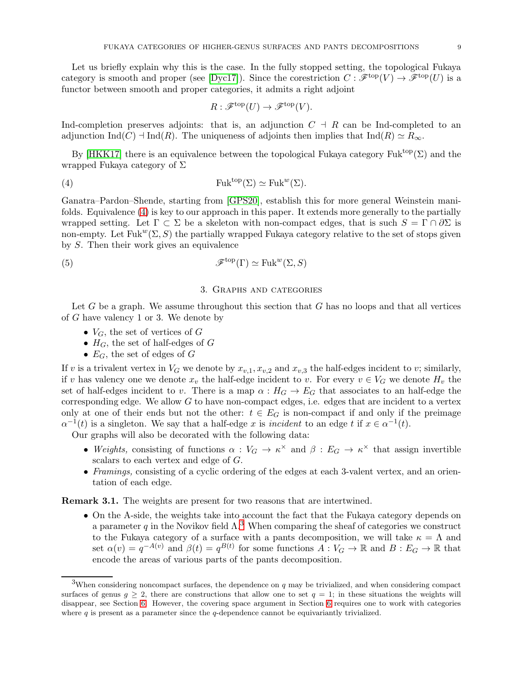Let us briefly explain why this is the case. In the fully stopped setting, the topological Fukaya category is smooth and proper (see [\[Dyc17\]](#page-44-21)). Since the corestriction  $C : \mathscr{F}^{top}(V) \to \mathscr{F}^{top}(U)$  is a functor between smooth and proper categories, it admits a right adjoint

<span id="page-8-1"></span>
$$
R: \mathscr{F}^{\text{top}}(U) \to \mathscr{F}^{\text{top}}(V).
$$

Ind-completion preserves adjoints: that is, an adjunction  $C \dashv R$  can be Ind-completed to an adjunction Ind(C)  $\exists \text{Ind}(R)$ . The uniqueness of adjoints then implies that Ind(R)  $\simeq R_{\infty}$ .

By [\[HKK17\]](#page-44-10) there is an equivalence between the topological Fukaya category Fuk<sup>top</sup>( $\Sigma$ ) and the wrapped Fukaya category of Σ

(4) 
$$
\mathrm{Fuk}^{\mathrm{top}}(\Sigma) \simeq \mathrm{Fuk}^w(\Sigma).
$$

Ganatra–Pardon–Shende, starting from [\[GPS20\]](#page-44-15), establish this for more general Weinstein manifolds. Equivalence [\(4\)](#page-8-1) is key to our approach in this paper. It extends more generally to the partially wrapped setting. Let  $\Gamma \subset \Sigma$  be a skeleton with non-compact edges, that is such  $S = \Gamma \cap \partial \Sigma$  is non-empty. Let Fuk<sup>w</sup>( $\Sigma$ , S) the partially wrapped Fukaya category relative to the set of stops given by S. Then their work gives an equivalence

<span id="page-8-0"></span>(5) 
$$
\mathscr{F}^{\text{top}}(\Gamma) \simeq \text{Fuk}^w(\Sigma, S)
$$

# 3. Graphs and categories

Let G be a graph. We assume throughout this section that G has no loops and that all vertices of G have valency 1 or 3. We denote by

- $V_G$ , the set of vertices of G
- $H_G$ , the set of half-edges of G
- $E_G$ , the set of edges of G

If v is a trivalent vertex in  $V_G$  we denote by  $x_{v,1}, x_{v,2}$  and  $x_{v,3}$  the half-edges incident to v; similarly, if v has valency one we denote  $x_v$  the half-edge incident to v. For every  $v \in V_G$  we denote  $H_v$  the set of half-edges incident to v. There is a map  $\alpha : H_G \to E_G$  that associates to an half-edge the corresponding edge. We allow  $G$  to have non-compact edges, i.e. edges that are incident to a vertex only at one of their ends but not the other:  $t \in E_G$  is non-compact if and only if the preimage  $\alpha^{-1}(t)$  is a singleton. We say that a half-edge x is incident to an edge t if  $x \in \alpha^{-1}(t)$ .

Our graphs will also be decorated with the following data:

- Weights, consisting of functions  $\alpha: V_G \to \kappa^\times$  and  $\beta: E_G \to \kappa^\times$  that assign invertible scalars to each vertex and edge of G.
- Framings, consisting of a cyclic ordering of the edges at each 3-valent vertex, and an orientation of each edge.

Remark 3.1. The weights are present for two reasons that are intertwined.

• On the A-side, the weights take into account the fact that the Fukaya category depends on a parameter q in the Novikov field  $\Lambda$ <sup>[3](#page-8-2)</sup>. When comparing the sheaf of categories we construct to the Fukaya category of a surface with a pants decomposition, we will take  $\kappa = \Lambda$  and set  $\alpha(v) = q^{-A(v)}$  and  $\beta(t) = q^{B(t)}$  for some functions  $A: V_G \to \mathbb{R}$  and  $B: E_G \to \mathbb{R}$  that encode the areas of various parts of the pants decomposition.

<span id="page-8-2"></span><sup>&</sup>lt;sup>3</sup>When considering noncompact surfaces, the dependence on q may be trivialized, and when considering compact surfaces of genus  $g \geq 2$ , there are constructions that allow one to set  $q = 1$ ; in these situations the weights will disappear, see Section [6.](#page-28-0) However, the covering space argument in Section [6](#page-28-0) requires one to work with categories where  $q$  is present as a parameter since the  $q$ -dependence cannot be equivariantly trivialized.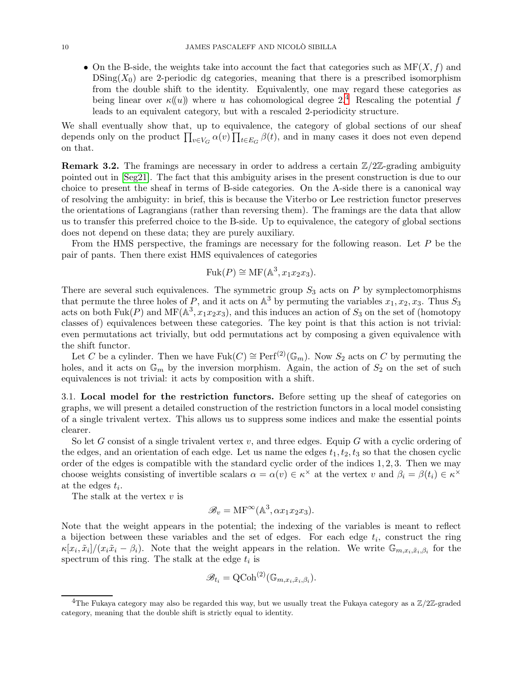• On the B-side, the weights take into account the fact that categories such as  $MF(X, f)$  and  $DSing(X<sub>0</sub>)$  are 2-periodic dg categories, meaning that there is a prescribed isomorphism from the double shift to the identity. Equivalently, one may regard these categories as being linear over  $\kappa(u)$  where u has cohomological degree 2.<sup>[4](#page-9-1)</sup> Rescaling the potential f leads to an equivalent category, but with a rescaled 2-periodicity structure.

We shall eventually show that, up to equivalence, the category of global sections of our sheaf depends only on the product  $\prod_{v \in V_G} \alpha(v) \prod_{t \in E_G} \beta(t)$ , and in many cases it does not even depend on that.

**Remark 3.2.** The framings are necessary in order to address a certain  $\mathbb{Z}/2\mathbb{Z}$ -grading ambiguity pointed out in [\[Seg21\]](#page-44-18). The fact that this ambiguity arises in the present construction is due to our choice to present the sheaf in terms of B-side categories. On the A-side there is a canonical way of resolving the ambiguity: in brief, this is because the Viterbo or Lee restriction functor preserves the orientations of Lagrangians (rather than reversing them). The framings are the data that allow us to transfer this preferred choice to the B-side. Up to equivalence, the category of global sections does not depend on these data; they are purely auxiliary.

From the HMS perspective, the framings are necessary for the following reason. Let  $P$  be the pair of pants. Then there exist HMS equivalences of categories

$$
Fuk(P) \cong MF(\mathbb{A}^3, x_1x_2x_3).
$$

There are several such equivalences. The symmetric group  $S_3$  acts on P by symplectomorphisms that permute the three holes of P, and it acts on  $\mathbb{A}^3$  by permuting the variables  $x_1, x_2, x_3$ . Thus  $S_3$ acts on both Fuk(P) and MF( $\mathbb{A}^3$ ,  $x_1x_2x_3$ ), and this induces an action of  $S_3$  on the set of (homotopy classes of) equivalences between these categories. The key point is that this action is not trivial: even permutations act trivially, but odd permutations act by composing a given equivalence with the shift functor.

Let C be a cylinder. Then we have  $Fuk(C) \cong Perf^{(2)}(\mathbb{G}_m)$ . Now  $S_2$  acts on C by permuting the holes, and it acts on  $\mathbb{G}_m$  by the inversion morphism. Again, the action of  $S_2$  on the set of such equivalences is not trivial: it acts by composition with a shift.

<span id="page-9-0"></span>3.1. Local model for the restriction functors. Before setting up the sheaf of categories on graphs, we will present a detailed construction of the restriction functors in a local model consisting of a single trivalent vertex. This allows us to suppress some indices and make the essential points clearer.

So let G consist of a single trivalent vertex  $v$ , and three edges. Equip G with a cyclic ordering of the edges, and an orientation of each edge. Let us name the edges  $t_1, t_2, t_3$  so that the chosen cyclic order of the edges is compatible with the standard cyclic order of the indices 1, 2, 3. Then we may choose weights consisting of invertible scalars  $\alpha = \alpha(v) \in \kappa^\times$  at the vertex v and  $\beta_i = \beta(t_i) \in \kappa^\times$ at the edges  $t_i$ .

The stalk at the vertex  $v$  is

$$
\mathscr{B}_v = \mathrm{MF}^{\infty}(\mathbb{A}^3, \alpha x_1 x_2 x_3).
$$

Note that the weight appears in the potential; the indexing of the variables is meant to reflect a bijection between these variables and the set of edges. For each edge  $t_i$ , construct the ring  $\kappa[x_i, \tilde{x}_i]/(x_i\tilde{x}_i - \beta_i)$ . Note that the weight appears in the relation. We write  $\mathbb{G}_{m,x_i,\tilde{x}_i,\beta_i}$  for the spectrum of this ring. The stalk at the edge  $t_i$  is

$$
\mathscr{B}_{t_i} = \mathrm{QCoh}^{(2)}(\mathbb{G}_{m,x_i,\tilde{x}_i,\beta_i}).
$$

<span id="page-9-1"></span><sup>&</sup>lt;sup>4</sup>The Fukaya category may also be regarded this way, but we usually treat the Fukaya category as a  $\mathbb{Z}/2\mathbb{Z}$ -graded category, meaning that the double shift is strictly equal to identity.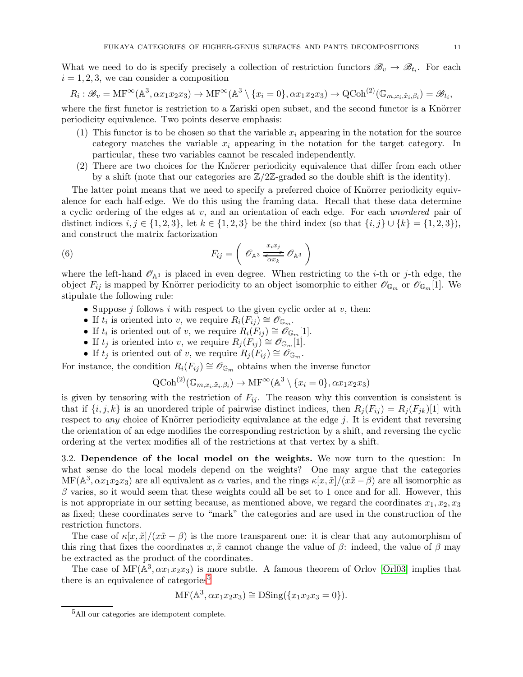What we need to do is specify precisely a collection of restriction functors  $\mathscr{B}_v \to \mathscr{B}_{t_i}$ . For each  $i = 1, 2, 3$ , we can consider a composition

$$
R_i: \mathscr{B}_v = \text{MF}^{\infty}(\mathbb{A}^3, \alpha x_1 x_2 x_3) \to \text{MF}^{\infty}(\mathbb{A}^3 \setminus \{x_i = 0\}, \alpha x_1 x_2 x_3) \to \text{QCoh}^{(2)}(\mathbb{G}_{m, x_i, \tilde{x}_i, \beta_i}) = \mathscr{B}_{t_i},
$$

where the first functor is restriction to a Zariski open subset, and the second functor is a Knörrer periodicity equivalence. Two points deserve emphasis:

- (1) This functor is to be chosen so that the variable  $x_i$  appearing in the notation for the source category matches the variable  $x_i$  appearing in the notation for the target category. In particular, these two variables cannot be rescaled independently.
- (2) There are two choices for the Knörrer periodicity equivalence that differ from each other by a shift (note that our categories are  $\mathbb{Z}/2\mathbb{Z}$ -graded so the double shift is the identity).

The latter point means that we need to specify a preferred choice of Knörrer periodicity equivalence for each half-edge. We do this using the framing data. Recall that these data determine a cyclic ordering of the edges at  $v$ , and an orientation of each edge. For each *unordered* pair of distinct indices  $i, j \in \{1, 2, 3\}$ , let  $k \in \{1, 2, 3\}$  be the third index (so that  $\{i, j\} \cup \{k\} = \{1, 2, 3\}$ ), and construct the matrix factorization

(6) 
$$
F_{ij} = \left(\mathcal{O}_{\mathbb{A}^3} \frac{x_i x_j}{\overline{\alpha x_k}} \mathcal{O}_{\mathbb{A}^3}\right)
$$

where the left-hand  $\mathcal{O}_{A^3}$  is placed in even degree. When restricting to the *i*-th or *j*-th edge, the object  $F_{ij}$  is mapped by Knörrer periodicity to an object isomorphic to either  $\mathscr{O}_{\mathbb{G}_m}$  or  $\mathscr{O}_{\mathbb{G}_m}[1]$ . We stipulate the following rule:

- Suppose  $j$  follows  $i$  with respect to the given cyclic order at  $v$ , then:
- If  $t_i$  is oriented into v, we require  $R_i(F_{ij}) \cong \mathscr{O}_{\mathbb{G}_m}$ .
- If  $t_i$  is oriented out of v, we require  $R_i(F_{ij}) \cong \mathscr{O}_{\mathbb{G}_m}[1].$
- If  $t_j$  is oriented into v, we require  $R_j(F_{ij}) \cong \mathscr{O}_{\mathbb{G}_m}[1].$
- If  $t_j$  is oriented out of v, we require  $R_i(F_{ij}) \cong \mathscr{O}_{\mathbb{G}_m}$ .

For instance, the condition  $R_i(F_{ij}) \cong \mathscr{O}_{\mathbb{G}_m}$  obtains when the inverse functor

$$
\mathrm{QCoh}^{(2)}(\mathbb{G}_{m,x_i,\tilde{x}_i,\beta_i}) \to \mathrm{MF}^{\infty}(\mathbb{A}^3 \setminus \{x_i = 0\}, \alpha x_1 x_2 x_3)
$$

is given by tensoring with the restriction of  $F_{ij}$ . The reason why this convention is consistent is that if  $\{i, j, k\}$  is an unordered triple of pairwise distinct indices, then  $R_i(F_{ij}) = R_i(F_{ik})[1]$  with respect to *any* choice of Knörrer periodicity equivalance at the edge  $j$ . It is evident that reversing the orientation of an edge modifies the corresponding restriction by a shift, and reversing the cyclic ordering at the vertex modifies all of the restrictions at that vertex by a shift.

<span id="page-10-0"></span>3.2. Dependence of the local model on the weights. We now turn to the question: In what sense do the local models depend on the weights? One may argue that the categories  $MF(\mathbb{A}^3, \alpha x_1 x_2 x_3)$  are all equivalent as  $\alpha$  varies, and the rings  $\kappa[x, \tilde{x}]/(x\tilde{x} - \beta)$  are all isomorphic as  $\beta$  varies, so it would seem that these weights could all be set to 1 once and for all. However, this is not appropriate in our setting because, as mentioned above, we regard the coordinates  $x_1, x_2, x_3$ as fixed; these coordinates serve to "mark" the categories and are used in the construction of the restriction functors.

The case of  $\kappa[x,\tilde{x}]/(x\tilde{x}-\beta)$  is the more transparent one: it is clear that any automorphism of this ring that fixes the coordinates x,  $\tilde{x}$  cannot change the value of  $\beta$ : indeed, the value of  $\beta$  may be extracted as the product of the coordinates.

The case of  $\mathrm{MF}(\mathbb{A}^3, \alpha x_1 x_2 x_3)$  is more subtle. A famous theorem of Orlov [\[Orl03\]](#page-44-25) implies that there is an equivalence of categories<sup>[5](#page-10-1)</sup>

$$
\mathrm{MF}(\mathbb{A}^3, \alpha x_1 x_2 x_3) \cong \mathrm{DSing}(\{x_1 x_2 x_3 = 0\}).
$$

<span id="page-10-1"></span><sup>5</sup>All our categories are idempotent complete.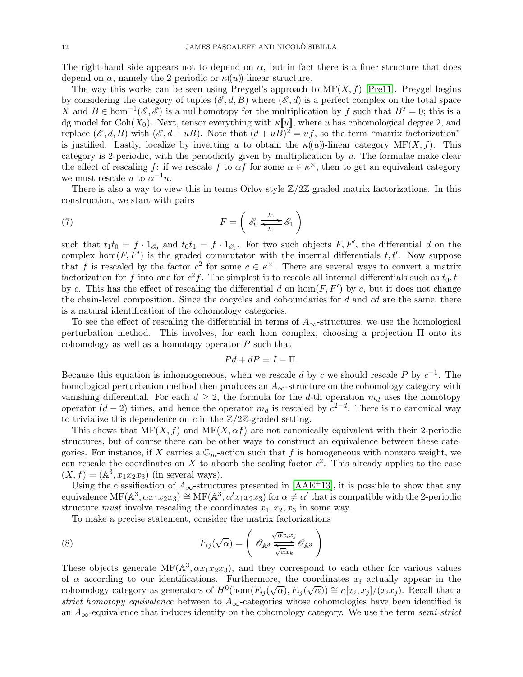The right-hand side appears not to depend on  $\alpha$ , but in fact there is a finer structure that does depend on  $\alpha$ , namely the 2-periodic or  $\kappa(\alpha)$ -linear structure.

The way this works can be seen using Preygel's approach to  $MF(X, f)$  [\[Pre11\]](#page-44-20). Preygel begins by considering the category of tuples  $(\mathscr{E}, d, B)$  where  $(\mathscr{E}, d)$  is a perfect complex on the total space X and  $B \in \text{hom}^{-1}(\mathscr{E}, \mathscr{E})$  is a nullhomotopy for the multiplication by f such that  $B^2 = 0$ ; this is a dg model for Coh( $X_0$ ). Next, tensor everything with  $\kappa[[u]]$ , where u has cohomological degree 2, and replace  $(\mathscr{E}, d, B)$  with  $(\mathscr{E}, d + uB)$ . Note that  $(d + uB)^2 = uf$ , so the term "matrix factorization" is justified. Lastly, localize by inverting u to obtain the  $\kappa(u)$ -linear category MF $(X, f)$ . This category is 2-periodic, with the periodicity given by multiplication by  $u$ . The formulae make clear the effect of rescaling  $f$ : if we rescale  $f$  to  $\alpha f$  for some  $\alpha \in \kappa^{\times}$ , then to get an equivalent category we must rescale u to  $\alpha^{-1}u$ .

There is also a way to view this in terms Orlov-style  $\mathbb{Z}/2\mathbb{Z}$ -graded matrix factorizations. In this construction, we start with pairs

(7) 
$$
F = \left( \mathcal{E}_0 \underbrace{\phantom{a}t_0}_{t_1} \mathcal{E}_1 \right)
$$

such that  $t_1t_0 = f \cdot 1_{\mathscr{E}_0}$  and  $t_0t_1 = f \cdot 1_{\mathscr{E}_1}$ . For two such objects  $F, F'$ , the differential d on the complex hom $(F, F')$  is the graded commutator with the internal differentials  $t, t'$ . Now suppose that f is rescaled by the factor  $c^2$  for some  $c \in \kappa^\times$ . There are several ways to convert a matrix factorization for f into one for  $c^2 f$ . The simplest is to rescale all internal differentials such as  $t_0, t_1$ by c. This has the effect of rescaling the differential d on  $hom(F, F')$  by c, but it does not change the chain-level composition. Since the cocycles and coboundaries for  $d$  and  $cd$  are the same, there is a natural identification of the cohomology categories.

To see the effect of rescaling the differential in terms of  $A_{\infty}$ -structures, we use the homological perturbation method. This involves, for each hom complex, choosing a projection Π onto its cohomology as well as a homotopy operator  $P$  such that

$$
Pd + dP = I - \Pi.
$$

Because this equation is inhomogeneous, when we rescale d by c we should rescale P by  $c^{-1}$ . The homological perturbation method then produces an  $A_{\infty}$ -structure on the cohomology category with vanishing differential. For each  $d \geq 2$ , the formula for the d-th operation  $m_d$  uses the homotopy operator  $(d-2)$  times, and hence the operator  $m_d$  is rescaled by  $c^{2-d}$ . There is no canonical way to trivialize this dependence on c in the  $\mathbb{Z}/2\mathbb{Z}$ -graded setting.

This shows that  $MF(X, f)$  and  $MF(X, \alpha f)$  are not canonically equivalent with their 2-periodic structures, but of course there can be other ways to construct an equivalence between these categories. For instance, if X carries a  $\mathbb{G}_m$ -action such that f is homogeneous with nonzero weight, we can rescale the coordinates on X to absorb the scaling factor  $c^2$ . This already applies to the case  $(X, f) = (\mathbb{A}^3, x_1 x_2 x_3)$  (in several ways).

Using the classification of  $A_{\infty}$ -structures presented in [\[AAE](#page-44-5)<sup>+</sup>13], it is possible to show that any equivalence  $MF(A^3, \alpha x_1 x_2 x_3) \cong MF(A^3, \alpha' x_1 x_2 x_3)$  for  $\alpha \neq \alpha'$  that is compatible with the 2-periodic structure *must* involve rescaling the coordinates  $x_1, x_2, x_3$  in some way.

<span id="page-11-0"></span>To make a precise statement, consider the matrix factorizations

(8) 
$$
F_{ij}(\sqrt{\alpha}) = \left(\mathcal{O}_{\mathbb{A}^3} \frac{\sqrt{\alpha} x_i x_j}{\sqrt{\alpha} x_k} \mathcal{O}_{\mathbb{A}^3}\right)
$$

These objects generate  $\text{MF}(\mathbb{A}^3, \alpha x_1 x_2 x_3)$ , and they correspond to each other for various values of  $\alpha$  according to our identifications. Furthermore, the coordinates  $x_i$  actually appear in the cohomology category as generators of  $H^0(\hom(F_{ij}(\sqrt{\alpha}), F_{ij}(\sqrt{\alpha})) \cong \kappa[x_i, x_j]/(x_ix_j)$ . Recall that a strict homotopy equivalence between to  $A_{\infty}$ -categories whose cohomologies have been identified is an  $A_{\infty}$ -equivalence that induces identity on the cohomology category. We use the term semi-strict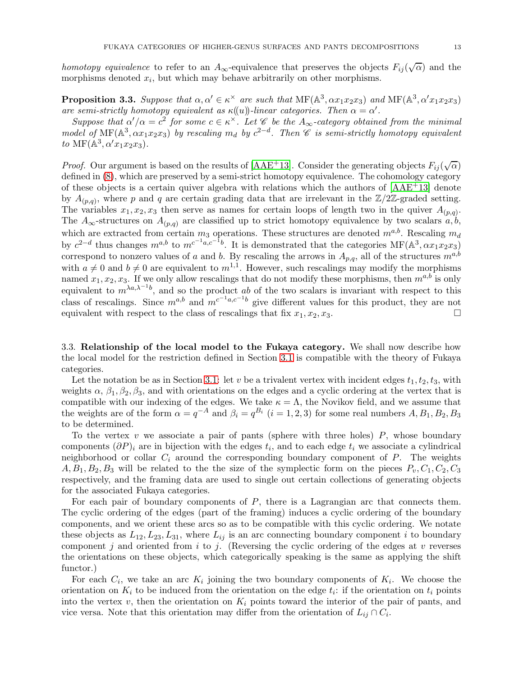homotopy equivalence to refer to an  $A_{\infty}$ -equivalence that preserves the objects  $F_{ij}(\sqrt{\alpha})$  and the morphisms denoted  $x_i$ , but which may behave arbitrarily on other morphisms.

**Proposition 3.3.** Suppose that  $\alpha, \alpha' \in \kappa^\times$  are such that  $MF(\mathbb{A}^3, \alpha x_1 x_2 x_3)$  and  $MF(\mathbb{A}^3, \alpha' x_1 x_2 x_3)$ are semi-strictly homotopy equivalent as  $\kappa(\omega)$ -linear categories. Then  $\alpha = \alpha'$ .

Suppose that  $\alpha'/\alpha = c^2$  for some  $c \in \kappa^\times$ . Let  $\mathscr C$  be the  $A_\infty$ -category obtained from the minimal model of  $\mathrm{MF}(\mathbb{A}^3, \alpha x_1x_2x_3)$  by rescaling  $m_d$  by  $c^{2-d}$ . Then  $\mathscr{C}$  is semi-strictly homotopy equivalent to MF( $\mathbb{A}^3, \alpha' x_1 x_2 x_3$ ).

*Proof.* Our argument is based on the results of [\[AAE](#page-44-5)<sup>+</sup>13]. Consider the generating objects  $F_{ij}(\sqrt{\alpha})$ defined in [\(8\)](#page-11-0), which are preserved by a semi-strict homotopy equivalence. The cohomology category of these objects is a certain quiver algebra with relations which the authors of [\[AAE](#page-44-5)+13] denote by  $A_{(p,q)}$ , where p and q are certain grading data that are irrelevant in the  $\mathbb{Z}/2\mathbb{Z}$ -graded setting. The variables  $x_1, x_2, x_3$  then serve as names for certain loops of length two in the quiver  $A_{(p,q)}$ . The  $A_{\infty}$ -structures on  $A_{(p,q)}$  are classified up to strict homotopy equivalence by two scalars  $a, b$ , which are extracted from certain  $m_3$  operations. These structures are denoted  $m^{a,b}$ . Rescaling  $m_d$ by  $c^{2-d}$  thus changes  $m^{a,b}$  to  $m^{c^{-1}a,c^{-1}b}$ . It is demonstrated that the categories  $\text{MF}(\mathbb{A}^3, \alpha x_1 x_2 x_3)$ correspond to nonzero values of a and b. By rescaling the arrows in  $A_{p,q}$ , all of the structures  $m^{a,b}$ with  $a \neq 0$  and  $b \neq 0$  are equivalent to  $m^{1,1}$ . However, such rescalings may modify the morphisms named  $x_1, x_2, x_3$ . If we only allow rescalings that do not modify these morphisms, then  $m^{a,b}$  is only equivalent to  $m^{\lambda a,\lambda^{-1}b}$ , and so the product ab of the two scalars is invariant with respect to this class of rescalings. Since  $m^{a,b}$  and  $m^{c^{-1}a,c^{-1}b}$  give different values for this product, they are not equivalent with respect to the class of rescalings that fix  $x_1, x_2, x_3$ .

<span id="page-12-0"></span>3.3. Relationship of the local model to the Fukaya category. We shall now describe how the local model for the restriction defined in Section [3.1](#page-9-0) is compatible with the theory of Fukaya categories.

Let the notation be as in Section [3.1:](#page-9-0) let v be a trivalent vertex with incident edges  $t_1, t_2, t_3$ , with weights  $\alpha$ ,  $\beta_1$ ,  $\beta_2$ ,  $\beta_3$ , and with orientations on the edges and a cyclic ordering at the vertex that is compatible with our indexing of the edges. We take  $\kappa = \Lambda$ , the Novikov field, and we assume that the weights are of the form  $\alpha = q^{-A}$  and  $\beta_i = q^{B_i}$   $(i = 1, 2, 3)$  for some real numbers  $A, B_1, B_2, B_3$ to be determined.

To the vertex v we associate a pair of pants (sphere with three holes)  $P$ , whose boundary components  $(\partial P)_i$  are in bijection with the edges  $t_i$ , and to each edge  $t_i$  we associate a cylindrical neighborhood or collar  $C_i$  around the corresponding boundary component of  $P$ . The weights  $A, B_1, B_2, B_3$  will be related to the the size of the symplectic form on the pieces  $P_v, C_1, C_2, C_3$ respectively, and the framing data are used to single out certain collections of generating objects for the associated Fukaya categories.

For each pair of boundary components of P, there is a Lagrangian arc that connects them. The cyclic ordering of the edges (part of the framing) induces a cyclic ordering of the boundary components, and we orient these arcs so as to be compatible with this cyclic ordering. We notate these objects as  $L_{12}, L_{23}, L_{31}$ , where  $L_{ij}$  is an arc connecting boundary component i to boundary component j and oriented from  $i$  to  $j$ . (Reversing the cyclic ordering of the edges at  $v$  reverses the orientations on these objects, which categorically speaking is the same as applying the shift functor.)

For each  $C_i$ , we take an arc  $K_i$  joining the two boundary components of  $K_i$ . We choose the orientation on  $K_i$  to be induced from the orientation on the edge  $t_i$ : if the orientation on  $t_i$  points into the vertex  $v$ , then the orientation on  $K_i$  points toward the interior of the pair of pants, and vice versa. Note that this orientation may differ from the orientation of  $L_{ij} \cap C_i$ .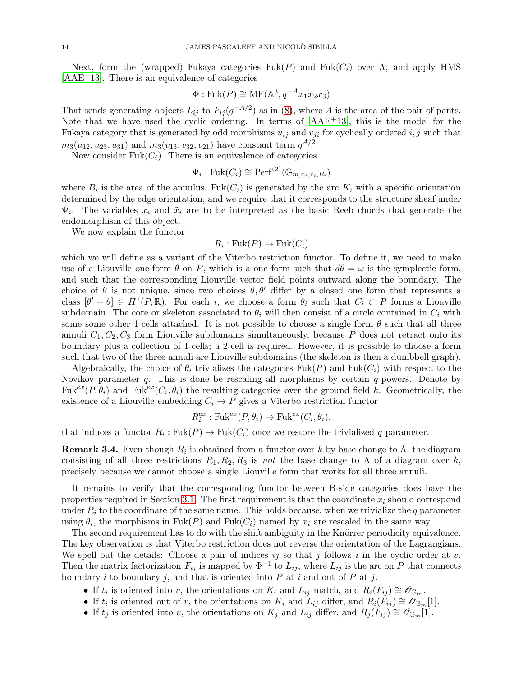Next, form the (wrapped) Fukaya categories  $Fuk(P)$  and  $Fuk(C_i)$  over  $\Lambda$ , and apply HMS [\[AAE](#page-44-5)+13]. There is an equivalence of categories

$$
\Phi: \text{Fuk}(P) \cong \text{MF}(\mathbb{A}^3, q^{-A}x_1x_2x_3)
$$

That sends generating objects  $L_{ij}$  to  $F_{ij}(q^{-A/2})$  as in [\(8\)](#page-11-0), where A is the area of the pair of pants. Note that we have used the cyclic ordering. In terms of [\[AAE](#page-44-5)+13], this is the model for the Fukaya category that is generated by odd morphisms  $u_{ij}$  and  $v_{ji}$  for cyclically ordered i, j such that  $m_3(u_{12}, u_{23}, u_{31})$  and  $m_3(v_{13}, v_{32}, v_{21})$  have constant term  $q^{A/2}$ .

Now consider Fuk $(C_i)$ . There is an equivalence of categories

$$
\Psi_i: \mathrm{Fuk}(C_i) \cong \mathrm{Perf}^{(2)}(\mathbb{G}_{m,x_i,\tilde{x}_i,B_i})
$$

where  $B_i$  is the area of the annulus. Fuk $(C_i)$  is generated by the arc  $K_i$  with a specific orientation determined by the edge orientation, and we require that it corresponds to the structure sheaf under  $\Psi_i$ . The variables  $x_i$  and  $\tilde{x}_i$  are to be interpreted as the basic Reeb chords that generate the endomorphism of this object.

We now explain the functor

# $R_i: \text{Fuk}(P) \to \text{Fuk}(C_i)$

which we will define as a variant of the Viterbo restriction functor. To define it, we need to make use of a Liouville one-form  $\theta$  on P, which is a one form such that  $d\theta = \omega$  is the symplectic form, and such that the corresponding Liouville vector field points outward along the boundary. The choice of  $\theta$  is not unique, since two choices  $\theta$ ,  $\theta'$  differ by a closed one form that represents a class  $[\theta' - \theta] \in H^1(P,\mathbb{R})$ . For each i, we choose a form  $\theta_i$  such that  $C_i \subset P$  forms a Liouville subdomain. The core or skeleton associated to  $\theta_i$  will then consist of a circle contained in  $C_i$  with some some other 1-cells attached. It is not possible to choose a single form  $\theta$  such that all three annuli  $C_1, C_2, C_3$  form Liouville subdomains simultaneously, because P does not retract onto its boundary plus a collection of 1-cells; a 2-cell is required. However, it is possible to choose a form such that two of the three annuli are Liouville subdomains (the skeleton is then a dumbbell graph).

Algebraically, the choice of  $\theta_i$  trivializes the categories Fuk(P) and Fuk( $C_i$ ) with respect to the Novikov parameter  $q$ . This is done be rescaling all morphisms by certain  $q$ -powers. Denote by  $Fuk^{ex}(P, \theta_i)$  and  $Fuk^{ex}(C_i, \theta_i)$  the resulting categories over the ground field k. Geometrically, the existence of a Liouville embedding  $C_i \rightarrow P$  gives a Viterbo restriction functor

$$
R_i^{ex}: \text{Fuk}^{ex}(P, \theta_i) \to \text{Fuk}^{ex}(C_i, \theta_i).
$$

that induces a functor  $R_i: \text{Fuk}(P) \to \text{Fuk}(C_i)$  once we restore the trivialized q parameter.

**Remark 3.4.** Even though  $R_i$  is obtained from a functor over k by base change to  $\Lambda$ , the diagram consisting of all three restrictions  $R_1, R_2, R_3$  is not the base change to  $\Lambda$  of a diagram over k, precisely because we cannot choose a single Liouville form that works for all three annuli.

It remains to verify that the corresponding functor between B-side categories does have the properties required in Section [3.1.](#page-9-0) The first requirement is that the coordinate  $x_i$  should correspond under  $R_i$  to the coordinate of the same name. This holds because, when we trivialize the q parameter using  $\theta_i$ , the morphisms in Fuk(P) and Fuk(C<sub>i</sub>) named by  $x_i$  are rescaled in the same way.

The second requirement has to do with the shift ambiguity in the Knörrer periodicity equivalence. The key observation is that Viterbo restriction does not reverse the orientation of the Lagrangians. We spell out the details: Choose a pair of indices  $ij$  so that j follows i in the cyclic order at v. Then the matrix factorization  $F_{ij}$  is mapped by  $\Phi^{-1}$  to  $L_{ij}$ , where  $L_{ij}$  is the arc on P that connects boundary i to boundary j, and that is oriented into  $P$  at i and out of  $P$  at j.

- If  $t_i$  is oriented into v, the orientations on  $K_i$  and  $L_{ij}$  match, and  $R_i(F_{ij}) \cong \mathscr{O}_{\mathbb{G}_m}$ .
- If  $t_i$  is oriented out of v, the orientations on  $K_i$  and  $L_{ij}$  differ, and  $R_i(F_{ij}) \cong \mathscr{O}_{\mathbb{G}_m}[1]$ .
- If  $t_j$  is oriented into v, the orientations on  $K_j$  and  $L_{ij}$  differ, and  $R_j(F_{ij}) \cong \mathscr{O}_{\mathbb{G}_m}[1]$ .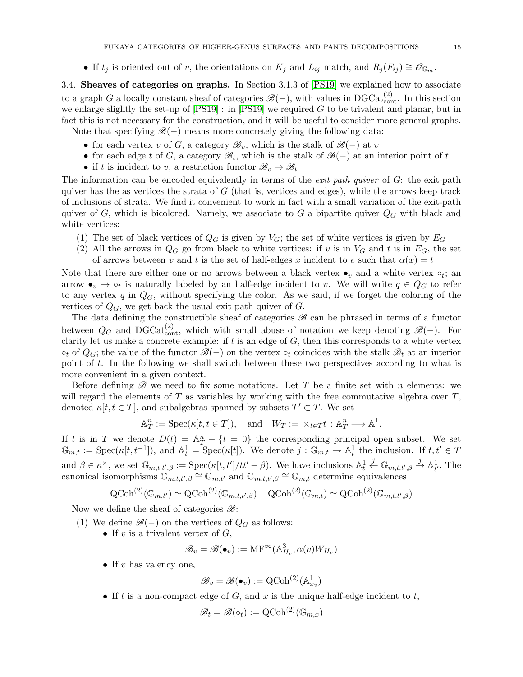• If  $t_i$  is oriented out of v, the orientations on  $K_i$  and  $L_{ij}$  match, and  $R_i(F_{ij}) \cong \mathscr{O}_{\mathbb{G}_m}$ .

<span id="page-14-0"></span>3.4. Sheaves of categories on graphs. In Section 3.1.3 of [\[PS19\]](#page-44-12) we explained how to associate to a graph G a locally constant sheaf of categories  $\mathscr{B}(-)$ , with values in DGCat $_{\text{cont}}^{(2)}$ . In this section we enlarge slightly the set-up of  $[PS19]$ : in  $[PS19]$  we required G to be trivalent and planar, but in fact this is not necessary for the construction, and it will be useful to consider more general graphs.

Note that specifying  $\mathscr{B}(-)$  means more concretely giving the following data:

- for each vertex v of G, a category  $\mathscr{B}_v$ , which is the stalk of  $\mathscr{B}(-)$  at v
- for each edge t of G, a category  $\mathscr{B}_t$ , which is the stalk of  $\mathscr{B}(-)$  at an interior point of t
- if t is incident to v, a restriction functor  $\mathscr{B}_v \to \mathscr{B}_t$

The information can be encoded equivalently in terms of the *exit-path quiver* of  $G$ : the exit-path quiver has the as vertices the strata of  $G$  (that is, vertices and edges), while the arrows keep track of inclusions of strata. We find it convenient to work in fact with a small variation of the exit-path quiver of G, which is bicolored. Namely, we associate to G a bipartite quiver  $Q_G$  with black and white vertices:

- (1) The set of black vertices of  $Q_G$  is given by  $V_G$ ; the set of white vertices is given by  $E_G$
- (2) All the arrows in  $Q_G$  go from black to white vertices: if v is in  $V_G$  and t is in  $E_G$ , the set of arrows between v and t is the set of half-edges x incident to e such that  $\alpha(x) = t$

Note that there are either one or no arrows between a black vertex  $\bullet_v$  and a white vertex  $\circ_t$ ; and arrow  $\bullet_v \to \circ_t$  is naturally labeled by an half-edge incident to v. We will write  $q \in Q_G$  to refer to any vertex  $q$  in  $Q_G$ , without specifying the color. As we said, if we forget the coloring of the vertices of  $Q_G$ , we get back the usual exit path quiver of  $G$ .

The data defining the constructible sheaf of categories  $\mathscr{B}$  can be phrased in terms of a functor between  $Q_G$  and DGCat $_{\text{cont}}^{(2)}$ , which with small abuse of notation we keep denoting  $\mathscr{B}(-)$ . For clarity let us make a concrete example: if  $t$  is an edge of  $G$ , then this corresponds to a white vertex  $\circ_t$  of  $Q_G$ ; the value of the functor  $\mathscr{B}(-)$  on the vertex  $\circ_t$  coincides with the stalk  $\mathscr{B}_t$  at an interior point of t. In the following we shall switch between these two perspectives according to what is more convenient in a given context.

Before defining  $\mathscr B$  we need to fix some notations. Let T be a finite set with n elements: we will regard the elements of  $T$  as variables by working with the free commutative algebra over  $T$ , denoted  $\kappa[t, t \in T]$ , and subalgebras spanned by subsets  $T' \subset T$ . We set

$$
\mathbb{A}_T^n := \operatorname{Spec}(\kappa[t, t \in T]), \quad \text{and} \quad W_T := \times_{t \in T} t : \mathbb{A}_T^n \longrightarrow \mathbb{A}^1.
$$

If t is in T we denote  $D(t) = A_T^n - \{t = 0\}$  the corresponding principal open subset. We set  $\mathbb{G}_{m,t} := \text{Spec}(\kappa[t, t^{-1}]),$  and  $\mathbb{A}_t^1 = \text{Spec}(\kappa[t]).$  We denote  $j : \mathbb{G}_{m,t} \to \mathbb{A}_t^1$  the inclusion. If  $t, t' \in T$ and  $\beta \in \kappa^{\times}$ , we set  $\mathbb{G}_{m,t,t',\beta} := \text{Spec}(\kappa[t,t']/tt' - \beta)$ . We have inclusions  $\mathbb{A}_t^1 \stackrel{j}{\leftarrow} \mathbb{G}_{m,t,t',\beta} \stackrel{j}{\rightarrow} \mathbb{A}_{t'}^1$ . The canonical isomorphisms  $\mathbb{G}_{m,t,t',\beta} \cong \mathbb{G}_{m,t'}$  and  $\mathbb{G}_{m,t,t',\beta} \cong \mathbb{G}_{m,t}$  determine equivalences

$$
\mathrm{QCoh}^{(2)}(\mathbb{G}_{m,t'}) \simeq \mathrm{QCoh}^{(2)}(\mathbb{G}_{m,t,t',\beta}) \quad \mathrm{QCoh}^{(2)}(\mathbb{G}_{m,t}) \simeq \mathrm{QCoh}^{(2)}(\mathbb{G}_{m,t,t',\beta})
$$

Now we define the sheaf of categories  $\mathscr{B}$ :

- (1) We define  $\mathscr{B}(-)$  on the vertices of  $Q_G$  as follows:
	- If v is a trivalent vertex of  $G$ ,

$$
\mathscr{B}_v = \mathscr{B}(\bullet_v) := \mathrm{MF}^{\infty}(\mathbb{A}_{H_v}^3, \alpha(v)W_{H_v})
$$

• If  $v$  has valency one,

$$
\mathscr{B}_v = \mathscr{B}(\bullet_v) := \mathrm{QCoh}^{(2)}(\mathbb{A}^1_{x_v})
$$

• If t is a non-compact edge of  $G$ , and  $x$  is the unique half-edge incident to  $t$ ,

$$
\mathscr{B}_t = \mathscr{B}(\circ_t) := \mathrm{QCoh}^{(2)}(\mathbb{G}_{m,x})
$$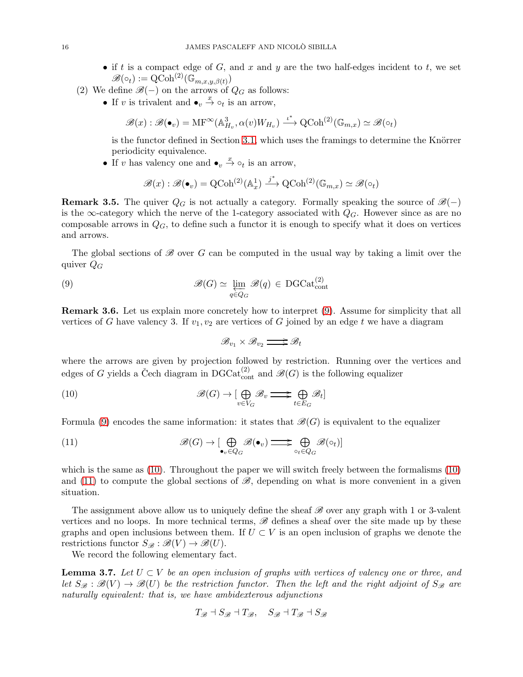- if t is a compact edge of G, and x and y are the two half-edges incident to t, we set  $\mathscr{B}(\circ_t) := \operatorname{QCoh}^{(2)}(\mathbb{G}_{m,x,y,\beta(t)})$
- (2) We define  $\mathscr{B}(-)$  on the arrows of  $Q_G$  as follows:
	- If v is trivalent and  $\bullet_v \stackrel{x}{\to} \circ_t$  is an arrow,

$$
\mathscr{B}(x): \mathscr{B}(\bullet_v) = \mathrm{MF}^{\infty}(\mathbb{A}_{H_v}^3, \alpha(v)W_{H_v}) \xrightarrow{\iota^*} \mathrm{QCoh}^{(2)}(\mathbb{G}_{m,x}) \simeq \mathscr{B}(\circ_t)
$$

is the functor defined in Section [3.1,](#page-9-0) which uses the framings to determine the Knörrer periodicity equivalence.

• If v has valency one and  $\bullet_v \stackrel{x}{\to} \circ_t$  is an arrow,

$$
\mathscr{B}(x): \mathscr{B}(\bullet_v) = \mathrm{QCoh}^{(2)}(\mathbb{A}^1_x) \xrightarrow{j^*} \mathrm{QCoh}^{(2)}(\mathbb{G}_{m,x}) \simeq \mathscr{B}(\circ_t)
$$

**Remark 3.5.** The quiver  $Q_G$  is not actually a category. Formally speaking the source of  $\mathcal{B}(-)$ is the  $\infty$ -category which the nerve of the 1-category associated with  $Q_G$ . However since as are no composable arrows in  $Q_G$ , to define such a functor it is enough to specify what it does on vertices and arrows.

The global sections of  $\mathscr B$  over G can be computed in the usual way by taking a limit over the quiver  $Q_G$ 

(9) 
$$
\mathscr{B}(G) \simeq \varprojlim_{q \in Q_G} \mathscr{B}(q) \in \mathrm{DGCat}_{\mathrm{cont}}^{(2)}
$$

<span id="page-15-4"></span>Remark 3.6. Let us explain more concretely how to interpret [\(9\)](#page-15-0). Assume for simplicity that all vertices of G have valency 3. If  $v_1, v_2$  are vertices of G joined by an edge t we have a diagram

<span id="page-15-2"></span><span id="page-15-1"></span><span id="page-15-0"></span>
$$
\mathscr{B}_{v_1}\times\mathscr{B}_{v_2}\mathop{\Longrightarrow}\limits^{ } \mathscr{B}_{t}
$$

where the arrows are given by projection followed by restriction. Running over the vertices and edges of G yields a Čech diagram in  $DGCat_{\text{cont}}^{(2)}$  and  $\mathscr{B}(G)$  is the following equalizer

(10) 
$$
\mathscr{B}(G) \to \left[\bigoplus_{v \in V_G} \mathscr{B}_v \right] \longrightarrow \bigoplus_{t \in E_G} \mathscr{B}_t
$$

Formula [\(9\)](#page-15-0) encodes the same information: it states that  $\mathscr{B}(G)$  is equivalent to the equalizer

(11) 
$$
\mathscr{B}(G) \to \left[\bigoplus_{\bullet_v \in Q_G} \mathscr{B}(\bullet_v) \right] \Longrightarrow \bigoplus_{\circ_t \in Q_G} \mathscr{B}(\circ_t)
$$

which is the same as [\(10\)](#page-15-1). Throughout the paper we will switch freely between the formalisms [\(10\)](#page-15-1) and [\(11\)](#page-15-2) to compute the global sections of  $\mathscr{B}$ , depending on what is more convenient in a given situation.

The assignment above allow us to uniquely define the sheaf  $\mathscr B$  over any graph with 1 or 3-valent vertices and no loops. In more technical terms,  $\mathscr B$  defines a sheaf over the site made up by these graphs and open inclusions between them. If  $U \subset V$  is an open inclusion of graphs we denote the restrictions functor  $S_{\mathscr{B}} : \mathscr{B}(V) \to \mathscr{B}(U)$ .

We record the following elementary fact.

<span id="page-15-3"></span>**Lemma 3.7.** Let  $U \subset V$  be an open inclusion of graphs with vertices of valency one or three, and let  $S_{\mathscr{B}}:\mathscr{B}(V) \to \mathscr{B}(U)$  be the restriction functor. Then the left and the right adjoint of  $S_{\mathscr{B}}$  are naturally equivalent: that is, we have ambidexterous adjunctions

$$
T_{\mathscr{B}} \dashv S_{\mathscr{B}} \dashv T_{\mathscr{B}}, \quad S_{\mathscr{B}} \dashv T_{\mathscr{B}} \dashv S_{\mathscr{B}}
$$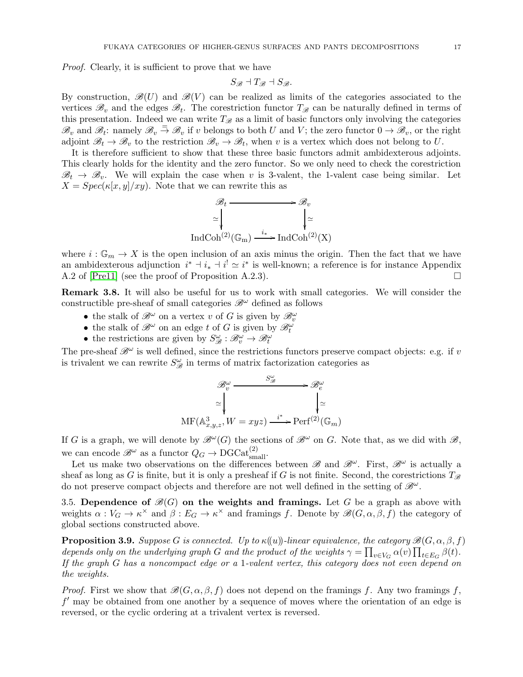Proof. Clearly, it is sufficient to prove that we have

$$
S_{\mathscr{B}} \dashv T_{\mathscr{B}} \dashv S_{\mathscr{B}}.
$$

By construction,  $\mathscr{B}(U)$  and  $\mathscr{B}(V)$  can be realized as limits of the categories associated to the vertices  $\mathscr{B}_v$  and the edges  $\mathscr{B}_t$ . The corestriction functor  $T_{\mathscr{B}}$  can be naturally defined in terms of this presentation. Indeed we can write  $T_{\mathscr{B}}$  as a limit of basic functors only involving the categories  $\mathscr{B}_v$  and  $\mathscr{B}_t$ : namely  $\mathscr{B}_v \stackrel{=}{\rightarrow} \mathscr{B}_v$  if v belongs to both U and V; the zero functor  $0 \to \mathscr{B}_v$ , or the right adjoint  $\mathscr{B}_t \to \mathscr{B}_v$  to the restriction  $\mathscr{B}_v \to \mathscr{B}_t$ , when v is a vertex which does not belong to U.

It is therefore sufficient to show that these three basic functors admit ambidexterous adjoints. This clearly holds for the identity and the zero functor. So we only need to check the corestriction  $\mathcal{B}_t \to \mathcal{B}_v$ . We will explain the case when v is 3-valent, the 1-valent case being similar. Let  $X = Spec(\kappa[x, y]/xy)$ . Note that we can rewrite this as



where  $i : \mathbb{G}_m \to X$  is the open inclusion of an axis minus the origin. Then the fact that we have an ambidexterous adjunction  $i^* \dashv i_* \dashv i^! \simeq i^*$  is well-known; a reference is for instance Appendix A.2 of  $[Pre11]$  (see the proof of Proposition A.2.3).

<span id="page-16-1"></span>Remark 3.8. It will also be useful for us to work with small categories. We will consider the constructible pre-sheaf of small categories  $\mathscr{B}^{\omega}$  defined as follows

- the stalk of  $\mathscr{B}^{\omega}$  on a vertex v of G is given by  $\mathscr{B}^{\omega}_{v}$
- the stalk of  $\mathscr{B}^{\omega}$  on an edge t of G is given by  $\mathscr{B}_{t}^{\omega}$
- the restrictions are given by  $S^{\omega}_{\mathscr{B}} : \mathscr{B}^{\omega}_{v} \to \mathscr{B}^{\omega}_{t}$

The pre-sheaf  $\mathscr{B}^{\omega}$  is well defined, since the restrictions functors preserve compact objects: e.g. if v is trivalent we can rewrite  $S_{\mathscr{B}}^{\omega}$  in terms of matrix factorization categories as

$$
\mathscr{B}_v^{\omega} \xrightarrow{\begin{array}{c} S_{\mathscr{B}}^{\omega} \\ \vdots \\ S_{\ell} \end{array}} \mathscr{B}_e^{\omega} \longrightarrow \mathscr{B}_e^{\omega} \\ \downarrow \simeq \text{MF}(\mathbb{A}_{x,y,z}^3, W = xyz) \xrightarrow{i^*} \text{Perf}^{(2)}(\mathbb{G}_m)
$$

If G is a graph, we will denote by  $\mathscr{B}^{\omega}(G)$  the sections of  $\mathscr{B}^{\omega}$  on G. Note that, as we did with  $\mathscr{B}$ , we can encode  $\mathscr{B}^{\omega}$  as a functor  $Q_G \to \text{DGCat}_{small}^{(2)}$ .

Let us make two observations on the differences between  $\mathscr{B}$  and  $\mathscr{B}^{\omega}$ . First,  $\mathscr{B}^{\omega}$  is actually a sheaf as long as G is finite, but it is only a presheaf if G is not finite. Second, the corestrictions  $T_{\mathscr{B}}$ do not preserve compact objects and therefore are not well defined in the setting of  $\mathscr{B}^{\omega}$ .

<span id="page-16-0"></span>3.5. Dependence of  $\mathcal{B}(G)$  on the weights and framings. Let G be a graph as above with weights  $\alpha: V_G \to \kappa^\times$  and  $\beta: E_G \to \kappa^\times$  and framings f. Denote by  $\mathscr{B}(G,\alpha,\beta,\bar{f})$  the category of global sections constructed above.

**Proposition 3.9.** Suppose G is connected. Up to  $\kappa(\{u\})$ -linear equivalence, the category  $\mathscr{B}(G, \alpha, \beta, f)$ depends only on the underlying graph G and the product of the weights  $\gamma = \prod_{v \in V_G} \alpha(v) \prod_{t \in E_G} \beta(t)$ . If the graph G has a noncompact edge or a 1-valent vertex, this category does not even depend on the weights.

*Proof.* First we show that  $\mathscr{B}(G, \alpha, \beta, f)$  does not depend on the framings f. Any two framings f, f ′ may be obtained from one another by a sequence of moves where the orientation of an edge is reversed, or the cyclic ordering at a trivalent vertex is reversed.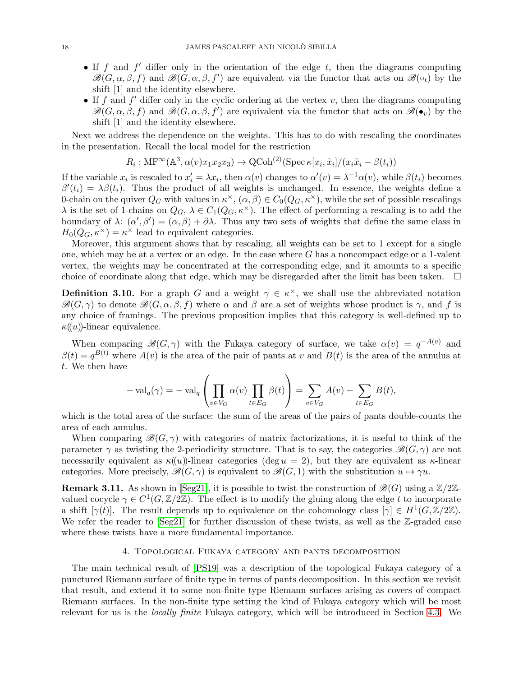- If  $f$  and  $f'$  differ only in the orientation of the edge  $t$ , then the diagrams computing  $\mathscr{B}(G,\alpha,\beta,f)$  and  $\mathscr{B}(G,\alpha,\beta,f')$  are equivalent via the functor that acts on  $\mathscr{B}(\circ_t)$  by the shift [1] and the identity elsewhere.
- If f and f' differ only in the cyclic ordering at the vertex v, then the diagrams computing  $\mathscr{B}(G,\alpha,\beta,f)$  and  $\mathscr{B}(G,\alpha,\beta,f')$  are equivalent via the functor that acts on  $\mathscr{B}(\bullet_v)$  by the shift [1] and the identity elsewhere.

Next we address the dependence on the weights. This has to do with rescaling the coordinates in the presentation. Recall the local model for the restriction

$$
R_i: \text{MF}^{\infty}(\mathbb{A}^3, \alpha(v)x_1x_2x_3) \to \text{QCoh}^{(2)}(\text{Spec } \kappa[x_i, \tilde{x}_i]/(x_i\tilde{x}_i - \beta(t_i))
$$

If the variable  $x_i$  is rescaled to  $x'_i = \lambda x_i$ , then  $\alpha(v)$  changes to  $\alpha'(v) = \lambda^{-1} \alpha(v)$ , while  $\beta(t_i)$  becomes  $\beta'(t_i) = \lambda \beta(t_i)$ . Thus the product of all weights is unchanged. In essence, the weights define a 0-chain on the quiver  $Q_G$  with values in  $\kappa^{\times}$ ,  $(\alpha, \beta) \in C_0(Q_G, \kappa^{\times})$ , while the set of possible rescalings  $\lambda$  is the set of 1-chains on  $Q_G$ ,  $\lambda \in C_1(Q_G, \kappa^\times)$ . The effect of performing a rescaling is to add the boundary of  $\lambda: (\alpha', \beta') = (\alpha, \beta) + \partial \lambda$ . Thus any two sets of weights that define the same class in  $H_0(Q_G, \kappa^{\times}) = \kappa^{\times}$  lead to equivalent categories.

Moreover, this argument shows that by rescaling, all weights can be set to 1 except for a single one, which may be at a vertex or an edge. In the case where  $G$  has a noncompact edge or a 1-valent vertex, the weights may be concentrated at the corresponding edge, and it amounts to a specific choice of coordinate along that edge, which may be disregarded after the limit has been taken.  $\Box$ 

<span id="page-17-2"></span>**Definition 3.10.** For a graph G and a weight  $\gamma \in \kappa^{\times}$ , we shall use the abbreviated notation  $\mathscr{B}(G,\gamma)$  to denote  $\mathscr{B}(G,\alpha,\beta,f)$  where  $\alpha$  and  $\beta$  are a set of weights whose product is  $\gamma$ , and f is any choice of framings. The previous proposition implies that this category is well-defined up to  $\kappa(u)$ -linear equivalence.

When comparing  $\mathscr{B}(G,\gamma)$  with the Fukaya category of surface, we take  $\alpha(v) = q^{-A(v)}$  and  $\beta(t) = q^{B(t)}$  where  $A(v)$  is the area of the pair of pants at v and  $B(t)$  is the area of the annulus at t. We then have

$$
-\operatorname{val}_q(\gamma) = -\operatorname{val}_q\left(\prod_{v \in V_G} \alpha(v) \prod_{t \in E_G} \beta(t)\right) = \sum_{v \in V_G} A(v) - \sum_{t \in E_G} B(t),
$$

which is the total area of the surface: the sum of the areas of the pairs of pants double-counts the area of each annulus.

When comparing  $\mathscr{B}(G,\gamma)$  with categories of matrix factorizations, it is useful to think of the parameter  $\gamma$  as twisting the 2-periodicity structure. That is to say, the categories  $\mathscr{B}(G, \gamma)$  are not necessarily equivalent as  $\kappa(u)$ -linear categories (deg  $u = 2$ ), but they are equivalent as  $\kappa$ -linear categories. More precisely,  $\mathscr{B}(G, \gamma)$  is equivalent to  $\mathscr{B}(G, 1)$  with the substitution  $u \mapsto \gamma u$ .

<span id="page-17-1"></span>**Remark 3.11.** As shown in [\[Seg21\]](#page-44-18), it is possible to twist the construction of  $\mathscr{B}(G)$  using a  $\mathbb{Z}/2\mathbb{Z}$ valued cocycle  $\gamma \in C^1(G, \mathbb{Z}/2\mathbb{Z})$ . The effect is to modify the gluing along the edge t to incorporate a shift  $[\gamma(t)]$ . The result depends up to equivalence on the cohomology class  $[\gamma] \in H^1(G,\mathbb{Z}/2\mathbb{Z})$ . We refer the reader to  $[Seg21]$  for further discussion of these twists, as well as the  $\mathbb{Z}$ -graded case where these twists have a more fundamental importance.

#### 4. Topological Fukaya category and pants decomposition

<span id="page-17-0"></span>The main technical result of [\[PS19\]](#page-44-12) was a description of the topological Fukaya category of a punctured Riemann surface of finite type in terms of pants decomposition. In this section we revisit that result, and extend it to some non-finite type Riemann surfaces arising as covers of compact Riemann surfaces. In the non-finite type setting the kind of Fukaya category which will be most relevant for us is the locally finite Fukaya category, which will be introduced in Section [4.3.](#page-22-0) We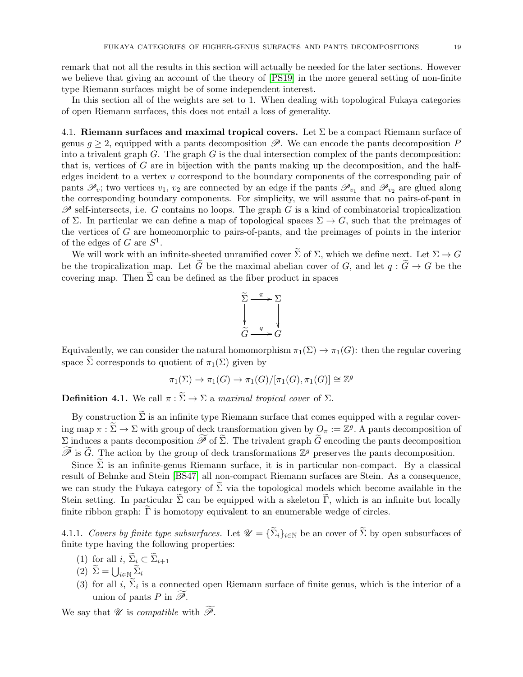remark that not all the results in this section will actually be needed for the later sections. However we believe that giving an account of the theory of [\[PS19\]](#page-44-12) in the more general setting of non-finite type Riemann surfaces might be of some independent interest.

In this section all of the weights are set to 1. When dealing with topological Fukaya categories of open Riemann surfaces, this does not entail a loss of generality.

<span id="page-18-0"></span>4.1. Riemann surfaces and maximal tropical covers. Let  $\Sigma$  be a compact Riemann surface of genus  $g \geq 2$ , equipped with a pants decomposition  $\mathscr{P}$ . We can encode the pants decomposition P into a trivalent graph  $G$ . The graph  $G$  is the dual intersection complex of the pants decomposition: that is, vertices of  $G$  are in bijection with the pants making up the decomposition, and the halfedges incident to a vertex v correspond to the boundary components of the corresponding pair of pants  $\mathscr{P}_v$ ; two vertices  $v_1, v_2$  are connected by an edge if the pants  $\mathscr{P}_{v_1}$  and  $\mathscr{P}_{v_2}$  are glued along the corresponding boundary components. For simplicity, we will assume that no pairs-of-pant in  $\mathscr P$  self-intersects, i.e. G contains no loops. The graph G is a kind of combinatorial tropicalization of Σ. In particular we can define a map of topological spaces  $\Sigma \to G$ , such that the preimages of the vertices of G are homeomorphic to pairs-of-pants, and the preimages of points in the interior of the edges of G are  $S^1$ .

We will work with an infinite-sheeted unramified cover  $\widetilde{\Sigma}$  of  $\Sigma$ , which we define next. Let  $\Sigma \to G$ be the tropicalization map. Let  $\tilde{G}$  be the maximal abelian cover of G, and let  $q : \tilde{G} \to G$  be the covering map. Then  $\Sigma$  can be defined as the fiber product in spaces



Equivalently, we can consider the natural homomorphism  $\pi_1(\Sigma) \to \pi_1(G)$ : then the regular covering space  $\tilde{\Sigma}$  corresponds to quotient of  $\pi_1(\Sigma)$  given by

$$
\pi_1(\Sigma) \to \pi_1(G) \to \pi_1(G)/[\pi_1(G), \pi_1(G)] \cong \mathbb{Z}^g
$$

**Definition 4.1.** We call  $\pi : \widetilde{\Sigma} \to \Sigma$  a maximal tropical cover of  $\Sigma$ .

By construction  $\widetilde{\Sigma}$  is an infinite type Riemann surface that comes equipped with a regular covering map  $\pi : \Sigma \to \Sigma$  with group of deck transformation given by  $Q_{\pi} := \mathbb{Z}^g$ . A pants decomposition of Σ induces a pants decomposition  $\widetilde{\mathcal{P}}$  of  $\widetilde{\Sigma}$ . The trivalent graph  $\widetilde{G}$  encoding the pants decomposition  $\widetilde{\mathscr{P}}$  is  $\widetilde{G}$ . The action by the group of deck transformations  $\mathbb{Z}^g$  preserves the pants decomposition.

Since  $\Sigma$  is an infinite-genus Riemann surface, it is in particular non-compact. By a classical result of Behnke and Stein [\[BS47\]](#page-44-24) all non-compact Riemann surfaces are Stein. As a consequence, we can study the Fukaya category of  $\Sigma$  via the topological models which become available in the Stein setting. In particular  $\tilde{\Sigma}$  can be equipped with a skeleton  $\tilde{\Gamma}$ , which is an infinite but locally finite ribbon graph:  $\Gamma$  is homotopy equivalent to an enumerable wedge of circles.

<span id="page-18-1"></span>4.1.1. Covers by finite type subsurfaces. Let  $\mathcal{U} = {\{\widetilde{\Sigma}_i\}}_{i \in \mathbb{N}}$  be an cover of  $\widetilde{\Sigma}$  by open subsurfaces of finite type having the following properties:

- (1) for all  $i, \, \widetilde{\Sigma}_i \subset \widetilde{\Sigma}_{i+1}$
- $(2) \ \widetilde{\Sigma} = \bigcup_{i \in \mathbb{N}} \widetilde{\Sigma}_i$
- (3) for all i,  $\Sigma_i$  is a connected open Riemann surface of finite genus, which is the interior of a union of pants P in  $\widetilde{\mathscr{P}}$ .

We say that  $\mathscr U$  is compatible with  $\widetilde{\mathscr P}$ .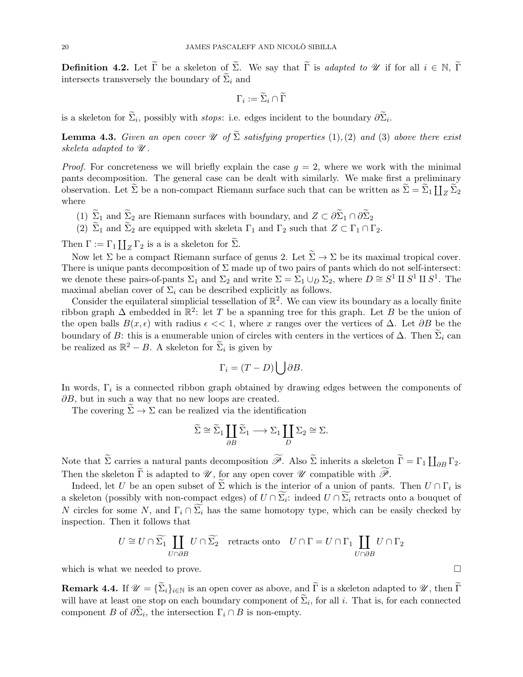**Definition 4.2.** Let  $\tilde{\Gamma}$  be a skeleton of  $\tilde{\Sigma}$ . We say that  $\tilde{\Gamma}$  is *adapted to U* if for all  $i \in \mathbb{N}$ ,  $\tilde{\Gamma}$ intersects transversely the boundary of  $\widetilde{\Sigma}_i$  and

$$
\Gamma_i := \widetilde{\Sigma}_i \cap \widetilde{\Gamma}
$$

is a skeleton for  $\Sigma_i$ , possibly with *stops*: i.e. edges incident to the boundary  $\partial \Sigma_i$ .

**Lemma 4.3.** Given an open cover  $\mathcal{U}$  of  $\tilde{\Sigma}$  satisfying properties (1), (2) and (3) above there exist skeleta adapted to  $\mathscr U$ .

*Proof.* For concreteness we will briefly explain the case  $q = 2$ , where we work with the minimal pants decomposition. The general case can be dealt with similarly. We make first a preliminary observation. Let  $\widetilde{\Sigma}$  be a non-compact Riemann surface such that can be written as  $\widetilde{\Sigma} = \widetilde{\Sigma}_1 \coprod_Z \widetilde{\Sigma}_2$ where

- (1)  $\widetilde{\Sigma}_1$  and  $\widetilde{\Sigma}_2$  are Riemann surfaces with boundary, and  $Z \subset \partial \widetilde{\Sigma}_1 \cap \partial \widetilde{\Sigma}_2$
- (2)  $\widetilde{\Sigma}_1$  and  $\widetilde{\Sigma}_2$  are equipped with skeleta  $\Gamma_1$  and  $\Gamma_2$  such that  $Z \subset \Gamma_1 \cap \Gamma_2$ .

Then  $\Gamma := \Gamma_1 \coprod_Z \Gamma_2$  is a is a skeleton for  $\widetilde{\Sigma}$ .

Now let  $\Sigma$  be a compact Riemann surface of genus 2. Let  $\widetilde{\Sigma} \to \Sigma$  be its maximal tropical cover. There is unique pants decomposition of  $\Sigma$  made up of two pairs of pants which do not self-intersect: we denote these pairs-of-pants  $\Sigma_1$  and  $\Sigma_2$  and write  $\Sigma = \Sigma_1 \cup_D \Sigma_2$ , where  $D \cong S^1 \amalg S^1 \amalg S^1$ . The maximal abelian cover of  $\Sigma_i$  can be described explicitly as follows.

Consider the equilateral simplicial tessellation of  $\mathbb{R}^2$ . We can view its boundary as a locally finite ribbon graph  $\Delta$  embedded in  $\mathbb{R}^2$ : let T be a spanning tree for this graph. Let B be the union of the open balls  $B(x, \epsilon)$  with radius  $\epsilon \ll 1$ , where x ranges over the vertices of  $\Delta$ . Let  $\partial B$  be the boundary of B: this is a enumerable union of circles with centers in the vertices of  $\Delta$ . Then  $\Sigma_i$  can be realized as  $\mathbb{R}^2 - B$ . A skeleton for  $\widetilde{\Sigma}_i$  is given by

$$
\Gamma_i = (T - D) \bigcup \partial B.
$$

In words,  $\Gamma_i$  is a connected ribbon graph obtained by drawing edges between the components of  $\partial B$ , but in such a way that no new loops are created.

The covering  $\Sigma \to \Sigma$  can be realized via the identification

$$
\widetilde{\Sigma} \cong \widetilde{\Sigma}_1 \coprod_{\partial B} \widetilde{\Sigma}_1 \longrightarrow \Sigma_1 \coprod_{D} \Sigma_2 \cong \Sigma.
$$

Note that  $\widetilde{\Sigma}$  carries a natural pants decomposition  $\widetilde{\mathscr{P}}$ . Also  $\widetilde{\Sigma}$  inherits a skeleton  $\widetilde{\Gamma} = \Gamma_1 \coprod_{\partial B} \Gamma_2$ . Then the skeleton  $\Gamma$  is adapted to  $\mathscr U$ , for any open cover  $\mathscr U$  compatible with  $\mathscr P$ .

Indeed, let U be an open subset of  $\Sigma$  which is the interior of a union of pants. Then  $U \cap \Gamma_i$  is a skeleton (possibly with non-compact edges) of  $U \cap \Sigma_i$ : indeed  $U \cap \Sigma_i$  retracts onto a bouquet of N circles for some N, and  $\Gamma_i \cap \overline{\Sigma_i}$  has the same homotopy type, which can be easily checked by inspection. Then it follows that

$$
U\cong U\cap \widetilde{\Sigma_1}\coprod_{U\cap \partial B}U\cap \widetilde{\Sigma_2}\quad \text{retracts onto}\quad U\cap \Gamma=U\cap \Gamma_1\coprod_{U\cap \partial B}U\cap \Gamma_2
$$

which is what we needed to prove.  $\Box$ 

<span id="page-19-0"></span>**Remark 4.4.** If  $\mathcal{U} = {\{\widetilde{\Sigma}_i\}}_{i\in\mathbb{N}}$  is an open cover as above, and  $\widetilde{\Gamma}$  is a skeleton adapted to  $\mathcal{U}$ , then  $\widetilde{\Gamma}$ will have at least one stop on each boundary component of  $\Sigma_i$ , for all i. That is, for each connected component B of  $\partial \Sigma_i$ , the intersection  $\Gamma_i \cap B$  is non-empty.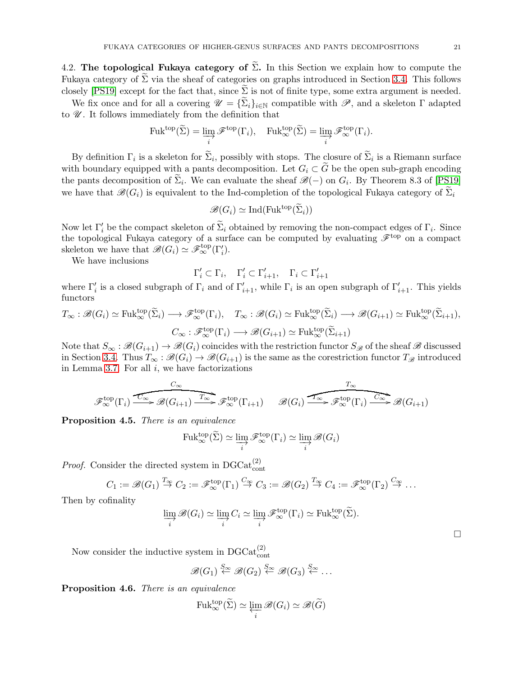$\Box$ 

<span id="page-20-0"></span>4.2. The topological Fukaya category of  $\widetilde{\Sigma}$ . In this Section we explain how to compute the Fukaya category of  $\Sigma$  via the sheaf of categories on graphs introduced in Section [3.4.](#page-14-0) This follows closely [\[PS19\]](#page-44-12) except for the fact that, since  $\Sigma$  is not of finite type, some extra argument is needed.

We fix once and for all a covering  $\mathscr{U} = {\{\Sigma_i\}}_{i\in\mathbb{N}}$  compatible with  $\mathscr{P}$ , and a skeleton  $\Gamma$  adapted to  $\mathscr U$ . It follows immediately from the definition that

$$
\mathrm{Fuk}^{\mathrm{top}}(\widetilde{\Sigma}) = \varinjlim_{i} \mathscr{F}^{\mathrm{top}}(\Gamma_{i}), \quad \mathrm{Fuk}_{\infty}^{\mathrm{top}}(\widetilde{\Sigma}) = \varinjlim_{i} \mathscr{F}_{\infty}^{\mathrm{top}}(\Gamma_{i}).
$$

By definition  $\Gamma_i$  is a skeleton for  $\Sigma_i$ , possibly with stops. The closure of  $\Sigma_i$  is a Riemann surface with boundary equipped with a pants decomposition. Let  $G_i \subset G$  be the open sub-graph encoding the pants decomposition of  $\tilde{\Sigma}_i$ . We can evaluate the sheaf  $\mathscr{B}(-)$  on  $G_i$ . By Theorem 8.3 of [\[PS19\]](#page-44-12) we have that  $\mathscr{B}(G_i)$  is equivalent to the Ind-completion of the topological Fukaya category of  $\Sigma_i$ 

$$
\mathscr{B}(G_i) \simeq \mathrm{Ind}(\mathrm{Fuk}^{\mathrm{top}}(\widetilde{\Sigma}_i))
$$

Now let  $\Gamma'_i$  be the compact skeleton of  $\Sigma_i$  obtained by removing the non-compact edges of  $\Gamma_i$ . Since the topological Fukaya category of a surface can be computed by evaluating  $\mathscr{F}^{\text{top}}$  on a compact skeleton we have that  $\mathscr{B}(G_i) \simeq \mathscr{F}_{\infty}^{\text{top}}(\Gamma'_i)$ .

We have inclusions

$$
\Gamma'_i \subset \Gamma_i, \quad \Gamma'_i \subset \Gamma'_{i+1}, \quad \Gamma_i \subset \Gamma'_{i+1}
$$

where  $\Gamma'_i$  is a closed subgraph of  $\Gamma_i$  and of  $\Gamma'_{i+1}$ , while  $\Gamma_i$  is an open subgraph of  $\Gamma'_{i+1}$ . This yields functors

$$
T_{\infty}: \mathscr{B}(G_i) \simeq \text{Fuk}_{\infty}^{\text{top}}(\widetilde{\Sigma}_i) \longrightarrow \mathscr{F}_{\infty}^{\text{top}}(\Gamma_i), \quad T_{\infty}: \mathscr{B}(G_i) \simeq \text{Fuk}_{\infty}^{\text{top}}(\widetilde{\Sigma}_i) \longrightarrow \mathscr{B}(G_{i+1}) \simeq \text{Fuk}_{\infty}^{\text{top}}(\widetilde{\Sigma}_{i+1}),
$$

$$
C_{\infty}: \mathscr{F}_{\infty}^{\text{top}}(\Gamma_i) \longrightarrow \mathscr{B}(G_{i+1}) \simeq \text{Fuk}_{\infty}^{\text{top}}(\widetilde{\Sigma}_{i+1})
$$

Note that  $S_\infty : \mathscr{B}(G_{i+1}) \to \mathscr{B}(G_i)$  coincides with the restriction functor  $S_\mathscr{B}$  of the sheaf  $\mathscr{B}$  discussed in Section [3.4.](#page-14-0) Thus  $T_\infty : \mathscr{B}(G_i) \to \mathscr{B}(G_{i+1})$  is the same as the corestriction functor  $T_{\mathscr{B}}$  introduced in Lemma [3.7.](#page-15-3) For all  $i$ , we have factorizations

$$
\mathscr{F}_{\infty}^{\text{top}}(\Gamma_i) \xrightarrow{\overbrace{C_{\infty}}} \mathscr{B}(G_{i+1}) \xrightarrow{\overbrace{T_{\infty}}} \mathscr{F}_{\infty}^{\text{top}}(\Gamma_{i+1}) \qquad \mathscr{B}(G_i) \xrightarrow{\overbrace{T_{\infty}}} \mathscr{F}_{\infty}^{\text{top}}(\Gamma_i) \xrightarrow{\overbrace{C_{\infty}}} \mathscr{B}(G_{i+1})
$$

<span id="page-20-1"></span>Proposition 4.5. There is an equivalence

$$
\mathrm{Fuk}_{\infty}^{\mathrm{top}}(\widetilde{\Sigma}) \simeq \varinjlim_{i} \mathscr{F}_{\infty}^{\mathrm{top}}(\Gamma_{i}) \simeq \varinjlim_{i} \mathscr{B}(G_{i})
$$

*Proof.* Consider the directed system in  $DGCat_{cont}^{(2)}$ 

$$
C_1 := \mathscr{B}(G_1) \stackrel{T_{\infty}}{\to} C_2 := \mathscr{F}_{\infty}^{\text{top}}(\Gamma_1) \stackrel{C_{\infty}}{\to} C_3 := \mathscr{B}(G_2) \stackrel{T_{\infty}}{\to} C_4 := \mathscr{F}_{\infty}^{\text{top}}(\Gamma_2) \stackrel{C_{\infty}}{\to} \dots
$$

Then by cofinality

$$
\varinjlim_{i} \mathscr{B}(G_{i}) \simeq \varinjlim_{i} C_{i} \simeq \varinjlim_{i} \mathscr{F}_{\infty}^{\text{top}}(\Gamma_{i}) \simeq \text{Fuk}_{\infty}^{\text{top}}(\widetilde{\Sigma}).
$$

Now consider the inductive system in  $\text{DGCat}_{\text{cont}}^{(2)}$ 

$$
\mathscr{B}(G_1) \stackrel{S_{\infty}}{\leftarrow} \mathscr{B}(G_2) \stackrel{S_{\infty}}{\leftarrow} \mathscr{B}(G_3) \stackrel{S_{\infty}}{\leftarrow} \dots
$$

<span id="page-20-2"></span>Proposition 4.6. There is an equivalence

$$
\mathrm{Fuk}_{\infty}^{\mathrm{top}}(\widetilde{\Sigma}) \simeq \varprojlim_{i} \mathscr{B}(G_{i}) \simeq \mathscr{B}(\widetilde{G})
$$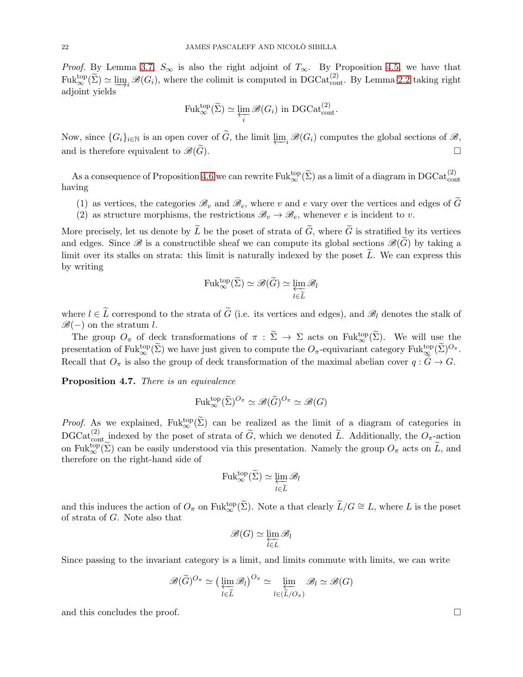*Proof.* By Lemma [3.7,](#page-15-3)  $S_{\infty}$  is also the right adjoint of  $T_{\infty}$ . By Proposition [4.5,](#page-20-1) we have that  $\text{Fuk}_{\infty}^{\text{top}}(\widetilde{\Sigma}) \simeq \varinjlim_{i} \mathscr{B}(G_i)$ , where the colimit is computed in DGCat $_{\text{cont}}^{(2)}$ . By Lemma [2.2](#page-6-0) taking right adjoint vields adjoint yields

$$
\mathrm{Fuk}_{\infty}^{\mathrm{top}}(\widetilde{\Sigma}) \simeq \varprojlim_{i} \mathscr{B}(G_{i}) \text{ in } \mathrm{DGCat}_{\mathrm{cont}}^{(2)}.
$$

Now, since  $\{G_i\}_{i\in\mathbb{N}}$  is an open cover of  $\widetilde{G}$ , the limit  $\varprojlim_i \mathscr{B}(G_i)$  computes the global sections of  $\mathscr{B}$ , and is therefore equivalent to  $\mathscr{B}(\widetilde{G})$ .

As a consequence of Proposition [4.6](#page-20-2) we can rewrite  $\text{Fuk}_{\infty}^{\text{top}}(\widetilde{\Sigma})$  as a limit of a diagram in  $\text{DGCat}_{\text{cont}}^{(2)}$ . having

- (1) as vertices, the categories  $\mathscr{B}_v$  and  $\mathscr{B}_e$ , where v and e vary over the vertices and edges of G
- (2) as structure morphisms, the restrictions  $\mathscr{B}_v \to \mathscr{B}_e$ , whenever e is incident to v.

More precisely, let us denote by  $\widetilde{L}$  be the poset of strata of  $\widetilde{G}$ , where  $\widetilde{G}$  is stratified by its vertices and edges. Since  $\mathscr{B}$  is a constructible sheaf we can compute its global sections  $\mathscr{B}(G)$  by taking a limit over its stalks on strata: this limit is naturally indexed by the poset  $\tilde{L}$ . We can express this by writing

$$
\mathrm{Fuk}_{\infty}^{\mathrm{top}}(\widetilde{\Sigma}) \simeq \mathscr{B}(\widetilde{G}) \simeq \varprojlim_{l \in \widetilde{L}} \mathscr{B}_{l}
$$

where  $l \in \tilde{L}$  correspond to the strata of  $\tilde{G}$  (i.e. its vertices and edges), and  $\mathscr{B}_l$  denotes the stalk of  $\mathscr{B}(-)$  on the stratum l.

The group  $O_{\pi}$  of deck transformations of  $\pi : \widetilde{\Sigma} \to \Sigma$  acts on Fuktop $(\widetilde{\Sigma})$ . We will use the presentation of  $\text{Fuk}_{\infty}^{\text{top}}(\widetilde{\Sigma})$  we have just given to compute the  $O_{\pi}$ -equivariant category  $\text{Fuk}_{\infty}^{\text{top}}(\widetilde{\Sigma})^{O_{\pi}}$ . Recall that  $O_{\pi}$  is also the group of deck transformation of the maximal abelian cover  $q : \widetilde{G} \to G$ .

<span id="page-21-0"></span>Proposition 4.7. There is an equivalence

$$
\mathrm{Fuk}_{\infty}^{\mathrm{top}}(\widetilde{\Sigma})^{O_{\pi}} \simeq \mathscr{B}(\widetilde{G})^{O_{\pi}} \simeq \mathscr{B}(G)
$$

*Proof.* As we explained,  $Fuk_{\infty}^{top}(\tilde{\Sigma})$  can be realized as the limit of a diagram of categories in  $\text{DGCat}_{\text{cont}}^{(2)}$  indexed by the poset of strata of  $\widetilde{G}$ , which we denoted  $\widetilde{L}$ . Additionally, the  $O_{\pi}$ -action on Fuktop $(\tilde{\Sigma})$  can be easily understood via this presentation. Namely the group  $O_{\pi}$  acts on  $\tilde{L}$ , and therefore on the right-hand side of

$$
\mathrm{Fuk}_{\infty}^{\mathrm{top}}(\widetilde{\Sigma}) \simeq \varprojlim_{l \in \widetilde{L}} \mathscr{B}_l
$$

and this induces the action of  $O_{\pi}$  on Fuk<sup>top</sup>( $\tilde{\Sigma}$ ). Note a that clearly  $\tilde{L}/G \cong L$ , where L is the poset of strata of G. Note also that

$$
\mathscr{B}(G)\simeq \varprojlim_{l\in L}\mathscr{B}_l
$$

Since passing to the invariant category is a limit, and limits commute with limits, we can write

$$
\mathscr{B}(\widetilde{G})^{O_{\pi}} \simeq \left(\varprojlim_{l \in \widetilde{L}} \mathscr{B}_{l}\right)^{O_{\pi}} \simeq \varprojlim_{l \in (\widetilde{L}/O_{\pi})} \mathscr{B}_{l} \simeq \mathscr{B}(G)
$$

and this concludes the proof.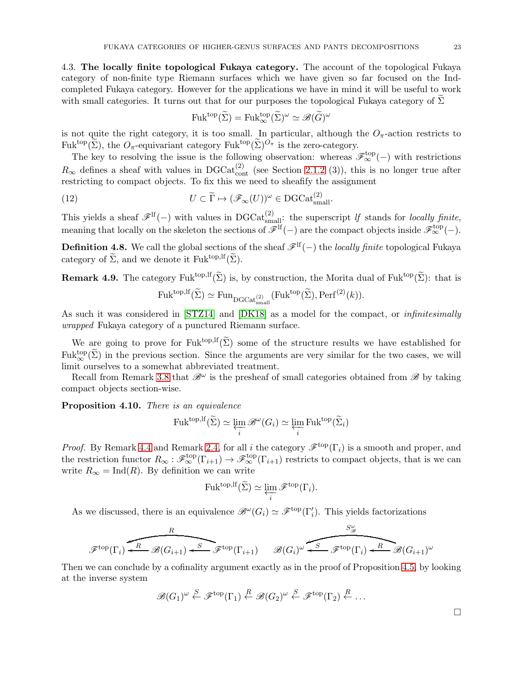<span id="page-22-0"></span>4.3. The locally finite topological Fukaya category. The account of the topological Fukaya category of non-finite type Riemann surfaces which we have given so far focused on the Indcompleted Fukaya category. However for the applications we have in mind it will be useful to work with small categories. It turns out that for our purposes the topological Fukaya category of  $\Sigma$ 

$$
\text{Fuk}^{\text{top}}(\widetilde{\Sigma}) = \text{Fuk}_{\infty}^{\text{top}}(\widetilde{\Sigma})^{\omega} \simeq \mathscr{B}(\widetilde{G})^{\omega}
$$

is not quite the right category, it is too small. In particular, although the  $O_\pi$ -action restricts to Fuk<sup>top</sup>( $\widetilde{\Sigma}$ ), the  $O_{\pi}$ -equivariant category Fuk<sup>top</sup>( $\widetilde{\Sigma}$ )<sup> $O_{\pi}$ </sup> is the zero-category.

The key to resolving the issue is the following observation: whereas  $\mathscr{F}_{\infty}^{\text{top}}(-)$  with restrictions  $R_{\infty}$  defines a sheaf with values in DGCat<sup>(2)</sup><sub>cont</sub> (see Section [2.1.2](#page-7-0) (3)), this is no longer true after restricting to compact objects. To fix this we need to sheafify the assignment

(12) 
$$
U \subset \widetilde{\Gamma} \mapsto (\mathscr{F}_{\infty}(U))^{\omega} \in \text{DGCat}_{\text{small}}^{(2)}.
$$

This yields a sheaf  $\mathscr{F}^{\text{lf}}(-)$  with values in DGCat<sup>(2)</sup><sub>small</sub>: the superscript *lf* stands for *locally finite*, meaning that locally on the skeleton the sections of  $\mathscr{F}^{\text{If}}(-)$  are the compact objects inside  $\mathscr{F}^{\text{top}}_{\infty}(-)$ .

**Definition 4.8.** We call the global sections of the sheaf  $\mathscr{F}^{lf}(-)$  the *locally finite* topological Fukaya category of  $\widetilde{\Sigma}$ , and we denote it Fuk<sup>top, If</sup> $(\widetilde{\Sigma})$ .

**Remark 4.9.** The category Fuk<sup>top,lf</sup> $(\widetilde{\Sigma})$  is, by construction, the Morita dual of Fuk<sup>top</sup> $(\widetilde{\Sigma})$ : that is

$$
\mathrm{Fuk}^{\mathrm{top},\mathrm{lf}}(\widetilde{\Sigma}) \simeq \mathrm{Fun}_{\mathrm{DGCat}_{\mathrm{small}}^{(2)}}(\mathrm{Fuk}^{\mathrm{top}}(\widetilde{\Sigma}), \mathrm{Perf}^{(2)}(k)).
$$

As such it was considered in [\[STZ14\]](#page-45-4) and [\[DK18\]](#page-44-11) as a model for the compact, or infinitesimally wrapped Fukaya category of a punctured Riemann surface.

We are going to prove for Fuk<sup>top,lf</sup> $(\widetilde{\Sigma})$  some of the structure results we have established for  $Fuk_{\infty}^{top}(\tilde{\Sigma})$  in the previous section. Since the arguments are very similar for the two cases, we will limit ourselves to a somewhat abbreviated treatment.

Recall from Remark [3.8](#page-16-1) that  $\mathscr{B}^{\omega}$  is the presheaf of small categories obtained from  $\mathscr{B}$  by taking compact objects section-wise.

<span id="page-22-1"></span>Proposition 4.10. There is an equivalence

$$
\mathrm{Fuk}^{\mathrm{top},\mathrm{lf}}(\widetilde{\Sigma}) \simeq \varprojlim_{i} \mathscr{B}^{\omega}(G_{i}) \simeq \varprojlim_{i} \mathrm{Fuk}^{\mathrm{top}}(\widetilde{\Sigma}_{i})
$$

*Proof.* By Remark [4.4](#page-19-0) and Remark [2.4,](#page-7-1) for all i the category  $\mathscr{F}^{top}(\Gamma_i)$  is a smooth and proper, and the restriction functor  $R_{\infty}: \mathscr{F}_{\infty}^{\text{top}}(\Gamma_{i+1}) \to \mathscr{F}_{\infty}^{\text{top}}(\Gamma_{i+1})$  restricts to compact objects, that is we can write  $R_{\infty} = \text{Ind}(R)$ . By definition we can write

$$
\mathrm{Fuk}^{\mathrm{top},\mathrm{lf}}(\widetilde{\Sigma}) \simeq \varprojlim_{i} \mathscr{F}^{\mathrm{top}}(\Gamma_{i}).
$$

As we discussed, there is an equivalence  $\mathscr{B}^{\omega}(G_i) \simeq \mathscr{F}^{\text{top}}(\Gamma'_i)$ . This yields factorizations

$$
\overbrace{\mathscr{F}^{\mathrm{top}}(\Gamma_i) \xleftarrow{R} \mathscr{B}(G_{i+1}) \xleftarrow{S} \mathscr{F}^{\mathrm{top}}(\Gamma_{i+1})}^R \qquad \mathscr{B}(G_i)^\omega \xleftarrow{S} \mathscr{F}^{\mathrm{top}}(\Gamma_i) \xleftarrow{R} \mathscr{B}(G_{i+1})^\omega
$$

Then we can conclude by a cofinality argument exactly as in the proof of Proposition [4.5,](#page-20-1) by looking at the inverse system

$$
\mathscr{B}(G_1)^{\omega} \stackrel{S}{\leftarrow} \mathscr{F}^{\text{top}}(\Gamma_1) \stackrel{R}{\leftarrow} \mathscr{B}(G_2)^{\omega} \stackrel{S}{\leftarrow} \mathscr{F}^{\text{top}}(\Gamma_2) \stackrel{R}{\leftarrow} \dots
$$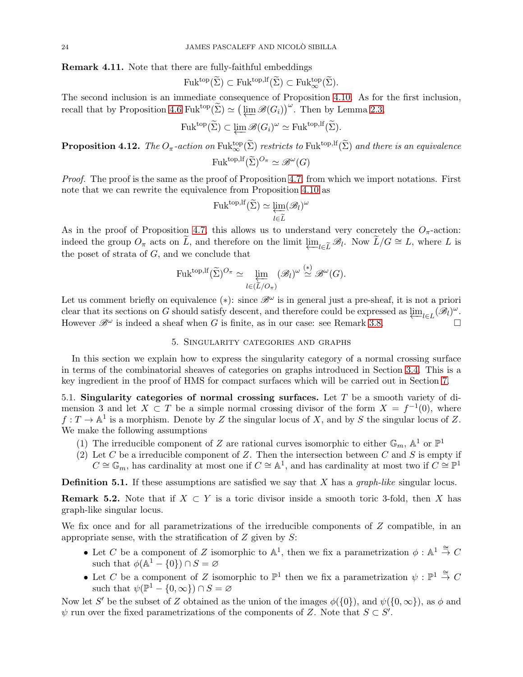Remark 4.11. Note that there are fully-faithful embeddings

$$
\mathrm{Fuk}^{\mathrm{top}}(\widetilde{\Sigma}) \subset \mathrm{Fuk}^{\mathrm{top},\mathrm{lf}}(\widetilde{\Sigma}) \subset \mathrm{Fuk}_{\infty}^{\mathrm{top}}(\widetilde{\Sigma}).
$$

The second inclusion is an immediate consequence of Proposition [4.10.](#page-22-1) As for the first inclusion, recall that by Proposition [4.6](#page-20-2) Fuk<sup>top</sup> $(\tilde{\Sigma}) \simeq (\varprojlim \mathscr{B}(G_i))^{\omega}$ . Then by Lemma [2.3,](#page-6-1)

$$
\mathrm{Fuk}^{\mathrm{top}}(\widetilde{\Sigma}) \subset \varprojlim \mathscr{B}(G_i)^{\omega} \simeq \mathrm{Fuk}^{\mathrm{top},\mathrm{lf}}(\widetilde{\Sigma}).
$$

<span id="page-23-2"></span>**Proposition 4.12.** The  $O_{\pi}$ -action on  $\text{Fuk}_{\infty}^{\text{top}}(\widetilde{\Sigma})$  restricts to  $\text{Fuk}^{\text{top},\text{lf}}(\widetilde{\Sigma})$  and there is an equivalence  $Fuk^{top, \mathrm{lf}}(\widetilde{\Sigma})^{O_{\pi}} \simeq \mathscr{B}^{\omega}(G)$ 

Proof. The proof is the same as the proof of Proposition [4.7,](#page-21-0) from which we import notations. First note that we can rewrite the equivalence from Proposition [4.10](#page-22-1) as

$$
\mathrm{Fuk}^{\mathrm{top},\mathrm{lf}}(\widetilde{\Sigma}) \simeq \varprojlim_{l \in \widetilde{L}} (\mathscr{B}_l)^{\omega}
$$

As in the proof of Proposition [4.7,](#page-21-0) this allows us to understand very concretely the  $O_{\pi}$ -action: indeed the group  $O_{\pi}$  acts on  $\tilde{L}$ , and therefore on the limit  $\underline{\lim}_{l\in\tilde{L}}\mathscr{B}_{l}$ . Now  $\tilde{L}/G\cong L$ , where  $L$  is the poset of strate of  $G$  and we conclude that the poset of strata of  $G$ , and we conclude that

$$
\mathrm{Fuk}^{\mathrm{top},\mathrm{lf}}(\widetilde{\Sigma})^{O_{\pi}} \simeq \varprojlim_{l \in (\widetilde{L}/O_{\pi})} (\mathscr{B}_{l})^{\omega} \stackrel{(*)}{\simeq} \mathscr{B}^{\omega}(G).
$$

Let us comment briefly on equivalence (\*): since  $\mathscr{B}^{\omega}$  is in general just a pre-sheaf, it is not a priori clear that its sections on G should satisfy descent, and therefore could be expressed as  $\varprojlim_{l\in L} (\mathscr{B}_l)^{\omega}$ .<br>However  $\mathscr{R}^{\omega}$  is indeed a short when G is finite as in our case; see Bemark 3.8 However  $\mathscr{B}^{\omega}$  is indeed a sheaf when G is finite, as in our case: see Remark [3.8.](#page-16-1)

#### 5. Singularity categories and graphs

<span id="page-23-0"></span>In this section we explain how to express the singularity category of a normal crossing surface in terms of the combinatorial sheaves of categories on graphs introduced in Section [3.4.](#page-14-0) This is a key ingredient in the proof of HMS for compact surfaces which will be carried out in Section [7.](#page-41-0)

<span id="page-23-1"></span>5.1. Singularity categories of normal crossing surfaces. Let  $T$  be a smooth variety of dimension 3 and let  $X \subset T$  be a simple normal crossing divisor of the form  $X = f^{-1}(0)$ , where  $f: T \to \mathbb{A}^1$  is a morphism. Denote by Z the singular locus of X, and by S the singular locus of Z. We make the following assumptions

- (1) The irreducible component of Z are rational curves isomorphic to either  $\mathbb{G}_m$ ,  $\mathbb{A}^1$  or  $\mathbb{P}^1$
- (2) Let C be a irreducible component of Z. Then the intersection between C and S is empty if  $C \cong \mathbb{G}_m$ , has cardinality at most one if  $C \cong \mathbb{A}^1$ , and has cardinality at most two if  $C \cong \mathbb{P}^1$

**Definition 5.1.** If these assumptions are satisfied we say that X has a *graph-like* singular locus.

<span id="page-23-3"></span>**Remark 5.2.** Note that if  $X \subset Y$  is a toric divisor inside a smooth toric 3-fold, then X has graph-like singular locus.

We fix once and for all parametrizations of the irreducible components of  $Z$  compatible, in an appropriate sense, with the stratification of  $Z$  given by  $S$ :

- Let C be a component of Z isomorphic to  $\mathbb{A}^1$ , then we fix a parametrization  $\phi : \mathbb{A}^1 \stackrel{\cong}{\to} C$ such that  $\phi(\mathbb{A}^1 - \{0\}) \cap S = \varnothing$
- Let C be a component of Z isomorphic to  $\mathbb{P}^1$  then we fix a parametrization  $\psi : \mathbb{P}^1 \stackrel{\cong}{\to} C$ such that  $\psi(\mathbb{P}^1 - \{0, \infty\}) \cap S = \varnothing$

Now let S' be the subset of Z obtained as the union of the images  $\phi({0})$ , and  $\psi({0,\infty})$ , as  $\phi$  and  $\psi$  run over the fixed parametrizations of the components of Z. Note that  $S \subset S'$ .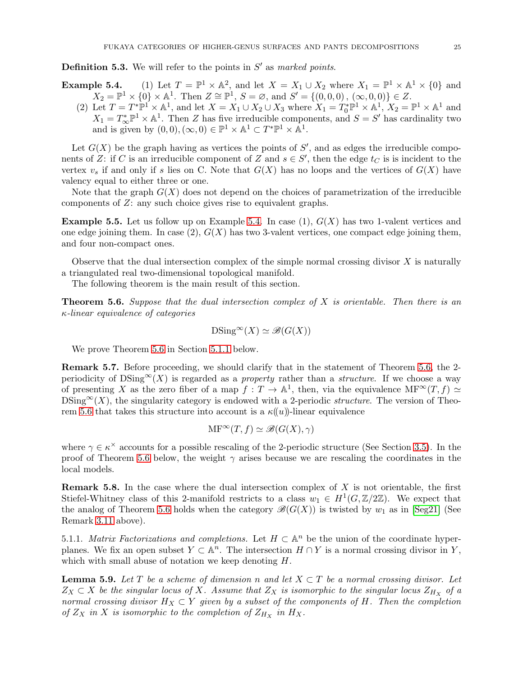**Definition 5.3.** We will refer to the points in  $S'$  as marked points.

**Example 5.4.** (1) Let  $T = \mathbb{P}$  $\Lambda^1 \times \Lambda^2$ , and let  $X = X_1 \cup X_2$  where  $X_1 = \mathbb{P}^1 \times \Lambda^1 \times \{0\}$  and  $X_2 = \mathbb{P}^1 \times \{0\} \times \mathbb{A}^1$ . Then  $Z \cong \mathbb{P}^1$ ,  $S = \emptyset$ , and  $S' = \{(0, 0, 0), (\infty, 0, 0)\} \in Z$ .

(2) Let  $T = T^* \mathbb{P}^1 \times \mathbb{A}^1$ , and let  $X = X_1 \cup X_2 \cup X_3$  where  $X_1 = T_0^* \mathbb{P}^1 \times \mathbb{A}^1$ ,  $X_2 = \mathbb{P}^1 \times \mathbb{A}^1$  and  $X_1 = T^*_{\infty} \mathbb{P}^1 \times \mathbb{A}^1$ . Then Z has five irreducible components, and  $S = S'$  has cardinality two and is given by  $(0,0), (\infty, 0) \in \mathbb{P}^1 \times \mathbb{A}^1 \subset T^* \mathbb{P}^1 \times \mathbb{A}^1$ .

Let  $G(X)$  be the graph having as vertices the points of  $S'$ , and as edges the irreducible components of Z: if C is an irreducible component of Z and  $s \in S'$ , then the edge  $t_C$  is is incident to the vertex  $v_s$  if and only if s lies on C. Note that  $G(X)$  has no loops and the vertices of  $G(X)$  have valency equal to either three or one.

Note that the graph  $G(X)$  does not depend on the choices of parametrization of the irreducible components of Z: any such choice gives rise to equivalent graphs.

**Example 5.5.** Let us follow up on Example 5.4. In case  $(1)$ ,  $G(X)$  has two 1-valent vertices and one edge joining them. In case  $(2)$ ,  $G(X)$  has two 3-valent vertices, one compact edge joining them, and four non-compact ones.

Observe that the dual intersection complex of the simple normal crossing divisor  $X$  is naturally a triangulated real two-dimensional topological manifold.

The following theorem is the main result of this section.

<span id="page-24-0"></span>**Theorem 5.6.** Suppose that the dual intersection complex of  $X$  is orientable. Then there is an κ-linear equivalence of categories

 $DSing^{\infty}(X) \simeq \mathcal{B}(G(X))$ 

We prove Theorem [5.6](#page-24-0) in Section [5.1.1](#page-24-1) below.

Remark 5.7. Before proceeding, we should clarify that in the statement of Theorem [5.6,](#page-24-0) the 2 periodicity of DSing<sup>∞</sup>(X) is regarded as a *property* rather than a *structure*. If we choose a way of presenting X as the zero fiber of a map  $f: T \to \mathbb{A}^1$ , then, via the equivalence  $\text{MF}^{\infty}(T, f) \simeq$  $DSing^{\infty}(X)$ , the singularity category is endowed with a 2-periodic *structure*. The version of Theo-rem [5.6](#page-24-0) that takes this structure into account is a  $\kappa((u))$ -linear equivalence

$$
\mathrm{MF}^\infty(T,f)\simeq \mathscr{B}(G(X),\gamma)
$$

where  $\gamma \in \kappa^\times$  accounts for a possible rescaling of the 2-periodic structure (See Section [3.5\)](#page-16-0). In the proof of Theorem [5.6](#page-24-0) below, the weight  $\gamma$  arises because we are rescaling the coordinates in the local models.

**Remark 5.8.** In the case where the dual intersection complex of  $X$  is not orientable, the first Stiefel-Whitney class of this 2-manifold restricts to a class  $w_1 \in H^1(G,\mathbb{Z}/2\mathbb{Z})$ . We expect that the analog of Theorem [5.6](#page-24-0) holds when the category  $\mathscr{B}(G(X))$  is twisted by  $w_1$  as in [\[Seg21\]](#page-44-18) (See Remark [3.11](#page-17-1) above).

<span id="page-24-1"></span>5.1.1. Matrix Factorizations and completions. Let  $H \subset \mathbb{A}^n$  be the union of the coordinate hyperplanes. We fix an open subset  $Y \subset \mathbb{A}^n$ . The intersection  $H \cap Y$  is a normal crossing divisor in Y, which with small abuse of notation we keep denoting  $H$ .

<span id="page-24-2"></span>**Lemma 5.9.** Let T be a scheme of dimension n and let  $X \subset T$  be a normal crossing divisor. Let  $Z_X \subset X$  be the singular locus of X. Assume that  $Z_X$  is isomorphic to the singular locus  $Z_{H_X}$  of a normal crossing divisor  $H_X \subset Y$  given by a subset of the components of H. Then the completion of  $Z_X$  in X is isomorphic to the completion of  $Z_{H_X}$  in  $H_X$ .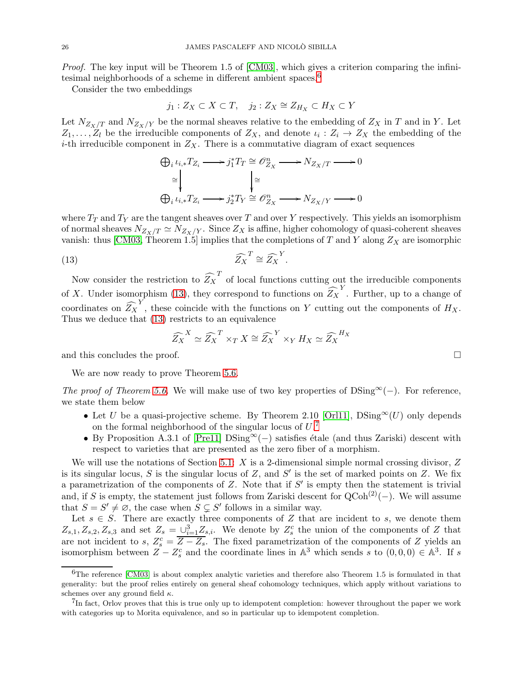Proof. The key input will be Theorem 1.5 of [\[CM03\]](#page-44-19), which gives a criterion comparing the infinitesimal neighborhoods of a scheme in different ambient spaces. [6](#page-25-0)

Consider the two embeddings

$$
j_1: Z_X \subset X \subset T, \quad j_2: Z_X \cong Z_{H_X} \subset H_X \subset Y
$$

Let  $N_{Z_X/T}$  and  $N_{Z_X/Y}$  be the normal sheaves relative to the embedding of  $Z_X$  in T and in Y. Let  $Z_1, \ldots, Z_l$  be the irreducible components of  $Z_X$ , and denote  $\iota_i : Z_i \to Z_X$  the embedding of the *i*-th irreducible component in  $Z_X$ . There is a commutative diagram of exact sequences

$$
\bigoplus_{i} \iota_{i,*} T_{Z_i} \longrightarrow j_1^* T_T \cong \mathcal{O}_{Z_X}^n \longrightarrow N_{Z_X/T} \longrightarrow 0
$$

$$
\cong \downarrow \qquad \qquad \downarrow \cong
$$

$$
\bigoplus_{i} \iota_{i,*} T_{Z_i} \longrightarrow j_2^* T_Y \cong \mathcal{O}_{Z_X}^n \longrightarrow N_{Z_X/Y} \longrightarrow 0
$$

where  $T_T$  and  $T_Y$  are the tangent sheaves over T and over Y respectively. This yields an isomorphism of normal sheaves  $N_{Z_X/T} \simeq N_{Z_X/Y}$ . Since  $Z_X$  is affine, higher cohomology of quasi-coherent sheaves vanish: thus [\[CM03,](#page-44-19) Theorem 1.5] implies that the completions of T and Y along  $Z_X$  are isomorphic

(13) 
$$
\widehat{Z_X}^T \cong \widehat{Z_X}^Y.
$$

Now consider the restriction to  $\widehat{Z_X}^T$  of local functions cutting out the irreducible components of X. Under isomorphism [\(13\)](#page-25-1), they correspond to functions on  $\widehat{Z}_X^Y$ . Further, up to a change of coordinates on  $\widehat{Z}_X^Y$ , these coincide with the functions on Y cutting out the components of  $H_X$ . Thus we deduce that [\(13\)](#page-25-1) restricts to an equivalence

<span id="page-25-1"></span>
$$
\widehat{Z_X}^X \simeq \widehat{Z_X}^T \times_T X \cong \widehat{Z_X}^Y \times_Y H_X \simeq \widehat{Z_X}^{H_X}
$$

and this concludes the proof.  $\Box$ 

We are now ready to prove Theorem [5.6.](#page-24-0)

The proof of Theorem [5.6.](#page-24-0) We will make use of two key properties of DSing<sup>∞</sup>(−). For reference, we state them below

- Let U be a quasi-projective scheme. By Theorem 2.10 [\[Orl11\]](#page-44-26),  $DSing^{\infty}(U)$  only depends on the formal neighborhood of the singular locus of  $U$ .<sup>[7](#page-25-2)</sup>
- By Proposition A.3.1 of [\[Pre11\]](#page-44-20) DSing<sup>∞</sup>(−) satisfies étale (and thus Zariski) descent with respect to varieties that are presented as the zero fiber of a morphism.

We will use the notations of Section [5.1:](#page-23-1)  $X$  is a 2-dimensional simple normal crossing divisor,  $Z$ is its singular locus, S is the singular locus of Z, and S' is the set of marked points on Z. We fix a parametrization of the components of  $Z$ . Note that if  $S'$  is empty then the statement is trivial and, if S is empty, the statement just follows from Zariski descent for  $QCoh^{(2)}(-)$ . We will assume that  $S = S' \neq \emptyset$ , the case when  $S \subsetneq S'$  follows in a similar way.

Let  $s \in S$ . There are exactly three components of Z that are incident to s, we denote them  $Z_{s,1}, Z_{s,2}, Z_{s,3}$  and set  $Z_s = \bigcup_{i=1}^3 Z_{s,i}$ . We denote by  $Z_s^c$  the union of the components of Z that are not incident to s,  $Z_s^c = \overline{Z - Z_s}$ . The fixed parametrization of the components of Z yields an isomorphism between  $Z - Z_s^c$  and the coordinate lines in  $\mathbb{A}^3$  which sends s to  $(0,0,0) \in \mathbb{A}^3$ . If s

<span id="page-25-0"></span> $^{6}$ The reference [\[CM03\]](#page-44-19) is about complex analytic varieties and therefore also Theorem 1.5 is formulated in that generality: but the proof relies entirely on general sheaf cohomology techniques, which apply without variations to schemes over any ground field  $\kappa$ .

<span id="page-25-2"></span><sup>&</sup>lt;sup>7</sup>In fact, Orlov proves that this is true only up to idempotent completion: however throughout the paper we work with categories up to Morita equivalence, and so in particular up to idempotent completion.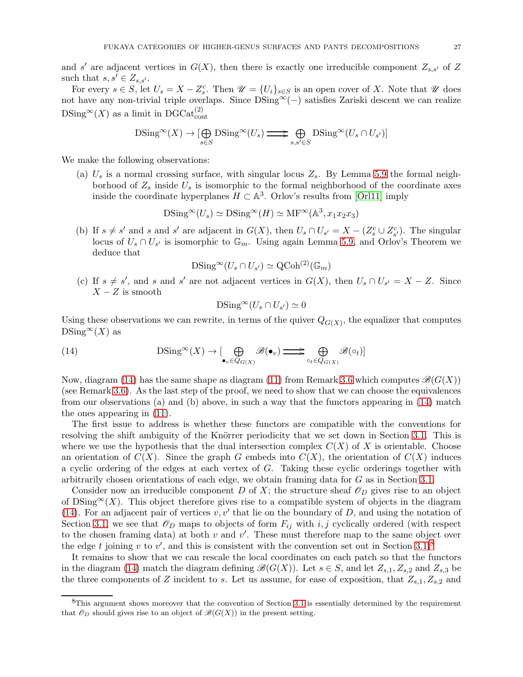and s' are adjacent vertices in  $G(X)$ , then there is exactly one irreducible component  $Z_{s,s'}$  of Z such that  $s, s' \in Z_{s,s'}$ .

For every  $s \in S$ , let  $U_s = X - Z_s^c$ . Then  $\mathscr{U} = \{U_i\}_{s \in S}$  is an open cover of X. Note that  $\mathscr{U}$  does not have any non-trivial triple overlaps. Since DSing∞(−) satisfies Zariski descent we can realize  $DSing^{\infty}(X)$  as a limit in DGCat $_{\text{cont}}^{(2)}$ 

$$
\mathrm{DSing}^{\infty}(X) \to [\bigoplus_{s \in S} \mathrm{DSing}^{\infty}(U_s) \Longrightarrow \bigoplus_{s,s' \in S} \mathrm{DSing}^{\infty}(U_s \cap U_{s'})]
$$

We make the following observations:

(a)  $U_s$  is a normal crossing surface, with singular locus  $Z_s$ . By Lemma [5.9](#page-24-2) the formal neighborhood of  $Z_s$  inside  $U_s$  is isomorphic to the formal neighborhood of the coordinate axes inside the coordinate hyperplanes  $H \subset \mathbb{A}^3$ . Orlov's results from [\[Orl11\]](#page-44-26) imply

$$
\mathrm{DSing}^{\infty}(U_s) \simeq \mathrm{DSing}^{\infty}(H) \simeq \mathrm{MF}^{\infty}(\mathbb{A}^3, x_1 x_2 x_3)
$$

(b) If  $s \neq s'$  and s and s' are adjacent in  $G(X)$ , then  $U_s \cap U_{s'} = X - (Z_s^c \cup Z_{s'}^c)$ . The singular locus of  $U_s \cap U_{s'}$  is isomorphic to  $\mathbb{G}_m$ . Using again Lemma [5.9,](#page-24-2) and Orlov's Theorem we deduce that

$$
\mathrm{DSing}^{\infty}(U_s \cap U_{s'}) \simeq \mathrm{QCoh}^{(2)}(\mathbb{G}_m)
$$

(c) If  $s \neq s'$ , and s and s' are not adjacent vertices in  $G(X)$ , then  $U_s \cap U_{s'} = X - Z$ . Since  $X - Z$  is smooth

<span id="page-26-0"></span>
$$
\mathrm{DSing}^\infty(U_s \cap U_{s'}) \simeq 0
$$

Using these observations we can rewrite, in terms of the quiver  $Q_{G(X)}$ , the equalizer that computes  $DSing^{\infty}(X)$  as

(14) 
$$
\mathrm{DSing}^{\infty}(X) \to \left[\bigoplus_{\bullet_v \in Q_{G(X)}} \mathscr{B}(\bullet_v) \right] \Longrightarrow \bigoplus_{\circ_t \in Q_{G(X)}} \mathscr{B}(\circ_t) \right]
$$

Now, diagram [\(14\)](#page-26-0) has the same shape as diagram [\(11\)](#page-15-2) from Remark [3.6](#page-15-4) which computes  $\mathcal{B}(G(X))$ (see Remark [3.6\)](#page-15-4). As the last step of the proof, we need to show that we can choose the equivalences from our observations (a) and (b) above, in such a way that the functors appearing in [\(14\)](#page-26-0) match the ones appearing in [\(11\)](#page-15-2).

The first issue to address is whether these functors are compatible with the conventions for resolving the shift ambiguity of the Knörrer periodicity that we set down in Section [3.1.](#page-9-0) This is where we use the hypothesis that the dual intersection complex  $C(X)$  of X is orientable. Choose an orientation of  $C(X)$ . Since the graph G embeds into  $C(X)$ , the orientation of  $C(X)$  induces a cyclic ordering of the edges at each vertex of G. Taking these cyclic orderings together with arbitrarily chosen orientations of each edge, we obtain framing data for G as in Section [3.1.](#page-9-0)

Consider now an irreducible component D of X; the structure sheaf  $\mathcal{O}_D$  gives rise to an object of  $DSing^{\infty}(X)$ . This object therefore gives rise to a compatible system of objects in the diagram [\(14\)](#page-26-0). For an adjacent pair of vertices  $v, v'$  that lie on the boundary of D, and using the notation of Section [3.1,](#page-9-0) we see that  $\mathscr{O}_D$  maps to objects of form  $F_{ij}$  with i, j cyclically ordered (with respect to the chosen framing data) at both  $v$  and  $v'$ . These must therefore map to the same object over the edge t joining v to v', and this is consistent with the convention set out in Section [3.1.](#page-9-0)<sup>[8](#page-26-1)</sup>

It remains to show that we can rescale the local coordinates on each patch so that the functors in the diagram [\(14\)](#page-26-0) match the diagram defining  $\mathscr{B}(G(X))$ . Let  $s \in S$ , and let  $Z_{s,1}, Z_{s,2}$  and  $Z_{s,3}$  be the three components of Z incident to s. Let us assume, for ease of exposition, that  $Z_{s,1}, Z_{s,2}$  and

<span id="page-26-1"></span><sup>&</sup>lt;sup>8</sup>This argument shows moreover that the convention of Section [3.1](#page-9-0) is essentially determined by the requirement that  $\mathscr{O}_D$  should gives rise to an object of  $\mathscr{B}(G(X))$  in the present setting.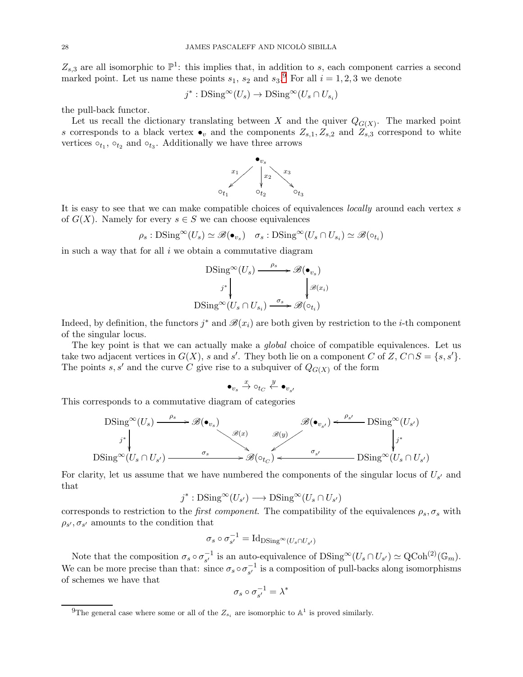$Z_{s,3}$  are all isomorphic to  $\mathbb{P}^1$ : this implies that, in addition to s, each component carries a second marked point. Let us name these points  $s_1$ ,  $s_2$  and  $s_3$ .<sup>[9](#page-27-0)</sup> For all  $i = 1, 2, 3$  we denote

$$
j^* : \text{DSing}^{\infty}(U_s) \to \text{DSing}^{\infty}(U_s \cap U_{s_i})
$$

the pull-back functor.

Let us recall the dictionary translating between X and the quiver  $Q_{G(X)}$ . The marked point s corresponds to a black vertex  $\bullet_v$  and the components  $Z_{s,1}, Z_{s,2}$  and  $Z_{s,3}$  correspond to white vertices  $\circ_{t_1}, \circ_{t_2}$  and  $\circ_{t_3}$ . Additionally we have three arrows



It is easy to see that we can make compatible choices of equivalences *locally* around each vertex s of  $G(X)$ . Namely for every  $s \in S$  we can choose equivalences

 $\rho_s : \text{DSing}^{\infty}(U_s) \simeq \mathscr{B}(\bullet_{v_s}) \quad \sigma_s : \text{DSing}^{\infty}(U_s \cap U_{s_i}) \simeq \mathscr{B}(\circ_{t_i})$ 

in such a way that for all  $i$  we obtain a commutative diagram

$$
\mathrm{DSing}^{\infty}(U_s) \xrightarrow{\rho_s} \mathscr{B}(\bullet_{v_s})
$$
\n
$$
j^* \downarrow \qquad \qquad \downarrow \mathscr{B}(x_i)
$$
\n
$$
\mathrm{DSing}^{\infty}(U_s \cap U_{s_i}) \xrightarrow{\sigma_s} \mathscr{B}(\circ_{t_i})
$$

Indeed, by definition, the functors  $j^*$  and  $\mathscr{B}(x_i)$  are both given by restriction to the *i*-th component of the singular locus.

The key point is that we can actually make a *global* choice of compatible equivalences. Let us take two adjacent vertices in  $G(X)$ , s and s'. They both lie on a component C of Z,  $C \cap S = \{s, s'\}.$ The points s, s' and the curve C give rise to a subquiver of  $Q_{G(X)}$  of the form

$$
\bullet_{v_s} \xrightarrow{x} \circ_{t_C} \xleftarrow{y} \bullet_{v_{s'}}
$$

This corresponds to a commutative diagram of categories

$$
\begin{array}{ccc}\n\text{DSing}^{\infty}(U_s) \xrightarrow{\rho_s} & \mathscr{B}(\bullet_{v_s}) & \mathscr{B}(\bullet_{v_{s'}}) \xleftarrow{\rho_{s'}} & \text{DSing}^{\infty}(U_{s'}) \\
\downarrow^{j^*} & & \downarrow^{j^*} \\
\text{DSing}^{\infty}(U_s \cap U_{s'}) & \xrightarrow{\sigma_s} & \mathscr{B}(\circ_{t_C}) & \xrightarrow{\sigma_{s'}} & \text{DSing}^{\infty}(U_s \cap U_{s'})\n\end{array}
$$

For clarity, let us assume that we have numbered the components of the singular locus of  $U_{s'}$  and that

$$
j^* : \text{DSing}^\infty(U_{s'}) \longrightarrow \text{DSing}^\infty(U_s \cap U_{s'})
$$

corresponds to restriction to the *first component*. The compatibility of the equivalences  $\rho_s$ ,  $\sigma_s$  with  $\rho_{s'}, \sigma_{s'}$  amounts to the condition that

$$
\sigma_s \circ \sigma_{s'}^{-1} = \mathrm{Id}_{\mathrm{DSing}^{\infty}(U_s \cap U_{s'})}
$$

Note that the composition  $\sigma_s \circ \sigma_{s'}^{-1}$  is an auto-equivalence of  $DSing^{\infty}(U_s \cap U_{s'}) \simeq \text{QCoh}^{(2)}(\mathbb{G}_m)$ . We can be more precise than that: since  $\sigma_s \circ \sigma_{s'}^{-1}$  is a composition of pull-backs along isomorphisms of schemes we have that

$$
\sigma_s \circ \sigma_{s'}^{-1} = \lambda^*
$$

<span id="page-27-0"></span><sup>&</sup>lt;sup>9</sup>The general case where some or all of the  $Z_{s_i}$  are isomorphic to  $\mathbb{A}^1$  is proved similarly.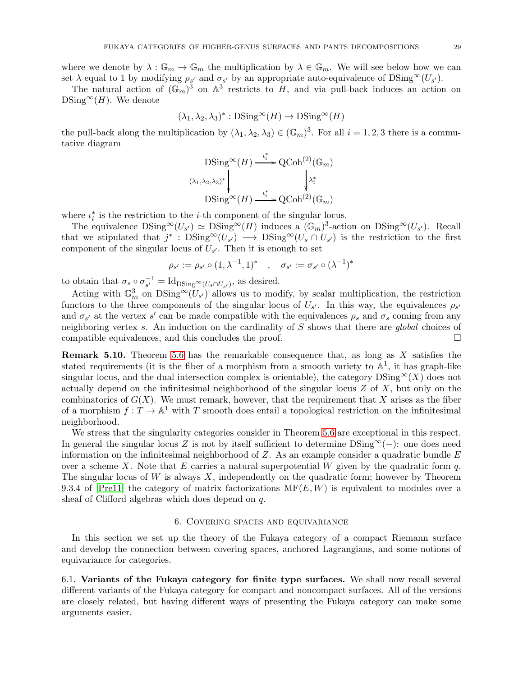where we denote by  $\lambda: \mathbb{G}_m \to \mathbb{G}_m$  the multiplication by  $\lambda \in \mathbb{G}_m$ . We will see below how we can set  $\lambda$  equal to 1 by modifying  $\rho_{s'}$  and  $\sigma_{s'}$  by an appropriate auto-equivalence of  $DSing^{\infty}(U_{s'})$ .

The natural action of  $(\mathbb{G}_m)^3$  on  $\mathbb{A}^3$  restricts to H, and via pull-back induces an action on  $DSing^{\infty}(H)$ . We denote

$$
(\lambda_1, \lambda_2, \lambda_3)^* : \text{DSing}^\infty(H) \to \text{DSing}^\infty(H)
$$

the pull-back along the multiplication by  $(\lambda_1, \lambda_2, \lambda_3) \in (\mathbb{G}_m)^3$ . For all  $i = 1, 2, 3$  there is a commutative diagram

$$
\begin{array}{c}\n\text{DSing}^{\infty}(H) \xrightarrow{\iota_i^*} \text{QCoh}^{(2)}(\mathbb{G}_m) \\
\downarrow^{\lambda_i^*} \\
\text{DSing}^{\infty}(H) \xrightarrow{\iota_i^*} \text{QCoh}^{(2)}(\mathbb{G}_m)\n\end{array}
$$

where  $\iota_i^*$  is the restriction to the *i*-th component of the singular locus.

The equivalence  $D\text{Sing}^{\infty}(U_{s'}) \simeq D\text{Sing}^{\infty}(H)$  induces a  $(\mathbb{G}_m)^3$ -action on  $D\text{Sing}^{\infty}(U_{s'})$ . Recall that we stipulated that  $j^*$ :  $DSing^{\infty}(U_{s'}) \longrightarrow DSing^{\infty}(U_s \cap U_{s'})$  is the restriction to the first component of the singular locus of  $U_{s'}$ . Then it is enough to set

$$
\rho_{s'} := \rho_{s'} \circ (1, \lambda^{-1}, 1)^* \quad , \quad \sigma_{s'} := \sigma_{s'} \circ (\lambda^{-1})^*
$$

to obtain that  $\sigma_s \circ \sigma_{s'}^{-1} = \text{Id}_{\text{DSing}^{\infty}(U_s \cap U_{s'})}$ , as desired.

Acting with  $\mathbb{G}_m^3$  on  $DSing^{\infty}(U_{s'})$  allows us to modify, by scalar multiplication, the restriction functors to the three components of the singular locus of  $U_{s'}$ . In this way, the equivalences  $\rho_{s'}$ and  $\sigma_{s'}$  at the vertex s' can be made compatible with the equivalences  $\rho_s$  and  $\sigma_s$  coming from any neighboring vertex s. An induction on the cardinality of S shows that there are global choices of compatible equivalences, and this concludes the proof.  $\Box$ 

**Remark 5.10.** Theorem [5.6](#page-24-0) has the remarkable consequence that, as long as  $X$  satisfies the stated requirements (it is the fiber of a morphism from a smooth variety to  $\mathbb{A}^1$ , it has graph-like singular locus, and the dual intersection complex is orientable), the category  $DSing^{\infty}(X)$  does not actually depend on the infinitesimal neighborhood of the singular locus  $Z$  of  $X$ , but only on the combinatorics of  $G(X)$ . We must remark, however, that the requirement that X arises as the fiber of a morphism  $f: T \to \mathbb{A}^1$  with T smooth does entail a topological restriction on the infinitesimal neighborhood.

We stress that the singularity categories consider in Theorem [5.6](#page-24-0) are exceptional in this respect. In general the singular locus Z is not by itself sufficient to determine  $DSing^{\infty}(-)$ : one does need information on the infinitesimal neighborhood of  $Z$ . As an example consider a quadratic bundle  $E$ over a scheme X. Note that E carries a natural superpotential W given by the quadratic form q. The singular locus of W is always  $X$ , independently on the quadratic form; however by Theorem 9.3.4 of [\[Pre11\]](#page-44-20) the category of matrix factorizations  $\text{MF}(E, W)$  is equivalent to modules over a sheaf of Clifford algebras which does depend on q.

# 6. Covering spaces and equivariance

<span id="page-28-0"></span>In this section we set up the theory of the Fukaya category of a compact Riemann surface and develop the connection between covering spaces, anchored Lagrangians, and some notions of equivariance for categories.

<span id="page-28-1"></span>6.1. Variants of the Fukaya category for finite type surfaces. We shall now recall several different variants of the Fukaya category for compact and noncompact surfaces. All of the versions are closely related, but having different ways of presenting the Fukaya category can make some arguments easier.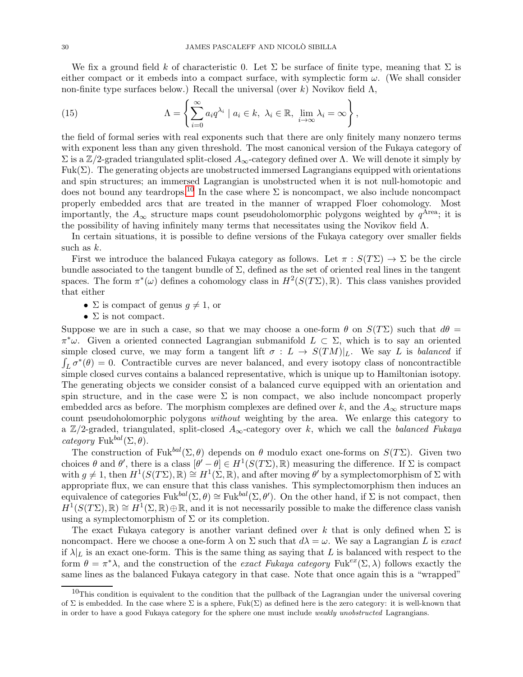We fix a ground field k of characteristic 0. Let  $\Sigma$  be surface of finite type, meaning that  $\Sigma$  is either compact or it embeds into a compact surface, with symplectic form  $\omega$ . (We shall consider non-finite type surfaces below.) Recall the universal (over k) Novikov field  $\Lambda$ ,

(15) 
$$
\Lambda = \left\{ \sum_{i=0}^{\infty} a_i q^{\lambda_i} \mid a_i \in k, \lambda_i \in \mathbb{R}, \lim_{i \to \infty} \lambda_i = \infty \right\},
$$

the field of formal series with real exponents such that there are only finitely many nonzero terms with exponent less than any given threshold. The most canonical version of the Fukaya category of  $\Sigma$  is a Z/2-graded triangulated split-closed  $A_{\infty}$ -category defined over Λ. We will denote it simply by Fuk( $\Sigma$ ). The generating objects are unobstructed immersed Lagrangians equipped with orientations and spin structures; an immersed Lagrangian is unobstructed when it is not null-homotopic and does not bound any teardrops.<sup>[10](#page-29-0)</sup> In the case where  $\Sigma$  is noncompact, we also include noncompact properly embedded arcs that are treated in the manner of wrapped Floer cohomology. Most importantly, the  $A_{\infty}$  structure maps count pseudoholomorphic polygons weighted by  $q^{\text{Area}}$ ; it is the possibility of having infinitely many terms that necessitates using the Novikov field  $\Lambda$ .

In certain situations, it is possible to define versions of the Fukaya category over smaller fields such as  $k$ .

First we introduce the balanced Fukaya category as follows. Let  $\pi : S(T\Sigma) \to \Sigma$  be the circle bundle associated to the tangent bundle of  $\Sigma$ , defined as the set of oriented real lines in the tangent spaces. The form  $\pi^*(\omega)$  defines a cohomology class in  $H^2(S(T\Sigma), \mathbb{R})$ . This class vanishes provided that either

- $\Sigma$  is compact of genus  $g \neq 1$ , or
- $\Sigma$  is not compact.

Suppose we are in such a case, so that we may choose a one-form  $\theta$  on  $S(T\Sigma)$  such that  $d\theta =$  $\pi^*\omega$ . Given a oriented connected Lagrangian submanifold  $L \subset \Sigma$ , which is to say an oriented simple closed curve, we may form a tangent lift  $\sigma : L \to S(TM)|_L$ . We say L is balanced if  $\int_L \sigma^*(\theta) = 0$ . Contractible curves are never balanced, and every isotopy class of noncontractible simple closed curves contains a balanced representative, which is unique up to Hamiltonian isotopy. The generating objects we consider consist of a balanced curve equipped with an orientation and spin structure, and in the case were  $\Sigma$  is non compact, we also include noncompact properly embedded arcs as before. The morphism complexes are defined over k, and the  $A_{\infty}$  structure maps count pseudoholomorphic polygons without weighting by the area. We enlarge this category to a  $\mathbb{Z}/2$ -graded, triangulated, split-closed  $A_{\infty}$ -category over k, which we call the balanced Fukaya category Fuk<sup>bal</sup> $(\Sigma, \theta)$ .

The construction of Fuk<sup>bal</sup>( $\Sigma$ ,  $\theta$ ) depends on  $\theta$  modulo exact one-forms on  $S(T\Sigma)$ . Given two choices  $\theta$  and  $\theta'$ , there is a class  $[\theta' - \theta] \in H^1(S(T\Sigma), \mathbb{R})$  measuring the difference. If  $\Sigma$  is compact with  $g \neq 1$ , then  $H^1(S(T\Sigma), \mathbb{R}) \cong H^1(\Sigma, \mathbb{R})$ , and after moving  $\theta'$  by a symplectomorphism of  $\Sigma$  with appropriate flux, we can ensure that this class vanishes. This symplectomorphism then induces an equivalence of categories  $Fuk^{bal}(\Sigma, \theta) \cong Fuk^{bal}(\Sigma, \theta')$ . On the other hand, if  $\Sigma$  is not compact, then  $H^1(S(T\Sigma), \mathbb{R}) \cong H^1(\Sigma, \mathbb{R}) \oplus \mathbb{R}$ , and it is not necessarily possible to make the difference class vanish using a symplectomorphism of  $\Sigma$  or its completion.

The exact Fukaya category is another variant defined over k that is only defined when  $\Sigma$  is noncompact. Here we choose a one-form  $\lambda$  on  $\Sigma$  such that  $d\lambda = \omega$ . We say a Lagrangian L is exact if  $\lambda|_L$  is an exact one-form. This is the same thing as saying that L is balanced with respect to the form  $\theta = \pi^* \lambda$ , and the construction of the exact Fukaya category Fuk<sup>ex</sup>(Σ, λ) follows exactly the same lines as the balanced Fukaya category in that case. Note that once again this is a "wrapped"

<span id="page-29-0"></span> $10$ This condition is equivalent to the condition that the pullback of the Lagrangian under the universal covering of  $\Sigma$  is embedded. In the case where  $\Sigma$  is a sphere, Fuk( $\Sigma$ ) as defined here is the zero category: it is well-known that in order to have a good Fukaya category for the sphere one must include *weakly unobstructed* Lagrangians.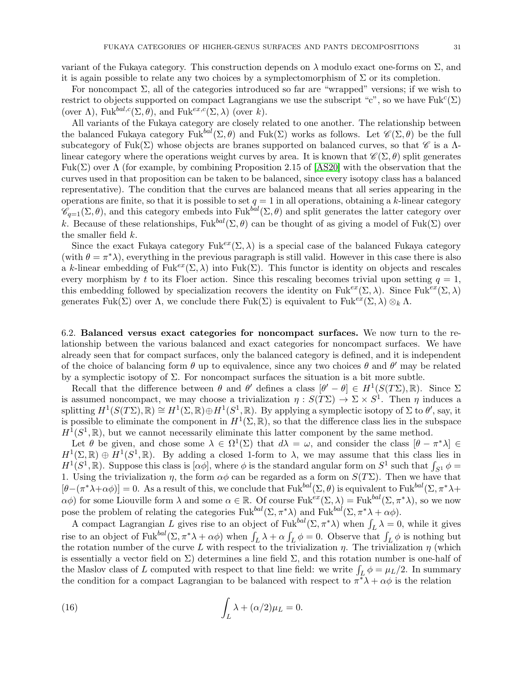variant of the Fukaya category. This construction depends on  $\lambda$  modulo exact one-forms on  $\Sigma$ , and it is again possible to relate any two choices by a symplectomorphism of  $\Sigma$  or its completion.

For noncompact  $\Sigma$ , all of the categories introduced so far are "wrapped" versions; if we wish to restrict to objects supported on compact Lagrangians we use the subscript "c", so we have  $Fuk^c(\Sigma)$ (over  $\Lambda$ ), Fuk<sup>bal,c</sup>(Σ,  $\theta$ ), and Fuk<sup>ex,c</sup>(Σ,  $\lambda$ ) (over k).

All variants of the Fukaya category are closely related to one another. The relationship between the balanced Fukaya category Fuk<sup>bal</sup>( $\Sigma$ ,  $\theta$ ) and Fuk( $\Sigma$ ) works as follows. Let  $\mathscr{C}(\Sigma, \theta)$  be the full subcategory of Fuk(Σ) whose objects are branes supported on balanced curves, so that  $\mathscr C$  is a  $\Lambda$ linear category where the operations weight curves by area. It is known that  $\mathscr{C}(\Sigma,\theta)$  split generates Fuk( $\Sigma$ ) over  $\Lambda$  (for example, by combining Proposition 2.15 of [\[AS20\]](#page-44-16) with the observation that the curves used in that proposition can be taken to be balanced, since every isotopy class has a balanced representative). The condition that the curves are balanced means that all series appearing in the operations are finite, so that it is possible to set  $q = 1$  in all operations, obtaining a k-linear category  $\mathscr{C}_{q=1}(\Sigma,\theta)$ , and this category embeds into Fuk<sup>bal</sup>( $\Sigma,\theta$ ) and split generates the latter category over k. Because of these relationships,  $Fuk^{bal}(\Sigma, \theta)$  can be thought of as giving a model of  $Fuk(\Sigma)$  over the smaller field k.

Since the exact Fukaya category Fuk<sup>ex</sup>( $\Sigma$ ,  $\lambda$ ) is a special case of the balanced Fukaya category (with  $\theta = \pi^* \lambda$ ), everything in the previous paragraph is still valid. However in this case there is also a k-linear embedding of Fuk<sup>ex</sup>(Σ, λ) into Fuk(Σ). This functor is identity on objects and rescales every morphism by t to its Floer action. Since this rescaling becomes trivial upon setting  $q = 1$ , this embedding followed by specialization recovers the identity on Fuk<sup>ex</sup>(Σ, λ). Since Fuk<sup>ex</sup>(Σ, λ) generates Fuk(Σ) over  $\Lambda$ , we conclude there Fuk(Σ) is equivalent to Fuk<sup>ex</sup>(Σ, λ)  $\otimes_k \Lambda$ .

<span id="page-30-0"></span>6.2. Balanced versus exact categories for noncompact surfaces. We now turn to the relationship between the various balanced and exact categories for noncompact surfaces. We have already seen that for compact surfaces, only the balanced category is defined, and it is independent of the choice of balancing form  $\theta$  up to equivalence, since any two choices  $\theta$  and  $\theta'$  may be related by a symplectic isotopy of  $\Sigma$ . For noncompact surfaces the situation is a bit more subtle.

Recall that the difference between  $\theta$  and  $\theta'$  defines a class  $[\theta' - \theta] \in H^1(S(T\Sigma), \mathbb{R})$ . Since  $\Sigma$ is assumed noncompact, we may choose a trivialization  $\eta : S(T\Sigma) \to \Sigma \times S^1$ . Then  $\eta$  induces a splitting  $H^1(S(T\Sigma), \mathbb{R}) \cong H^1(\Sigma, \mathbb{R}) \oplus H^1(S^1, \mathbb{R})$ . By applying a symplectic isotopy of  $\Sigma$  to  $\theta'$ , say, it is possible to eliminate the component in  $H^1(\Sigma, \mathbb{R})$ , so that the difference class lies in the subspace  $H^1(S^1,\mathbb{R})$ , but we cannot necessarily eliminate this latter component by the same method.

Let  $\theta$  be given, and chose some  $\lambda \in \Omega^1(\Sigma)$  that  $d\lambda = \omega$ , and consider the class  $[\theta - \pi^*\lambda] \in$  $H^1(\Sigma, \mathbb{R}) \oplus H^1(S^1, \mathbb{R})$ . By adding a closed 1-form to  $\lambda$ , we may assume that this class lies in  $H^1(S^1,\mathbb{R})$ . Suppose this class is  $[\alpha\phi]$ , where  $\phi$  is the standard angular form on  $S^1$  such that  $\int_{S^1}\phi=$ 1. Using the trivialization  $\eta$ , the form  $\alpha\phi$  can be regarded as a form on  $S(T\Sigma)$ . Then we have that  $[\theta-(\pi^*\lambda+\alpha\phi)]=0$ . As a result of this, we conclude that  $Fuk^{bal}(\Sigma,\theta)$  is equivalent to  $Fuk^{bal}(\Sigma,\pi^*\lambda+\theta)$  $\alpha\phi$ ) for some Liouville form  $\lambda$  and some  $\alpha \in \mathbb{R}$ . Of course Fuk<sup>ex</sup>( $\Sigma$ ,  $\lambda$ ) = Fuk<sup>bal</sup>( $\Sigma$ ,  $\pi^*\lambda$ ), so we now pose the problem of relating the categories  $Fuk^{bal}(\Sigma, \pi^*\lambda)$  and  $Fuk^{bal}(\Sigma, \pi^*\lambda + \alpha\phi)$ .

A compact Lagrangian L gives rise to an object of Fuk<sup>bal</sup> $(\Sigma, \pi^* \lambda)$  when  $\int_L \lambda = 0$ , while it gives The compact Lagrangian L gives like to an object of Tuk  $(2, \pi \lambda)$  when  $\int_L \lambda - \infty$ , which if gives rise to an object of Fuk<sup>bal</sup> $(\Sigma, \pi^* \lambda + \alpha \phi)$  when  $\int_L \lambda + \alpha \int_L \phi = 0$ . Observe that  $\int_L \phi$  is nothing but the rotation number of the curve L with respect to the trivialization  $\eta$ . The trivialization  $\eta$  (which is essentially a vector field on  $\Sigma$ ) determines a line field  $\Sigma$ , and this rotation number is one-half of the Maslov class of L computed with respect to that line field: we write  $\int_L \phi = \mu_L/2$ . In summary the condition for a compact Lagrangian to be balanced with respect to  $\pi^*\lambda + \alpha\phi$  is the relation

(16) 
$$
\int_L \lambda + (\alpha/2)\mu_L = 0.
$$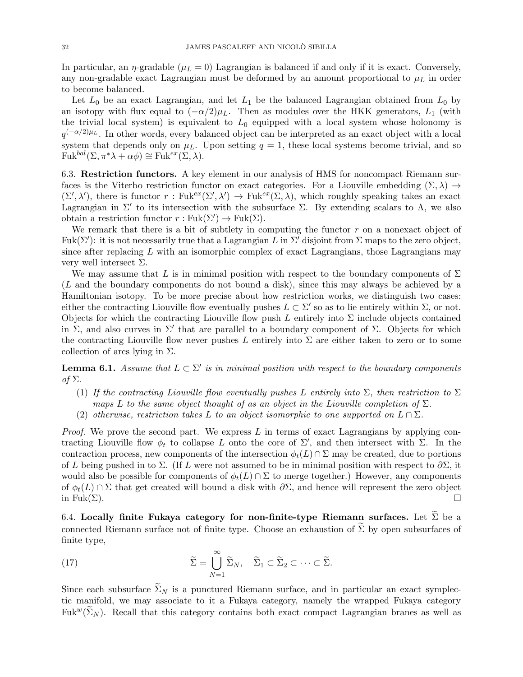In particular, an  $\eta$ -gradable ( $\mu_L = 0$ ) Lagrangian is balanced if and only if it is exact. Conversely, any non-gradable exact Lagrangian must be deformed by an amount proportional to  $\mu_L$  in order to become balanced.

Let  $L_0$  be an exact Lagrangian, and let  $L_1$  be the balanced Lagrangian obtained from  $L_0$  by an isotopy with flux equal to  $(-\alpha/2)\mu_L$ . Then as modules over the HKK generators,  $L_1$  (with the trivial local system) is equivalent to  $L_0$  equipped with a local system whose holonomy is  $q^{(-\alpha/2)\mu_L}$ . In other words, every balanced object can be interpreted as an exact object with a local system that depends only on  $\mu_L$ . Upon setting  $q = 1$ , these local systems become trivial, and so  $Fuk^{bal}(\Sigma, \pi^*\lambda + \alpha\phi) \cong Fuk^{ex}(\Sigma, \lambda).$ 

<span id="page-31-0"></span>6.3. Restriction functors. A key element in our analysis of HMS for noncompact Riemann surfaces is the Viterbo restriction functor on exact categories. For a Liouville embedding  $(\Sigma, \lambda) \rightarrow$  $(\Sigma', \lambda')$ , there is functor  $r : \text{Fuk}^{ex}(\Sigma', \lambda') \to \text{Fuk}^{ex}(\Sigma, \lambda)$ , which roughly speaking takes an exact Lagrangian in  $\Sigma'$  to its intersection with the subsurface  $\Sigma$ . By extending scalars to  $\Lambda$ , we also obtain a restriction functor  $r : \text{Fuk}(\Sigma') \to \text{Fuk}(\Sigma)$ .

We remark that there is a bit of subtlety in computing the functor  $r$  on a nonexact object of Fuk( $\Sigma'$ ): it is not necessarily true that a Lagrangian L in  $\Sigma'$  disjoint from  $\Sigma$  maps to the zero object, since after replacing  $L$  with an isomorphic complex of exact Lagrangians, those Lagrangians may very well intersect  $\Sigma$ .

We may assume that L is in minimal position with respect to the boundary components of  $\Sigma$ (L and the boundary components do not bound a disk), since this may always be achieved by a Hamiltonian isotopy. To be more precise about how restriction works, we distinguish two cases: either the contracting Liouville flow eventually pushes  $L \subset \Sigma'$  so as to lie entirely within  $\Sigma$ , or not. Objects for which the contracting Liouville flow push L entirely into  $\Sigma$  include objects contained in  $\Sigma$ , and also curves in  $\Sigma'$  that are parallel to a boundary component of  $\Sigma$ . Objects for which the contracting Liouville flow never pushes L entirely into  $\Sigma$  are either taken to zero or to some collection of arcs lying in  $\Sigma$ .

<span id="page-31-2"></span>**Lemma 6.1.** Assume that  $L \subset \Sigma'$  is in minimal position with respect to the boundary components of  $\Sigma$ .

- (1) If the contracting Liouville flow eventually pushes L entirely into  $\Sigma$ , then restriction to  $\Sigma$ maps L to the same object thought of as an object in the Liouville completion of  $\Sigma$ .
- (2) otherwise, restriction takes L to an object isomorphic to one supported on  $L \cap \Sigma$ .

*Proof.* We prove the second part. We express  $L$  in terms of exact Lagrangians by applying contracting Liouville flow  $\phi_t$  to collapse L onto the core of  $\Sigma'$ , and then intersect with Σ. In the contraction process, new components of the intersection  $\phi_t(L) \cap \Sigma$  may be created, due to portions of L being pushed in to  $\Sigma$ . (If L were not assumed to be in minimal position with respect to  $\partial \Sigma$ , it would also be possible for components of  $\phi_t(L) \cap \Sigma$  to merge together.) However, any components of  $\phi_t(L) \cap \Sigma$  that get created will bound a disk with  $\partial \Sigma$ , and hence will represent the zero object in Fuk( $\Sigma$ ). in Fuk( $\Sigma$ ).

<span id="page-31-1"></span>6.4. Locally finite Fukaya category for non-finite-type Riemann surfaces. Let  $\tilde{\Sigma}$  be a connected Riemann surface not of finite type. Choose an exhaustion of  $\Sigma$  by open subsurfaces of finite type,

(17) 
$$
\widetilde{\Sigma} = \bigcup_{N=1}^{\infty} \widetilde{\Sigma}_N, \quad \widetilde{\Sigma}_1 \subset \widetilde{\Sigma}_2 \subset \cdots \subset \widetilde{\Sigma}.
$$

Since each subsurface  $\Sigma_N$  is a punctured Riemann surface, and in particular an exact symplectic manifold, we may associate to it a Fukaya category, namely the wrapped Fukaya category Fuk<sup>w</sup>( $\widetilde{\Sigma}_N$ ). Recall that this category contains both exact compact Lagrangian branes as well as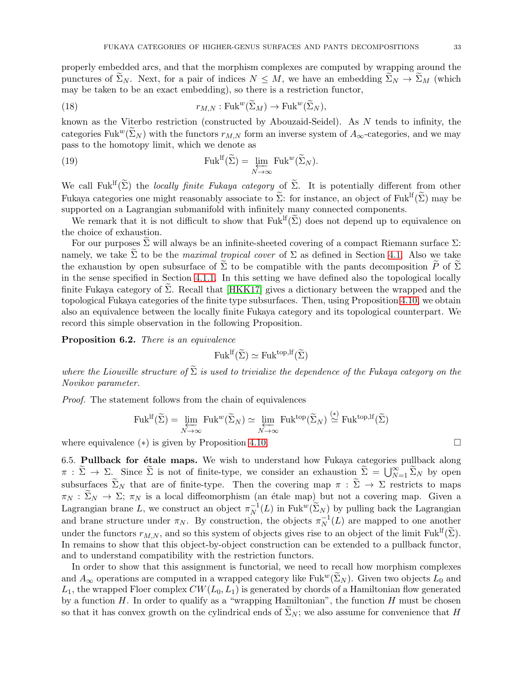properly embedded arcs, and that the morphism complexes are computed by wrapping around the punctures of  $\widetilde{\Sigma}_N$ . Next, for a pair of indices  $N \leq M$ , we have an embedding  $\widetilde{\Sigma}_N \to \widetilde{\Sigma}_M$  (which may be taken to be an exact embedding), so there is a restriction functor,

(18) 
$$
r_{M,N}: \text{Fuk}^w(\widetilde{\Sigma}_M) \to \text{Fuk}^w(\widetilde{\Sigma}_N),
$$

known as the Viterbo restriction (constructed by Abouzaid-Seidel). As N tends to infinity, the categories Fuk<sup>w</sup>( $\widetilde{\Sigma}_N$ ) with the functors  $r_{M,N}$  form an inverse system of  $A_{\infty}$ -categories, and we may pass to the homotopy limit, which we denote as

(19) 
$$
\text{Fuk}^{\text{lf}}(\widetilde{\Sigma}) = \lim_{N \to \infty} \text{Fuk}^w(\widetilde{\Sigma}_N).
$$

We call Fuk<sup>If</sup>( $\widetilde{\Sigma}$ ) the *locally finite Fukaya category* of  $\widetilde{\Sigma}$ . It is potentially different from other Fukaya categories one might reasonably associate to  $\widetilde{\Sigma}$ : for instance, an object of Fuk<sup>If</sup>( $\widetilde{\Sigma}$ ) may be supported on a Lagrangian submanifold with infinitely many connected components.

We remark that it is not difficult to show that  $Fuk^{lf}(\tilde{\Sigma})$  does not depend up to equivalence on the choice of exhaustion.

For our purposes  $\Sigma$  will always be an infinite-sheeted covering of a compact Riemann surface  $\Sigma$ : namely, we take  $\Sigma$  to be the *maximal tropical cover* of  $\Sigma$  as defined in Section [4.1.](#page-18-0) Also we take the exhaustion by open subsurface of  $\Sigma$  to be compatible with the pants decomposition P of  $\Sigma$ in the sense specified in Section [4.1.1.](#page-18-1) In this setting we have defined also the topological locally finite Fukaya category of  $\Sigma$ . Recall that [\[HKK17\]](#page-44-10) gives a dictionary between the wrapped and the topological Fukaya categories of the finite type subsurfaces. Then, using Proposition [4.10,](#page-22-1) we obtain also an equivalence between the locally finite Fukaya category and its topological counterpart. We record this simple observation in the following Proposition.

<span id="page-32-1"></span>Proposition 6.2. There is an equivalence

$$
\mathrm{Fuk}^{\mathrm{lf}}(\widetilde{\Sigma}) \simeq \mathrm{Fuk}^{\mathrm{top},\mathrm{lf}}(\widetilde{\Sigma})
$$

where the Liouville structure of  $\tilde{\Sigma}$  is used to trivialize the dependence of the Fukaya category on the Novikov parameter.

Proof. The statement follows from the chain of equivalences

$$
\mathrm{Fuk}^{\mathrm{lf}}(\widetilde{\Sigma}) = \varprojlim_{N \to \infty} \mathrm{Fuk}^w(\widetilde{\Sigma}_N) \simeq \varprojlim_{N \to \infty} \mathrm{Fuk}^{\mathrm{top}}(\widetilde{\Sigma}_N) \stackrel{(*)}{\simeq} \mathrm{Fuk}^{\mathrm{top},\mathrm{lf}}(\widetilde{\Sigma})
$$

<span id="page-32-0"></span>where equivalence ( $*$ ) is given by Proposition [4.10.](#page-22-1)

6.5. Pullback for  $\acute{e}$ tale maps. We wish to understand how Fukaya categories pullback along  $\pi : \widetilde{\Sigma} \to \Sigma$ . Since  $\widetilde{\Sigma}$  is not of finite-type, we consider an exhaustion  $\widetilde{\Sigma} = \bigcup_{N=1}^{\infty} \widetilde{\Sigma}_N$  by open subsurfaces  $\widetilde{\Sigma}_N$  that are of finite-type. Then the covering map  $\pi : \widetilde{\Sigma} \to \Sigma$  restricts to maps  $\pi_N : \widetilde{\Sigma}_N \to \Sigma$ ;  $\pi_N$  is a local diffeomorphism (an étale map) but not a covering map. Given a Lagrangian brane L, we construct an object  $\pi_N^{-1}(L)$  in Fuk<sup>w</sup>( $\widetilde{\Sigma}_N$ ) by pulling back the Lagrangian and brane structure under  $\pi_N$ . By construction, the objects  $\pi_N^{-1}(L)$  are mapped to one another under the functors  $r_{M,N}$ , and so this system of objects gives rise to an object of the limit Fuk<sup>If</sup>( $\Sigma$ ). In remains to show that this object-by-object construction can be extended to a pullback functor, and to understand compatibility with the restriction functors.

In order to show that this assignment is functorial, we need to recall how morphism complexes and  $A_{\infty}$  operations are computed in a wrapped category like Fuk<sup>w</sup>( $\Sigma_N$ ). Given two objects  $L_0$  and  $L_1$ , the wrapped Floer complex  $CW(L_0, L_1)$  is generated by chords of a Hamiltonian flow generated by a function  $H$ . In order to qualify as a "wrapping Hamiltonian", the function  $H$  must be chosen so that it has convex growth on the cylindrical ends of  $\Sigma_N$ ; we also assume for convenience that H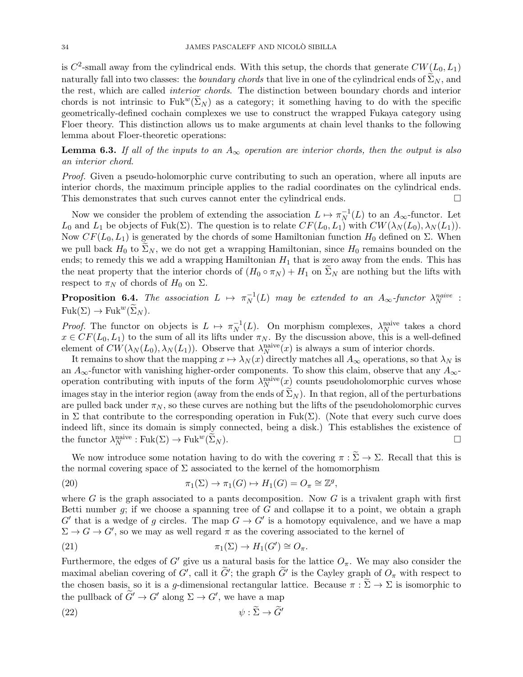is  $C^2$ -small away from the cylindrical ends. With this setup, the chords that generate  $CW(L_0, L_1)$ naturally fall into two classes: the *boundary chords* that live in one of the cylindrical ends of  $\widetilde{\Sigma}_N$ , and the rest, which are called interior chords. The distinction between boundary chords and interior chords is not intrinsic to Fuk<sup>w</sup>( $\Sigma_N$ ) as a category; it something having to do with the specific geometrically-defined cochain complexes we use to construct the wrapped Fukaya category using Floer theory. This distinction allows us to make arguments at chain level thanks to the following lemma about Floer-theoretic operations:

**Lemma 6.3.** If all of the inputs to an  $A_{\infty}$  operation are interior chords, then the output is also an interior chord.

Proof. Given a pseudo-holomorphic curve contributing to such an operation, where all inputs are interior chords, the maximum principle applies to the radial coordinates on the cylindrical ends. This demonstrates that such curves cannot enter the cylindrical ends.

Now we consider the problem of extending the association  $L \mapsto \pi_N^{-1}(L)$  to an  $A_\infty$ -functor. Let  $L_0$  and  $L_1$  be objects of Fuk( $\Sigma$ ). The question is to relate  $CF(L_0, L_1)$  with  $CW(\lambda_N(L_0), \lambda_N(L_1))$ . Now  $CF(L_0, L_1)$  is generated by the chords of some Hamiltonian function  $H_0$  defined on  $\Sigma$ . When we pull back  $H_0$  to  $\Sigma_N$ , we do not get a wrapping Hamiltonian, since  $H_0$  remains bounded on the ends; to remedy this we add a wrapping Hamiltonian  $H_1$  that is zero away from the ends. This has the neat property that the interior chords of  $(H_0 \circ \pi_N) + H_1$  on  $\Sigma_N$  are nothing but the lifts with respect to  $\pi_N$  of chords of  $H_0$  on  $\Sigma$ .

**Proposition 6.4.** The association  $L \mapsto \pi_N^{-1}(L)$  may be extended to an  $A_\infty$ -functor  $\lambda_N^{naive}$  :  $Fuk(\Sigma) \to Fuk^w(\Sigma_N)$ .

*Proof.* The functor on objects is  $L \mapsto \pi_N^{-1}(L)$ . On morphism complexes,  $\lambda_N^{\text{naive}}$  takes a chord  $x \in CF(L_0, L_1)$  to the sum of all its lifts under  $\pi_N$ . By the discussion above, this is a well-defined element of  $CW(\lambda_N(L_0), \lambda_N(L_1))$ . Observe that  $\lambda_N^{\text{naive}}(x)$  is always a sum of interior chords.

It remains to show that the mapping  $x \mapsto \lambda_N(x)$  directly matches all  $A_\infty$  operations, so that  $\lambda_N$  is an  $A_{\infty}$ -functor with vanishing higher-order components. To show this claim, observe that any  $A_{\infty}$ operation contributing with inputs of the form  $\lambda_N^{\text{naive}}(x)$  counts pseudoholomorphic curves whose images stay in the interior region (away from the ends of  $\Sigma_N$ ). In that region, all of the perturbations are pulled back under  $\pi_N$ , so these curves are nothing but the lifts of the pseudoholomorphic curves in  $\Sigma$  that contribute to the corresponding operation in Fuk( $\Sigma$ ). (Note that every such curve does indeed lift, since its domain is simply connected, being a disk.) This establishes the existence of the functor  $\lambda_N^{\text{naive}} : \text{Fuk}(\Sigma) \to \text{Fuk}^w(\widetilde{\Sigma}_N).$ 

We now introduce some notation having to do with the covering  $\pi : \widetilde{\Sigma} \to \Sigma$ . Recall that this is the normal covering space of  $\Sigma$  associated to the kernel of the homomorphism

(20) 
$$
\pi_1(\Sigma) \to \pi_1(G) \to H_1(G) = O_{\pi} \cong \mathbb{Z}^g,
$$

where G is the graph associated to a pants decomposition. Now G is a trivalent graph with first Betti number  $q$ ; if we choose a spanning tree of  $G$  and collapse it to a point, we obtain a graph  $G'$  that is a wedge of g circles. The map  $G \to G'$  is a homotopy equivalence, and we have a map  $\Sigma \to G \to G'$ , so we may as well regard  $\pi$  as the covering associated to the kernel of

(21) 
$$
\pi_1(\Sigma) \to H_1(G') \cong O_{\pi}.
$$

Furthermore, the edges of G' give us a natural basis for the lattice  $O_{\pi}$ . We may also consider the maximal abelian covering of  $G'$ , call it  $G'$ ; the graph  $G'$  is the Cayley graph of  $O_{\pi}$  with respect to the chosen basis, so it is a g-dimensional rectangular lattice. Because  $\pi : \Sigma \to \Sigma$  is isomorphic to the pullback of  $G' \to G'$  along  $\Sigma \to G'$ , we have a map

$$
\psi : \widetilde{\Sigma} \to \widetilde{G}'
$$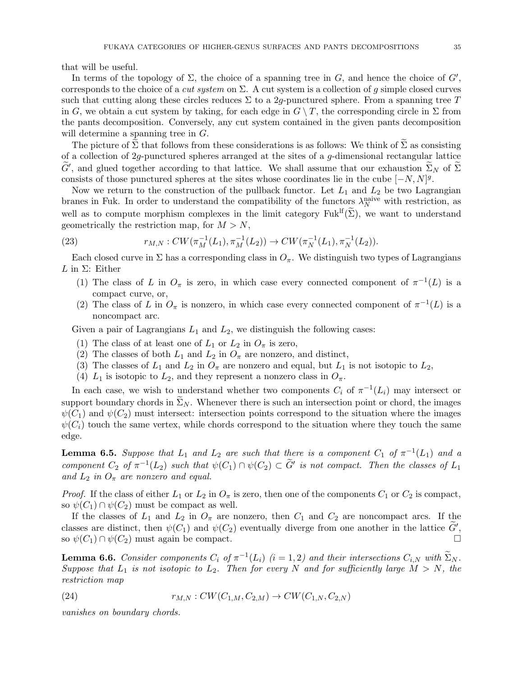that will be useful.

In terms of the topology of  $\Sigma$ , the choice of a spanning tree in  $G$ , and hence the choice of  $G'$ , corresponds to the choice of a *cut system* on  $\Sigma$ . A cut system is a collection of g simple closed curves such that cutting along these circles reduces  $\Sigma$  to a 2g-punctured sphere. From a spanning tree T in G, we obtain a cut system by taking, for each edge in  $G \setminus T$ , the corresponding circle in  $\Sigma$  from the pants decomposition. Conversely, any cut system contained in the given pants decomposition will determine a spanning tree in  $G$ .

The picture of  $\Sigma$  that follows from these considerations is as follows: We think of  $\Sigma$  as consisting of a collection of  $2q$ -punctured spheres arranged at the sites of a  $q$ -dimensional rectangular lattice  $G'$ , and glued together according to that lattice. We shall assume that our exhaustion  $\Sigma_N$  of  $\Sigma$ consists of those punctured spheres at the sites whose coordinates lie in the cube  $[-N, N]^g$ .

Now we return to the construction of the pullback functor. Let  $L_1$  and  $L_2$  be two Lagrangian branes in Fuk. In order to understand the compatibility of the functors  $\lambda_N^{\text{naive}}$  with restriction, as well as to compute morphism complexes in the limit category  $Fuk^{lf}(\tilde{\Sigma})$ , we want to understand geometrically the restriction map, for  $M > N$ ,

(23) 
$$
r_{M,N}: CW(\pi_M^{-1}(L_1), \pi_M^{-1}(L_2)) \to CW(\pi_N^{-1}(L_1), \pi_N^{-1}(L_2)).
$$

Each closed curve in  $\Sigma$  has a corresponding class in  $O_\pi$ . We distinguish two types of Lagrangians L in  $\Sigma$ : Either

- (1) The class of L in  $O_{\pi}$  is zero, in which case every connected component of  $\pi^{-1}(L)$  is a compact curve, or,
- (2) The class of L in  $O_{\pi}$  is nonzero, in which case every connected component of  $\pi^{-1}(L)$  is a noncompact arc.

Given a pair of Lagrangians  $L_1$  and  $L_2$ , we distinguish the following cases:

- (1) The class of at least one of  $L_1$  or  $L_2$  in  $O_\pi$  is zero,
- (2) The classes of both  $L_1$  and  $L_2$  in  $O_\pi$  are nonzero, and distinct,
- (3) The classes of  $L_1$  and  $L_2$  in  $O_\pi$  are nonzero and equal, but  $L_1$  is not isotopic to  $L_2$ ,
- (4)  $L_1$  is isotopic to  $L_2$ , and they represent a nonzero class in  $O_{\pi}$ .

In each case, we wish to understand whether two components  $C_i$  of  $\pi^{-1}(L_i)$  may intersect or support boundary chords in  $\widetilde{\Sigma}_N$ . Whenever there is such an intersection point or chord, the images  $\psi(C_1)$  and  $\psi(C_2)$  must intersect: intersection points correspond to the situation where the images  $\psi(C_i)$  touch the same vertex, while chords correspond to the situation where they touch the same edge.

<span id="page-34-0"></span>**Lemma 6.5.** Suppose that  $L_1$  and  $L_2$  are such that there is a component  $C_1$  of  $\pi^{-1}(L_1)$  and a component  $C_2$  of  $\pi^{-1}(L_2)$  such that  $\psi(C_1) \cap \psi(C_2) \subset \tilde{G}'$  is not compact. Then the classes of  $L_1$ and  $L_2$  in  $O_{\pi}$  are nonzero and equal.

*Proof.* If the class of either  $L_1$  or  $L_2$  in  $O_\pi$  is zero, then one of the components  $C_1$  or  $C_2$  is compact, so  $\psi(C_1) \cap \psi(C_2)$  must be compact as well.

If the classes of  $L_1$  and  $L_2$  in  $O_\pi$  are nonzero, then  $C_1$  and  $C_2$  are noncompact arcs. If the classes are distinct, then  $\psi(C_1)$  and  $\psi(C_2)$  eventually diverge from one another in the lattice  $G'$ , so  $\psi(C_1) \cap \psi(C_2)$  must again be compact.

<span id="page-34-1"></span>**Lemma 6.6.** Consider components  $C_i$  of  $\pi^{-1}(L_i)$  (i = 1, 2) and their intersections  $C_{i,N}$  with  $\Sigma_N$ . Suppose that  $L_1$  is not isotopic to  $L_2$ . Then for every N and for sufficiently large  $M > N$ , the restriction map

(24) 
$$
r_{M,N}: CW(C_{1,M}, C_{2,M}) \to CW(C_{1,N}, C_{2,N})
$$

vanishes on boundary chords.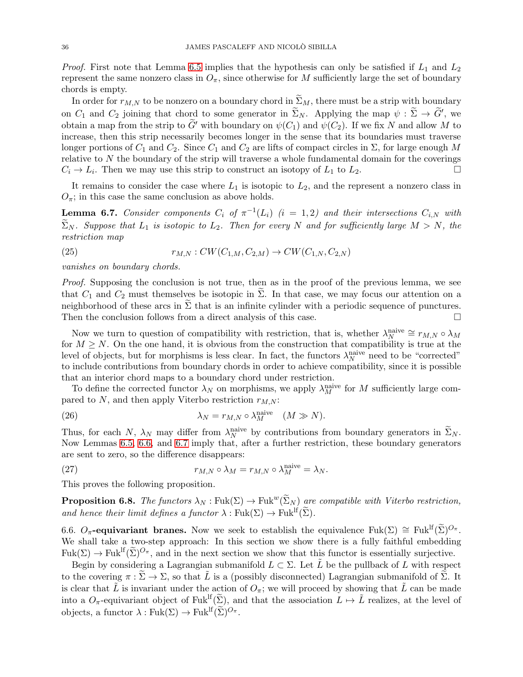*Proof.* First note that Lemma [6.5](#page-34-0) implies that the hypothesis can only be satisfied if  $L_1$  and  $L_2$ represent the same nonzero class in  $O_\pi$ , since otherwise for M sufficiently large the set of boundary chords is empty.

In order for  $r_{M,N}$  to be nonzero on a boundary chord in  $\Sigma_M$ , there must be a strip with boundary on  $C_1$  and  $C_2$  joining that chord to some generator in  $\Sigma_N$ . Applying the map  $\psi : \Sigma \to G'$ , we obtain a map from the strip to  $G'$  with boundary on  $\psi(C_1)$  and  $\psi(C_2)$ . If we fix N and allow M to increase, then this strip necessarily becomes longer in the sense that its boundaries must traverse longer portions of  $C_1$  and  $C_2$ . Since  $C_1$  and  $C_2$  are lifts of compact circles in  $\Sigma$ , for large enough M relative to  $N$  the boundary of the strip will traverse a whole fundamental domain for the coverings  $C_i \to L_i$ . Then we may use this strip to construct an isotopy of  $L_1$  to  $L_2$ .

It remains to consider the case where  $L_1$  is isotopic to  $L_2$ , and the represent a nonzero class in  $O_{\pi}$ ; in this case the same conclusion as above holds.

<span id="page-35-1"></span>**Lemma 6.7.** Consider components  $C_i$  of  $\pi^{-1}(L_i)$   $(i = 1, 2)$  and their intersections  $C_{i,N}$  with  $\widetilde{\Sigma}_N$ . Suppose that  $L_1$  is isotopic to  $L_2$ . Then for every N and for sufficiently large  $M > N$ , the restriction map

(25) 
$$
r_{M,N}: CW(C_{1,M}, C_{2,M}) \to CW(C_{1,N}, C_{2,N})
$$

vanishes on boundary chords.

Proof. Supposing the conclusion is not true, then as in the proof of the previous lemma, we see that  $C_1$  and  $C_2$  must themselves be isotopic in  $\Sigma$ . In that case, we may focus our attention on a neighborhood of these arcs in  $\Sigma$  that is an infinite cylinder with a periodic sequence of punctures.<br>Then the conclusion follows from a direct analysis of this case Then the conclusion follows from a direct analysis of this case.

Now we turn to question of compatibility with restriction, that is, whether  $\lambda_N^{\text{naive}} \cong r_{M,N} \circ \lambda_M$ for  $M \geq N$ . On the one hand, it is obvious from the construction that compatibility is true at the level of objects, but for morphisms is less clear. In fact, the functors  $\lambda_N^{\text{naive}}$  need to be "corrected" to include contributions from boundary chords in order to achieve compatibility, since it is possible that an interior chord maps to a boundary chord under restriction.

To define the corrected functor  $\lambda_N$  on morphisms, we apply  $\lambda_M^{\text{naive}}$  for M sufficiently large compared to  $N$ , and then apply Viterbo restriction  $r_{M,N}$ :

(26) 
$$
\lambda_N = r_{M,N} \circ \lambda_M^{\text{naive}} \quad (M \gg N).
$$

Thus, for each N,  $\lambda_N$  may differ from  $\lambda_N^{\text{naive}}$  by contributions from boundary generators in  $\Sigma_N$ . Now Lemmas [6.5,](#page-34-0) [6.6,](#page-34-1) and [6.7](#page-35-1) imply that, after a further restriction, these boundary generators are sent to zero, so the difference disappears:

(27) 
$$
r_{M,N} \circ \lambda_M = r_{M,N} \circ \lambda_M^{\text{naive}} = \lambda_N.
$$

This proves the following proposition.

**Proposition 6.8.** The functors  $\lambda_N : \text{Fuk}(\Sigma) \to \text{Fuk}^w(\widetilde{\Sigma}_N)$  are compatible with Viterbo restriction, and hence their limit defines a functor  $\lambda : \text{Fuk}(\Sigma) \to \text{Fuk}^{\text{lf}}(\widetilde{\Sigma}).$ 

<span id="page-35-0"></span>6.6. O<sub>π</sub>-equivariant branes. Now we seek to establish the equivalence Fuk( $\Sigma$ )  $\cong$  Fuk<sup>If</sup>( $\widetilde{\Sigma}$ )<sup>O</sup><sup>π</sup>. We shall take a two-step approach: In this section we show there is a fully faithful embedding  $Fuk(\Sigma) \to Fuk^{\text{lf}}(\widetilde{\Sigma})^{O_{\pi}}$ , and in the next section we show that this functor is essentially surjective.

Begin by considering a Lagrangian submanifold  $L \subset \Sigma$ . Let  $\tilde{L}$  be the pullback of L with respect to the covering  $\pi : \Sigma \to \Sigma$ , so that L is a (possibly disconnected) Lagrangian submanifold of  $\Sigma$ . It is clear that  $\tilde{L}$  is invariant under the action of  $O_{\pi}$ ; we will proceed by showing that  $\tilde{L}$  can be made into a  $O_{\pi}$ -equivariant object of Fuk<sup>lf</sup>( $\tilde{\Sigma}$ ), and that the association  $L \mapsto \tilde{L}$  realizes, at the level of objects, a functor  $\lambda : \text{Fuk}(\Sigma) \to \text{Fuk}^{\text{lf}}(\widetilde{\Sigma})^{O_{\pi}}$ .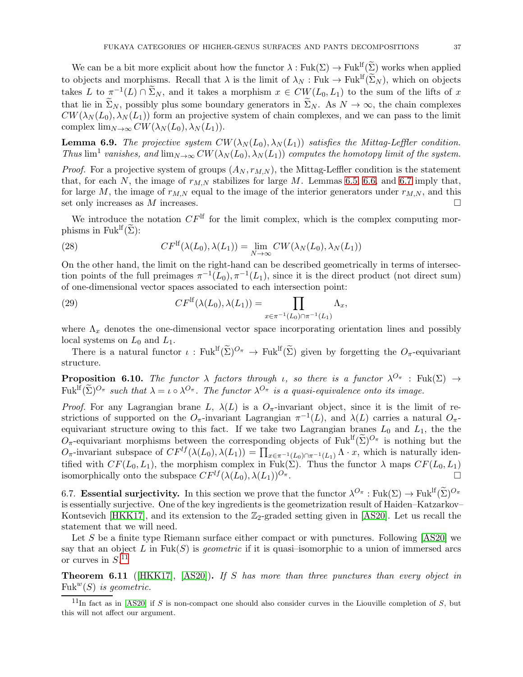We can be a bit more explicit about how the functor  $\lambda : \text{Fuk}(\Sigma) \to \text{Fuk}^{\text{lf}}(\widetilde{\Sigma})$  works when applied to objects and morphisms. Recall that  $\lambda$  is the limit of  $\lambda_N : \text{Fuk} \to \text{Fuk}^{\text{lf}}(\widetilde{\Sigma}_N)$ , which on objects takes L to  $\pi^{-1}(L) \cap \tilde{\Sigma}_N$ , and it takes a morphism  $x \in CW(L_0, L_1)$  to the sum of the lifts of x that lie in  $\widetilde{\Sigma}_N$ , possibly plus some boundary generators in  $\widetilde{\Sigma}_N$ . As  $N \to \infty$ , the chain complexes  $CW(\lambda_N(L_0), \lambda_N(L_1))$  form an projective system of chain complexes, and we can pass to the limit complex  $\lim_{N\to\infty} CW(\lambda_N(L_0), \lambda_N(L_1)).$ 

**Lemma 6.9.** The projective system  $CW(\lambda_N(L_0), \lambda_N(L_1))$  satisfies the Mittag-Leffler condition. Thus  $\lim^1$  vanishes, and  $\lim_{N\to\infty} CW(\lambda_N(L_0), \lambda_N(L_1))$  computes the homotopy limit of the system.

*Proof.* For a projective system of groups  $(A_N, r_{M,N})$ , the Mittag-Leffler condition is the statement that, for each N, the image of  $r_{M,N}$  stabilizes for large M. Lemmas [6.5,](#page-34-0) [6.6,](#page-34-1) and [6.7](#page-35-1) imply that, for large M, the image of  $r_{M,N}$  equal to the image of the interior generators under  $r_{M,N}$ , and this set only increases as  $M$  increases.

We introduce the notation  $CF^{\text{lf}}$  for the limit complex, which is the complex computing morphisms in Fuk<sup>If</sup> $(\tilde{\Sigma})$ :

(28) 
$$
CF^{\mathrm{lf}}(\lambda(L_0), \lambda(L_1)) = \lim_{N \to \infty} CW(\lambda_N(L_0), \lambda_N(L_1))
$$

On the other hand, the limit on the right-hand can be described geometrically in terms of intersection points of the full preimages  $\pi^{-1}(L_0), \pi^{-1}(L_1)$ , since it is the direct product (not direct sum) of one-dimensional vector spaces associated to each intersection point:

(29) 
$$
CF^{\mathrm{lf}}(\lambda(L_0), \lambda(L_1)) = \prod_{x \in \pi^{-1}(L_0) \cap \pi^{-1}(L_1)} \Lambda_x,
$$

where  $\Lambda_x$  denotes the one-dimensional vector space incorporating orientation lines and possibly local systems on  $L_0$  and  $L_1$ .

There is a natural functor  $\iota$ : Fuk<sup>If</sup>( $\widetilde{\Sigma}$ )<sup> $O_{\pi}$ </sup>  $\to$  Fuk<sup>If</sup>( $\widetilde{\Sigma}$ ) given by forgetting the  $O_{\pi}$ -equivariant structure.

**Proposition 6.10.** The functor  $\lambda$  factors through *i*, so there is a functor  $\lambda^{O_{\pi}}$  : Fuk( $\Sigma$ )  $\rightarrow$  $Fuk^{\text{lf}}(\tilde{\Sigma})^{O_{\pi}}$  such that  $\lambda = \iota \circ \lambda^{O_{\pi}}$ . The functor  $\lambda^{O_{\pi}}$  is a quasi-equivalence onto its image.

Proof. For any Lagrangian brane L,  $\lambda(L)$  is a  $O_{\pi}$ -invariant object, since it is the limit of restrictions of supported on the  $O_{\pi}$ -invariant Lagrangian  $\pi^{-1}(L)$ , and  $\lambda(L)$  carries a natural  $O_{\pi}$ equivariant structure owing to this fact. If we take two Lagrangian branes  $L_0$  and  $L_1$ , the the  $O_{\pi}$ -equivariant morphisms between the corresponding objects of Fuk<sup>If</sup>( $\widetilde{\Sigma}$ )<sup> $O_{\pi}$ </sup> is nothing but the  $O_{\pi}$ -invariant subspace of  $CF^{lf}(\lambda(L_0), \lambda(L_1)) = \prod_{x \in \pi^{-1}(L_0) \cap \pi^{-1}(L_1)} \Lambda \cdot x$ , which is naturally identified with  $CF(L_0, L_1)$ , the morphism complex in Fuk( $\Sigma$ ). Thus the functor  $\lambda$  maps  $CF(L_0, L_1)$ isomorphically onto the subspace  $CF^{lf}(\lambda(L_0), \lambda(L_1))^{O_{\pi}}$ .

<span id="page-36-0"></span>6.7. **Essential surjectivity.** In this section we prove that the functor  $\lambda^{O_{\pi}} : \text{Fuk}(\Sigma) \to \text{Fuk}^{\text{lf}}(\widetilde{\Sigma})^{O_{\pi}}$ is essentially surjective. One of the key ingredients is the geometrization result of Haiden–Katzarkov– Kontsevich [\[HKK17\]](#page-44-10), and its extension to the  $\mathbb{Z}_2$ -graded setting given in [\[AS20\]](#page-44-16). Let us recall the statement that we will need.

Let S be a finite type Riemann surface either compact or with punctures. Following  $[AS20]$  we say that an object L in Fuk(S) is *geometric* if it is quasi-isomorphic to a union of immersed arcs or curves in  $S^{11}$  $S^{11}$  $S^{11}$ 

<span id="page-36-2"></span>**Theorem 6.11** ( $[HKK17]$ ,  $[AS20]$ ). If S has more than three punctures than every object in Fuk<sup>w</sup> $(S)$  is geometric.

<span id="page-36-1"></span><sup>&</sup>lt;sup>11</sup>In fact as in [\[AS20\]](#page-44-16) if S is non-compact one should also consider curves in the Liouville completion of S, but this will not affect our argument.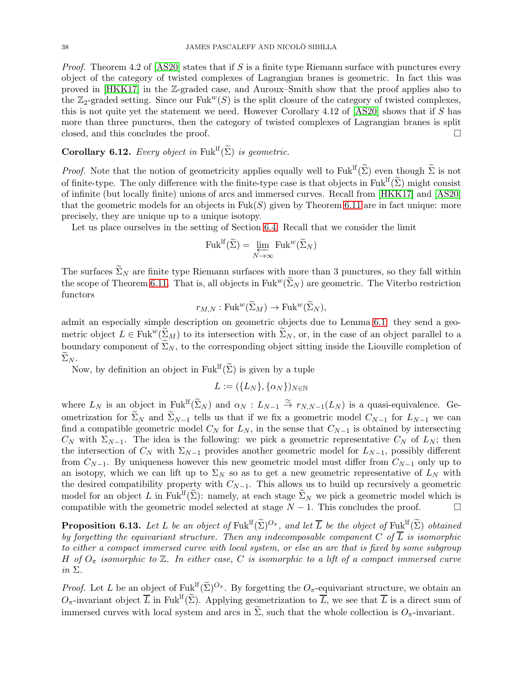*Proof.* Theorem 4.2 of [\[AS20\]](#page-44-16) states that if S is a finite type Riemann surface with punctures every object of the category of twisted complexes of Lagrangian branes is geometric. In fact this was proved in [\[HKK17\]](#page-44-10) in the Z-graded case, and Auroux–Smith show that the proof applies also to the  $\mathbb{Z}_2$ -graded setting. Since our Fuk<sup>w</sup>(S) is the split closure of the category of twisted complexes, this is not quite yet the statement we need. However Corollary 4.12 of  $[AS20]$  shows that if S has more than three punctures, then the category of twisted complexes of Lagrangian branes is split closed, and this concludes the proof.

# Corollary 6.12. Every object in Fuk<sup>lf</sup> $(\widetilde{\Sigma})$  is geometric.

*Proof.* Note that the notion of geometricity applies equally well to Fuk<sup>If</sup>( $\widetilde{\Sigma}$ ) even though  $\widetilde{\Sigma}$  is not of finite-type. The only difference with the finite-type case is that objects in Fuk<sup>If</sup>( $\tilde{\Sigma}$ ) might consist of infinite (but locally finite) unions of arcs and immersed curves. Recall from [\[HKK17\]](#page-44-10) and [\[AS20\]](#page-44-16) that the geometric models for an objects in  $Fuk(S)$  given by Theorem [6.11](#page-36-2) are in fact unique: more precisely, they are unique up to a unique isotopy.

Let us place ourselves in the setting of Section [6.4.](#page-31-1) Recall that we consider the limit

$$
\mathrm{Fuk}^{\mathrm{lf}}(\widetilde{\Sigma}) = \varprojlim_{N \to \infty} \mathrm{Fuk}^w(\widetilde{\Sigma}_N)
$$

The surfaces  $\Sigma_N$  are finite type Riemann surfaces with more than 3 punctures, so they fall within the scope of Theorem [6.11.](#page-36-2) That is, all objects in  $Fuk^w(\tilde{\Sigma}_N)$  are geometric. The Viterbo restriction functors

$$
r_{M,N}: \mathrm{Fuk}^w(\widetilde{\Sigma}_M) \to \mathrm{Fuk}^w(\widetilde{\Sigma}_N),
$$

admit an especially simple description on geometric objects due to Lemma [6.1:](#page-31-2) they send a geometric object  $L \in \text{Fuk}^w(\Sigma_M)$  to its intersection with  $\Sigma_N$ , or, in the case of an object parallel to a boundary component of  $\Sigma_N$ , to the corresponding object sitting inside the Liouville completion of  $\Sigma_N$ .

Now, by definition an object in Fuk<sup>If</sup>( $\widetilde{\Sigma}$ ) is given by a tuple

$$
L := (\{L_N\}, \{\alpha_N\})_{N \in \mathbb{N}}
$$

where  $L_N$  is an object in  $\mathbb{F}uk^{\text{lf}}(\widetilde{\Sigma}_N)$  and  $\alpha_N: L_{N-1} \stackrel{\simeq}{\to} r_{N,N-1}(L_N)$  is a quasi-equivalence. Geometrization for  $\Sigma_N$  and  $\Sigma_{N-1}$  tells us that if we fix a geometric model  $C_{N-1}$  for  $L_{N-1}$  we can find a compatible geometric model  $C_N$  for  $L_N$ , in the sense that  $C_{N-1}$  is obtained by intersecting  $C_N$  with  $\Sigma_{N-1}$ . The idea is the following: we pick a geometric representative  $C_N$  of  $L_N$ ; then the intersection of  $C_N$  with  $\Sigma_{N-1}$  provides another geometric model for  $L_{N-1}$ , possibly different from  $C_{N-1}$ . By uniqueness however this new geometric model must differ from  $C_{N-1}$  only up to an isotopy, which we can lift up to  $\Sigma_N$  so as to get a new geometric representative of  $L_N$  with the desired compatibility property with  $C_{N-1}$ . This allows us to build up recursively a geometric model for an object L in Fuk<sup>lf</sup>( $\tilde{\Sigma}$ ): namely, at each stage  $\tilde{\Sigma}_N$  we pick a geometric model which is compatible with the geometric model selected at stage  $N-1$ . This concludes the proof. compatible with the geometric model selected at stage  $N - 1$ . This concludes the proof.

<span id="page-37-0"></span>**Proposition 6.13.** Let L be an object of Fuk<sup>If</sup> $(\tilde{\Sigma})^{O_{\pi}}$ , and let  $\overline{L}$  be the object of Fuk<sup>If</sup> $(\tilde{\Sigma})$  obtained by forgetting the equivariant structure. Then any indecomposable component C of  $\overline{L}$  is isomorphic to either a compact immersed curve with local system, or else an arc that is fixed by some subgroup H of  $O_{\pi}$  isomorphic to  $\mathbb{Z}$ . In either case, C is isomorphic to a lift of a compact immersed curve in  $\Sigma$ .

*Proof.* Let L be an object of Fuk<sup>If</sup> $(\widetilde{\Sigma})^{O_{\pi}}$ . By forgetting the  $O_{\pi}$ -equivariant structure, we obtain an  $O_{\pi}$ -invariant object  $\overline{L}$  in Fuk<sup>lf</sup>( $\widetilde{\Sigma}$ ). Applying geometrization to  $\overline{L}$ , we see that  $\overline{L}$  is a direct sum of immersed curves with local system and arcs in  $\widetilde{\Sigma}$ , such that the whole collection is  $O_{\pi}$ -invariant.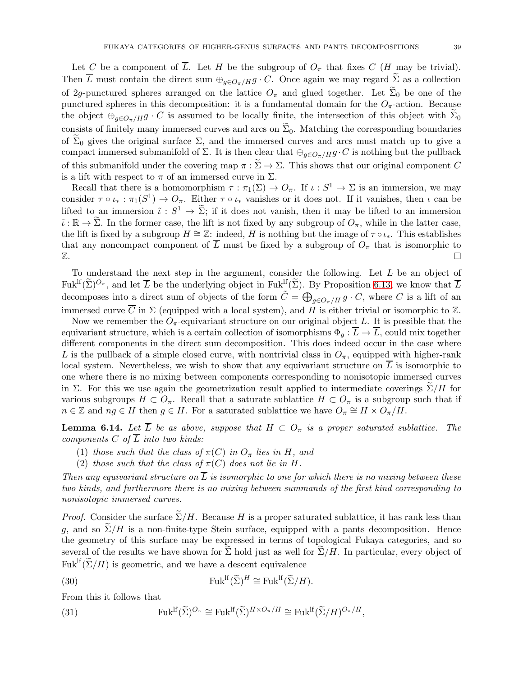Let C be a component of  $\overline{L}$ . Let H be the subgroup of  $O_{\pi}$  that fixes C (H may be trivial). Then  $\overline{L}$  must contain the direct sum  $\bigoplus_{q\in O_{\pi}/H} g \cdot C$ . Once again we may regard  $\Sigma$  as a collection of 2g-punctured spheres arranged on the lattice  $O_{\pi}$  and glued together. Let  $\Sigma_0$  be one of the punctured spheres in this decomposition: it is a fundamental domain for the  $O_{\pi}$ -action. Because the object  $\bigoplus_{g\in\mathcal{O}_{\pi}/H}g\cdot C$  is assumed to be locally finite, the intersection of this object with  $\Sigma_0$ consists of finitely many immersed curves and arcs on  $\Sigma_0$ . Matching the corresponding boundaries of  $\Sigma_0$  gives the original surface  $\Sigma$ , and the immersed curves and arcs must match up to give a compact immersed submanifold of  $\Sigma$ . It is then clear that  $\bigoplus_{q\in O_{\pi}/H} g\cdot C$  is nothing but the pullback of this submanifold under the covering map  $\pi : \Sigma \to \Sigma$ . This shows that our original component C is a lift with respect to  $\pi$  of an immersed curve in  $\Sigma$ .

Recall that there is a homomorphism  $\tau : \pi_1(\Sigma) \to O_{\pi}$ . If  $\iota : S^1 \to \Sigma$  is an immersion, we may consider  $\tau \circ \iota_* : \pi_1(S^1) \to O_{\pi}$ . Either  $\tau \circ \iota_*$  vanishes or it does not. If it vanishes, then  $\iota$  can be lifted to an immersion  $\tilde{\iota}: S^1 \to \Sigma$ ; if it does not vanish, then it may be lifted to an immersion  $\tilde{\iota}: \mathbb{R} \to \Sigma$ . In the former case, the lift is not fixed by any subgroup of  $O_{\pi}$ , while in the latter case, the lift is fixed by a subgroup  $H \cong \mathbb{Z}$ : indeed, H is nothing but the image of  $\tau \circ \iota_*$ . This establishes that any noncompact component of  $\overline{L}$  must be fixed by a subgroup of  $O_{\pi}$  that is isomorphic to  $\mathbb{Z}$ .

To understand the next step in the argument, consider the following. Let L be an object of Fuk<sup>lf</sup> $(\tilde{\Sigma})^{O_{\pi}}$ , and let  $\overline{L}$  be the underlying object in Fuk<sup>lf</sup> $(\tilde{\Sigma})$ . By Proposition [6.13,](#page-37-0) we know that  $\overline{L}$ decomposes into a direct sum of objects of the form  $\tilde{C} = \bigoplus_{g \in O_{\pi}/H} g \cdot C$ , where C is a lift of an immersed curve  $\overline{C}$  in  $\Sigma$  (equipped with a local system), and H is either trivial or isomorphic to  $\mathbb{Z}$ .

Now we remember the  $O_{\pi}$ -equivariant structure on our original object L. It is possible that the equivariant structure, which is a certain collection of isomorphisms  $\Phi_q : \overline{L} \to \overline{L}$ , could mix together different components in the direct sum decomposition. This does indeed occur in the case where L is the pullback of a simple closed curve, with nontrivial class in  $O_{\pi}$ , equipped with higher-rank local system. Nevertheless, we wish to show that any equivariant structure on  $\overline{L}$  is isomorphic to one where there is no mixing between components corresponding to nonisotopic immersed curves in Σ. For this we use again the geometrization result applied to intermediate coverings  $\Sigma/H$  for various subgroups  $H \subset O_{\pi}$ . Recall that a saturate sublattice  $H \subset O_{\pi}$  is a subgroup such that if  $n \in \mathbb{Z}$  and  $ng \in H$  then  $g \in H$ . For a saturated sublattice we have  $O_{\pi} \cong H \times O_{\pi}/H$ .

<span id="page-38-0"></span>**Lemma 6.14.** Let  $\overline{L}$  be as above, suppose that  $H \subset O_{\pi}$  is a proper saturated sublattice. The components C of  $\overline{L}$  into two kinds:

- (1) those such that the class of  $\pi(C)$  in  $O_{\pi}$  lies in H, and
- (2) those such that the class of  $\pi(C)$  does not lie in H.

Then any equivariant structure on  $\overline{L}$  is isomorphic to one for which there is no mixing between these two kinds, and furthermore there is no mixing between summands of the first kind corresponding to nonisotopic immersed curves.

*Proof.* Consider the surface  $\Sigma/H$ . Because H is a proper saturated sublattice, it has rank less than g, and so  $\Sigma/H$  is a non-finite-type Stein surface, equipped with a pants decomposition. Hence the geometry of this surface may be expressed in terms of topological Fukaya categories, and so several of the results we have shown for  $\Sigma$  hold just as well for  $\Sigma/H$ . In particular, every object of  $Fuk<sup>lf</sup>(\widetilde{\Sigma}/H)$  is geometric, and we have a descent equivalence

(30) 
$$
\text{Fuk}^{\text{lf}}(\widetilde{\Sigma})^H \cong \text{Fuk}^{\text{lf}}(\widetilde{\Sigma}/H).
$$

From this it follows that

(31) 
$$
\mathrm{Fuk}^{\mathrm{lf}}(\widetilde{\Sigma})^{O_{\pi}} \cong \mathrm{Fuk}^{\mathrm{lf}}(\widetilde{\Sigma})^{H \times O_{\pi}/H} \cong \mathrm{Fuk}^{\mathrm{lf}}(\widetilde{\Sigma}/H)^{O_{\pi}/H},
$$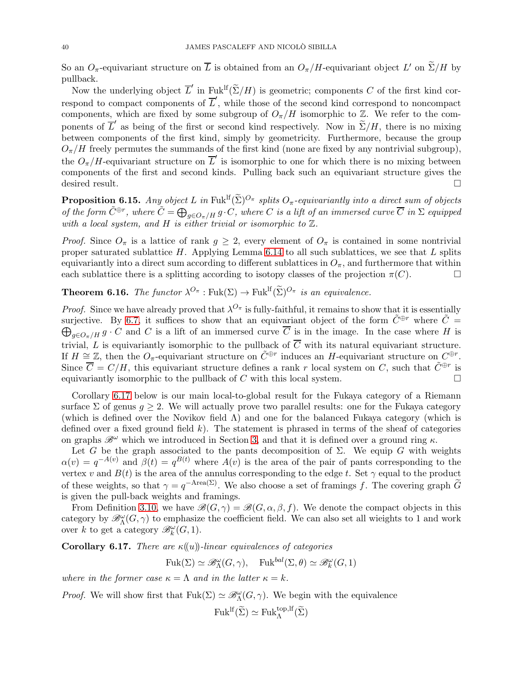So an  $O_{\pi}$ -equivariant structure on L is obtained from an  $O_{\pi}/H$ -equivariant object L' on  $\Sigma/H$  by pullback.

Now the underlying object  $\overline{L}'$  in  $\text{Fuk}^{\text{lf}}(\widetilde{\Sigma}/H)$  is geometric; components C of the first kind correspond to compact components of  $\overline{L}'$ , while those of the second kind correspond to noncompact components, which are fixed by some subgroup of  $O_{\pi}/H$  isomorphic to  $\mathbb{Z}$ . We refer to the components of  $\overline{L}'$  as being of the first or second kind respectively. Now in  $\Sigma/H$ , there is no mixing between components of the first kind, simply by geometricity. Furthermore, because the group  $O_{\pi}/H$  freely permutes the summands of the first kind (none are fixed by any nontrivial subgroup), the  $O_{\pi}/H$ -equivariant structure on  $\overline{L}'$  is isomorphic to one for which there is no mixing between components of the first and second kinds. Pulling back such an equivariant structure gives the desired result.

<span id="page-39-1"></span>**Proposition 6.15.** Any object L in Fuk<sup>If</sup> $(\tilde{\Sigma})^{O_{\pi}}$  splits  $O_{\pi}$ -equivariantly into a direct sum of objects of the form  $\tilde{C}^{\oplus r}$ , where  $\tilde{C} = \bigoplus_{g \in O_{\pi}/H} g \cdot C$ , where C is a lift of an immersed curve  $\overline{C}$  in  $\Sigma$  equipped with a local system, and H is either trivial or isomorphic to  $\mathbb{Z}$ .

*Proof.* Since  $O_{\pi}$  is a lattice of rank  $g \geq 2$ , every element of  $O_{\pi}$  is contained in some nontrivial proper saturated sublattice  $H$ . Applying Lemma [6.14](#page-38-0) to all such sublattices, we see that  $L$  splits equivariantly into a direct sum according to different sublattices in  $O_\pi$ , and furthermore that within each sublattice there is a splitting according to isotopy classes of the projection  $\pi(C)$ .

<span id="page-39-0"></span>**Theorem 6.16.** The functor  $\lambda^{O_{\pi}}$ : Fuk $(\Sigma) \to$  Fuk<sup>If</sup> $(\widetilde{\Sigma})^{O_{\pi}}$  is an equivalence.

*Proof.* Since we have already proved that  $\lambda^{O_{\pi}}$  is fully-faithful, it remains to show that it is essentially surjective. By [6.7,](#page-39-1) it suffices to show that an equivariant object of the form  $\tilde{C}^{\oplus r}$  where  $\tilde{C} =$  $\bigoplus_{g\in O_{\pi}/H} g \cdot C$  and C is a lift of an immersed curve  $\overline{C}$  is in the image. In the case where H is trivial, L is equivariantly isomorphic to the pullback of  $\overline{C}$  with its natural equivariant structure. If  $H \cong \mathbb{Z}$ , then the  $O_{\pi}$ -equivariant structure on  $\tilde{C}^{\oplus r}$  induces an H-equivariant structure on  $C^{\oplus r}$ . Since  $\overline{C} = C/H$ , this equivariant structure defines a rank r local system on C, such that  $\tilde{C}^{\oplus r}$  is equivariantly isomorphic to the pullback of C with this local system.  $\Box$ 

Corollary [6.17](#page-39-2) below is our main local-to-global result for the Fukaya category of a Riemann surface  $\Sigma$  of genus  $g \geq 2$ . We will actually prove two parallel results: one for the Fukaya category (which is defined over the Novikov field  $\Lambda$ ) and one for the balanced Fukaya category (which is defined over a fixed ground field  $k$ ). The statement is phrased in terms of the sheaf of categories on graphs  $\mathscr{B}^{\omega}$  which we introduced in Section [3,](#page-8-0) and that it is defined over a ground ring  $\kappa$ .

Let G be the graph associated to the pants decomposition of  $\Sigma$ . We equip G with weights  $\alpha(v) = q^{-A(v)}$  and  $\beta(t) = q^{B(t)}$  where  $A(v)$  is the area of the pair of pants corresponding to the vertex v and  $B(t)$  is the area of the annulus corresponding to the edge t. Set  $\gamma$  equal to the product of these weights, so that  $\gamma = q^{-Area(\Sigma)}$ . We also choose a set of framings f. The covering graph  $\tilde{G}$ is given the pull-back weights and framings.

From Definition [3.10,](#page-17-2) we have  $\mathscr{B}(G, \gamma) = \mathscr{B}(G, \alpha, \beta, f)$ . We denote the compact objects in this category by  $\mathscr{B}_{\Lambda}^{\omega}(G,\gamma)$  to emphasize the coefficient field. We can also set all wieights to 1 and work over k to get a category  $\mathscr{B}_{k}^{\omega}(G,1)$ .

<span id="page-39-2"></span>Corollary 6.17. There are  $\kappa(u)$ -linear equivalences of categories

$$
\mathrm{Fuk}(\Sigma) \simeq \mathscr{B}_{\Lambda}^{\omega}(G,\gamma), \quad \mathrm{Fuk}^{bal}(\Sigma,\theta) \simeq \mathscr{B}_{k}^{\omega}(G,1)
$$

where in the former case  $\kappa = \Lambda$  and in the latter  $\kappa = k$ .

*Proof.* We will show first that  $Fuk(\Sigma) \simeq \mathscr{B}_{\Lambda}^{\omega}(G,\gamma)$ . We begin with the equivalence

 $Fuk<sup>lf</sup>(\widetilde{\Sigma}) \simeq Fuk_{\Lambda}^{top,lf}(\widetilde{\Sigma})$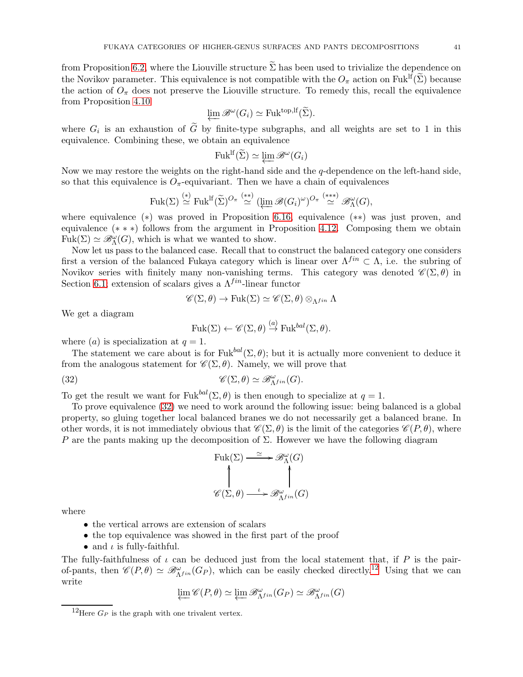from Proposition [6.2,](#page-32-1) where the Liouville structure  $\tilde{\Sigma}$  has been used to trivialize the dependence on the Novikov parameter. This equivalence is not compatible with the  $O_{\pi}$  action on Fuk<sup>If</sup>( $\tilde{\Sigma}$ ) because the action of  $O_{\pi}$  does not preserve the Liouville structure. To remedy this, recall the equivalence from Proposition [4.10](#page-22-1)

$$
\varprojlim \mathscr{B}^{\omega}(G_i) \simeq \mathrm{Fuk}^{\mathrm{top},\mathrm{lf}}(\widetilde{\Sigma}).
$$

where  $G_i$  is an exhaustion of G by finite-type subgraphs, and all weights are set to 1 in this equivalence. Combining these, we obtain an equivalence

$$
\text{Fuk}^{\text{lf}}(\widetilde{\Sigma}) \simeq \varprojlim \mathscr{B}^\omega(G_i)
$$

Now we may restore the weights on the right-hand side and the q-dependence on the left-hand side, so that this equivalence is  $O_{\pi}$ -equivariant. Then we have a chain of equivalences

$$
\mathrm{Fuk}(\Sigma) \stackrel{(*)}{\simeq} \mathrm{Fuk}^{\mathrm{lf}}(\widetilde{\Sigma})^{O_{\pi}} \stackrel{(**)}{\simeq} (\varprojlim \mathscr{B}(G_i)^{\omega})^{O_{\pi}} \stackrel{(***)}{\simeq} \mathscr{B}_{\Lambda}^{\omega}(G),
$$

where equivalence (∗) was proved in Proposition [6.16,](#page-39-0) equivalence (∗∗) was just proven, and equivalence (∗ ∗ ∗) follows from the argument in Proposition [4.12.](#page-23-2) Composing them we obtain  $Fuk(\Sigma) \simeq \mathscr{B}_{\Lambda}^{\omega}(G)$ , which is what we wanted to show.

Now let us pass to the balanced case. Recall that to construct the balanced category one considers first a version of the balanced Fukaya category which is linear over  $\Lambda^{fin} \subset \Lambda$ , i.e. the subring of Novikov series with finitely many non-vanishing terms. This category was denoted  $\mathscr{C}(\Sigma,\theta)$  in Section [6.1;](#page-28-1) extension of scalars gives a  $\Lambda^{fin}$ -linear functor

$$
\mathscr{C}(\Sigma,\theta)\to\mathrm{Fuk}(\Sigma)\simeq\mathscr{C}(\Sigma,\theta)\otimes_{\Lambda^{fin}}\Lambda
$$

We get a diagram

<span id="page-40-0"></span>
$$
\mathrm{Fuk}(\Sigma) \leftarrow \mathscr{C}(\Sigma, \theta) \stackrel{(a)}{\rightarrow} \mathrm{Fuk}^{bal}(\Sigma, \theta).
$$

where (*a*) is specialization at  $q = 1$ .

The statement we care about is for Fuk<sup>bal</sup> $(\Sigma, \theta)$ ; but it is actually more convenient to deduce it from the analogous statement for  $\mathscr{C}(\Sigma, \theta)$ . Namely, we will prove that

(32) 
$$
\mathscr{C}(\Sigma,\theta) \simeq \mathscr{B}_{\Lambda^{fin}}^{\omega}(G).
$$

To get the result we want for Fuk<sup>bal</sup>( $\Sigma$ ,  $\theta$ ) is then enough to specialize at  $q = 1$ .

To prove equivalence [\(32\)](#page-40-0) we need to work around the following issue: being balanced is a global property, so gluing together local balanced branes we do not necessarily get a balanced brane. In other words, it is not immediately obvious that  $\mathscr{C}(\Sigma, \theta)$  is the limit of the categories  $\mathscr{C}(P, \theta)$ , where P are the pants making up the decomposition of  $\Sigma$ . However we have the following diagram

$$
\text{Fuk}(\Sigma) \xrightarrow{\simeq} \mathcal{B}_{\Lambda}^{\omega}(G)
$$

$$
\uparrow \qquad \qquad \uparrow
$$

$$
\mathcal{C}(\Sigma, \theta) \xrightarrow{\iota} \mathcal{B}_{\Lambda^{fin}}^{\omega}(G)
$$

where

- the vertical arrows are extension of scalars
- the top equivalence was showed in the first part of the proof
- and  $\iota$  is fully-faithful.

The fully-faithfulness of  $\iota$  can be deduced just from the local statement that, if P is the pairof-pants, then  $\mathscr{C}(P,\theta) \simeq \mathscr{B}_{\Lambda^{fin}}^{\omega}(G_P)$ , which can be easily checked directly.<sup>[12](#page-40-1)</sup> Using that we can write

$$
\varprojlim \mathscr{C}(P,\theta) \simeq \varprojlim \mathscr{B}_{\Lambda^{fin}}^{\omega}(G_P) \simeq \mathscr{B}_{\Lambda^{fin}}^{\omega}(G)
$$

<span id="page-40-1"></span><sup>&</sup>lt;sup>12</sup>Here  $G_P$  is the graph with one trivalent vertex.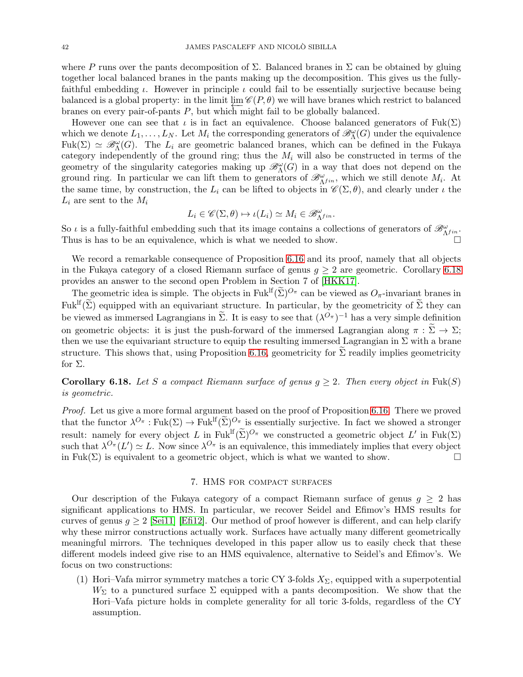where P runs over the pants decomposition of  $\Sigma$ . Balanced branes in  $\Sigma$  can be obtained by gluing together local balanced branes in the pants making up the decomposition. This gives us the fullyfaithful embedding  $\iota$ . However in principle  $\iota$  could fail to be essentially surjective because being balanced is a global property: in the limit  $\lim \mathscr{C}(P,\theta)$  we will have branes which restrict to balanced branes on every pair-of-pants P, but which might fail to be globally balanced.

However one can see that  $\iota$  is in fact an equivalence. Choose balanced generators of Fuk( $\Sigma$ ) which we denote  $L_1, \ldots, L_N$ . Let  $M_i$  the corresponding generators of  $\mathscr{B}_{\Lambda}^{\omega}(G)$  under the equivalence Fuk( $\Sigma$ )  $\simeq \mathscr{B}_{\Lambda}^{\omega}(G)$ . The  $L_i$  are geometric balanced branes, which can be defined in the Fukaya category independently of the ground ring; thus the  $M_i$  will also be constructed in terms of the geometry of the singularity categories making up  $\mathcal{B}_{\Lambda}^{\omega}(G)$  in a way that does not depend on the ground ring. In particular we can lift them to generators of  $\mathscr{B}_{\Lambda^{fin}}^{\omega}$ , which we still denote  $M_i$ . At the same time, by construction, the  $L_i$  can be lifted to objects in  $\mathscr{C}(\Sigma,\theta)$ , and clearly under  $\iota$  the  $L_i$  are sent to the  $M_i$ 

$$
L_i \in \mathscr{C}(\Sigma, \theta) \mapsto \iota(L_i) \simeq M_i \in \mathscr{B}_{\Lambda^{fin}}^{\omega}.
$$

So  $\iota$  is a fully-faithful embedding such that its image contains a collections of generators of  $\mathscr{B}_{\Lambda^{fin}}^{\omega}$ . Thus is has to be an equivalence, which is what we needed to show.

We record a remarkable consequence of Proposition [6.16](#page-39-0) and its proof, namely that all objects in the Fukaya category of a closed Riemann surface of genus  $q > 2$  are geometric. Corollary [6.18](#page-41-1) provides an answer to the second open Problem in Section 7 of [\[HKK17\]](#page-44-10).

The geometric idea is simple. The objects in Fuk<sup>If</sup>( $\tilde{\Sigma}$ )<sup> $O_{\pi}$ </sup> can be viewed as  $O_{\pi}$ -invariant branes in Fuk<sup>lf</sup>( $\widetilde{\Sigma}$ ) equipped with an equivariant structure. In particular, by the geometricity of  $\widetilde{\Sigma}$  they can be viewed as immersed Lagrangians in  $\tilde{\Sigma}$ . It is easy to see that  $({\lambda}^{O_{\pi}})^{-1}$  has a very simple definition on geometric objects: it is just the push-forward of the immersed Lagrangian along  $\pi : \widetilde{\Sigma} \to \Sigma$ ; then we use the equivariant structure to equip the resulting immersed Lagrangian in  $\Sigma$  with a brane structure. This shows that, using Proposition [6.16,](#page-39-0) geometricity for  $\Sigma$  readily implies geometricity for  $\Sigma$ .

<span id="page-41-1"></span>**Corollary 6.18.** Let S a compact Riemann surface of genus  $q \geq 2$ . Then every object in Fuk(S) is geometric.

Proof. Let us give a more formal argument based on the proof of Proposition [6.16.](#page-39-0) There we proved that the functor  $\lambda^{O_{\pi}} : \text{Fuk}(\Sigma) \to \text{Fuk}^{\text{lf}}(\widetilde{\Sigma})^{O_{\pi}}$  is essentially surjective. In fact we showed a stronger result: namely for every object L in Fuk<sup>If</sup> $(\tilde{\Sigma})^{O_{\pi}}$  we constructed a geometric object L' in Fuk $(\Sigma)$ such that  $\lambda^{O_{\pi}}(L') \simeq L$ . Now since  $\lambda^{O_{\pi}}$  is an equivalence, this immediately implies that every object in Fuk( $\Sigma$ ) is equivalent to a geometric object, which is what we wanted to show.

#### 7. HMS for compact surfaces

<span id="page-41-0"></span>Our description of the Fukaya category of a compact Riemann surface of genus  $q \geq 2$  has significant applications to HMS. In particular, we recover Seidel and Efimov's HMS results for curves of genus  $g \geq 2$  [\[Sei11\]](#page-45-0) [\[Efi12\]](#page-44-3). Our method of proof however is different, and can help clarify why these mirror constructions actually work. Surfaces have actually many different geometrically meaningful mirrors. The techniques developed in this paper allow us to easily check that these different models indeed give rise to an HMS equivalence, alternative to Seidel's and Efimov's. We focus on two constructions:

(1) Hori–Vafa mirror symmetry matches a toric CY 3-folds  $X_{\Sigma}$ , equipped with a superpotential  $W_{\Sigma}$  to a punctured surface  $\Sigma$  equipped with a pants decomposition. We show that the Hori–Vafa picture holds in complete generality for all toric 3-folds, regardless of the CY assumption.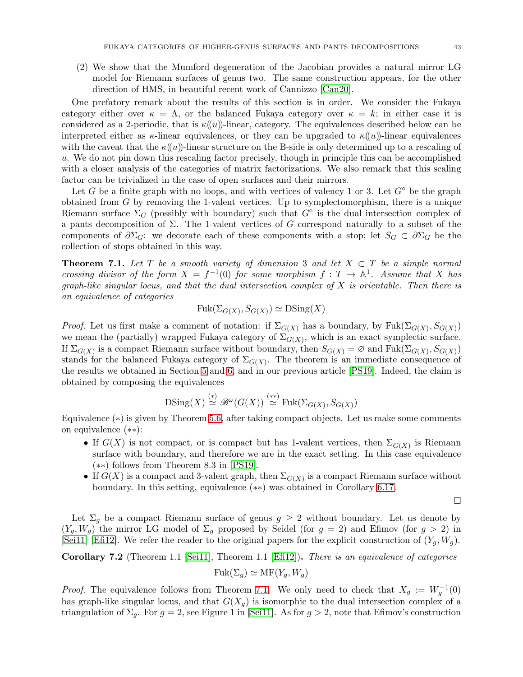(2) We show that the Mumford degeneration of the Jacobian provides a natural mirror LG model for Riemann surfaces of genus two. The same construction appears, for the other direction of HMS, in beautiful recent work of Cannizzo [\[Can20\]](#page-44-17).

One prefatory remark about the results of this section is in order. We consider the Fukaya category either over  $\kappa = \Lambda$ , or the balanced Fukaya category over  $\kappa = k$ ; in either case it is considered as a 2-periodic, that is  $\kappa(u)$ -linear, category. The equivalences described below can be interpreted either as  $\kappa$ -linear equivalences, or they can be upgraded to  $\kappa(u)$ -linear equivalences with the caveat that the  $\kappa((u))$ -linear structure on the B-side is only determined up to a rescaling of u. We do not pin down this rescaling factor precisely, though in principle this can be accomplished with a closer analysis of the categories of matrix factorizations. We also remark that this scaling factor can be trivialized in the case of open surfaces and their mirrors.

Let G be a finite graph with no loops, and with vertices of valency 1 or 3. Let  $G^{\circ}$  be the graph obtained from  $G$  by removing the 1-valent vertices. Up to symplectomorphism, there is a unique Riemann surface  $\Sigma_G$  (possibly with boundary) such that  $G^{\circ}$  is the dual intersection complex of a pants decomposition of  $\Sigma$ . The 1-valent vertices of G correspond naturally to a subset of the components of  $\partial \Sigma_G$ : we decorate each of these components with a stop; let  $S_G \subset \partial \Sigma_G$  be the collection of stops obtained in this way.

<span id="page-42-0"></span>**Theorem 7.1.** Let T be a smooth variety of dimension 3 and let  $X \subset T$  be a simple normal crossing divisor of the form  $X = f^{-1}(0)$  for some morphism  $f: T \to \mathbb{A}^1$ . Assume that X has graph-like singular locus, and that the dual intersection complex of  $X$  is orientable. Then there is an equivalence of categories

$$
Fuk(\Sigma_{G(X)}, S_{G(X)}) \simeq \text{DSing}(X)
$$

*Proof.* Let us first make a comment of notation: if  $\Sigma_{G(X)}$  has a boundary, by  $Fuk(\Sigma_{G(X)}, S_{G(X)})$ we mean the (partially) wrapped Fukaya category of  $\Sigma_{G(X)}$ , which is an exact symplectic surface. If  $\Sigma_{G(X)}$  is a compact Riemann surface without boundary, then  $S_{G(X)} = \emptyset$  and  $Fuk(\Sigma_{G(X)}, S_{G(X)})$ stands for the balanced Fukaya category of  $\Sigma_{G(X)}$ . The theorem is an immediate consequence of the results we obtained in Section [5](#page-23-0) and [6,](#page-28-0) and in our previous article [\[PS19\]](#page-44-12). Indeed, the claim is obtained by composing the equivalences

$$
\text{DSing}(X) \stackrel{(*)}{\simeq} \mathscr{B}^{\omega}(G(X)) \stackrel{(**)}{\simeq} \text{Fuk}(\Sigma_{G(X)}, S_{G(X)})
$$

Equivalence (∗) is given by Theorem [5.6,](#page-24-0) after taking compact objects. Let us make some comments on equivalence (∗∗):

- If  $G(X)$  is not compact, or is compact but has 1-valent vertices, then  $\Sigma_{G(X)}$  is Riemann surface with boundary, and therefore we are in the exact setting. In this case equivalence (∗∗) follows from Theorem 8.3 in [\[PS19\]](#page-44-12).
- If  $G(X)$  is a compact and 3-valent graph, then  $\Sigma_{G(X)}$  is a compact Riemann surface without boundary. In this setting, equivalence (∗∗) was obtained in Corollary [6.17.](#page-39-2)

 $\Box$ 

Let  $\Sigma_g$  be a compact Riemann surface of genus  $g \geq 2$  without boundary. Let us denote by  $(Y_g, W_g)$  the mirror LG model of  $\Sigma_g$  proposed by Seidel (for  $g = 2$ ) and Efimov (for  $g > 2$ ) in [\[Sei11\]](#page-45-0) [\[Efi12\]](#page-44-3). We refer the reader to the original papers for the explicit construction of  $(Y_q, W_q)$ .

Corollary 7.2 (Theorem 1.1 [\[Sei11\]](#page-45-0), Theorem 1.1 [\[Efi12\]](#page-44-3)). There is an equivalence of categories  $Fuk(\Sigma_q) \simeq MF(Y_q, W_q)$ 

*Proof.* The equivalence follows from Theorem [7.1.](#page-42-0) We only need to check that  $X_g := W_g^{-1}(0)$ has graph-like singular locus, and that  $G(X_g)$  is isomorphic to the dual intersection complex of a triangulation of  $\Sigma_q$ . For  $g = 2$ , see Figure 1 in [\[Sei11\]](#page-45-0). As for  $g > 2$ , note that Efimov's construction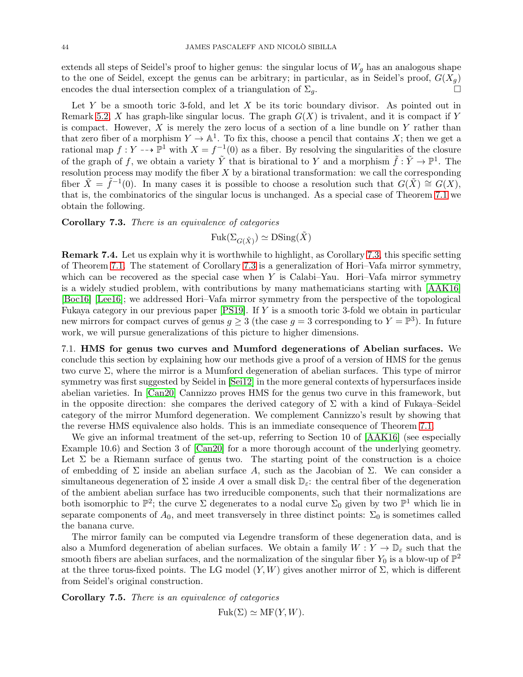extends all steps of Seidel's proof to higher genus: the singular locus of  $W_q$  has an analogous shape to the one of Seidel, except the genus can be arbitrary; in particular, as in Seidel's proof,  $G(X_g)$ encodes the dual intersection complex of a triangulation of  $\Sigma_q$ .

Let Y be a smooth toric 3-fold, and let X be its toric boundary divisor. As pointed out in Remark [5.2,](#page-23-3) X has graph-like singular locus. The graph  $G(X)$  is trivalent, and it is compact if Y is compact. However,  $X$  is merely the zero locus of a section of a line bundle on  $Y$  rather than that zero fiber of a morphism  $Y \to \mathbb{A}^1$ . To fix this, choose a pencil that contains X; then we get a rational map  $f: Y \dashrightarrow \mathbb{P}^1$  with  $X = f^{-1}(0)$  as a fiber. By resolving the singularities of the closure of the graph of f, we obtain a variety  $\tilde{Y}$  that is birational to Y and a morphism  $\tilde{f}: \tilde{Y} \to \mathbb{P}^1$ . The resolution process may modify the fiber  $X$  by a birational transformation: we call the corresponding fiber  $\tilde{X} = \tilde{f}^{-1}(0)$ . In many cases it is possible to choose a resolution such that  $G(\tilde{X}) \cong G(X)$ , that is, the combinatorics of the singular locus is unchanged. As a special case of Theorem [7.1](#page-42-0) we obtain the following.

<span id="page-43-1"></span>Corollary 7.3. There is an equivalence of categories

 $Fuk(\Sigma_{G(\tilde{X})}) \simeq \text{DSing}(\tilde{X})$ 

Remark 7.4. Let us explain why it is worthwhile to highlight, as Corollary [7.3,](#page-43-1) this specific setting of Theorem [7.1.](#page-42-0) The statement of Corollary [7.3](#page-43-1) is a generalization of Hori–Vafa mirror symmetry, which can be recovered as the special case when  $Y$  is Calabi–Yau. Hori–Vafa mirror symmetry is a widely studied problem, with contributions by many mathematicians starting with [\[AAK16\]](#page-44-27) [\[Boc16\]](#page-44-4) [\[Lee16\]](#page-44-6); we addressed Hori–Vafa mirror symmetry from the perspective of the topological Fukaya category in our previous paper [\[PS19\]](#page-44-12). If Y is a smooth toric 3-fold we obtain in particular new mirrors for compact curves of genus  $g \geq 3$  (the case  $g = 3$  corresponding to  $Y = \mathbb{P}^3$ ). In future work, we will pursue generalizations of this picture to higher dimensions.

<span id="page-43-0"></span>7.1. HMS for genus two curves and Mumford degenerations of Abelian surfaces. We conclude this section by explaining how our methods give a proof of a version of HMS for the genus two curve  $\Sigma$ , where the mirror is a Mumford degeneration of abelian surfaces. This type of mirror symmetry was first suggested by Seidel in [\[Sei12\]](#page-45-1) in the more general contexts of hypersurfaces inside abelian varieties. In [\[Can20\]](#page-44-17) Cannizzo proves HMS for the genus two curve in this framework, but in the opposite direction: she compares the derived category of  $\Sigma$  with a kind of Fukaya–Seidel category of the mirror Mumford degeneration. We complement Cannizzo's result by showing that the reverse HMS equivalence also holds. This is an immediate consequence of Theorem [7.1.](#page-42-0)

We give an informal treatment of the set-up, referring to Section 10 of  $[AAK16]$  (see especially Example 10.6) and Section 3 of [\[Can20\]](#page-44-17) for a more thorough account of the underlying geometry. Let  $\Sigma$  be a Riemann surface of genus two. The starting point of the construction is a choice of embedding of  $\Sigma$  inside an abelian surface A, such as the Jacobian of  $\Sigma$ . We can consider a simultaneous degeneration of  $\Sigma$  inside A over a small disk  $\mathbb{D}_{\varepsilon}$ : the central fiber of the degeneration of the ambient abelian surface has two irreducible components, such that their normalizations are both isomorphic to  $\mathbb{P}^2$ ; the curve  $\Sigma$  degenerates to a nodal curve  $\Sigma_0$  given by two  $\mathbb{P}^1$  which lie in separate components of  $A_0$ , and meet transversely in three distinct points:  $\Sigma_0$  is sometimes called the banana curve.

The mirror family can be computed via Legendre transform of these degeneration data, and is also a Mumford degeneration of abelian surfaces. We obtain a family  $W: Y \to \mathbb{D}_{\varepsilon}$  such that the smooth fibers are abelian surfaces, and the normalization of the singular fiber  $Y_0$  is a blow-up of  $\mathbb{P}^2$ at the three torus-fixed points. The LG model  $(Y, W)$  gives another mirror of  $\Sigma$ , which is different from Seidel's original construction.

Corollary 7.5. There is an equivalence of categories

 $Fuk(\Sigma) \simeq MF(Y, W).$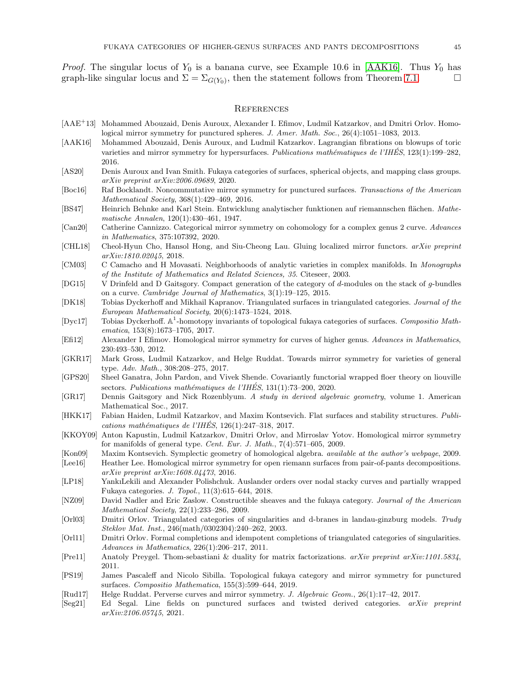*Proof.* The singular locus of  $Y_0$  is a banana curve, see Example 10.6 in [\[AAK16\]](#page-44-27). Thus  $Y_0$  has graph-like singular locus and  $\Sigma = \Sigma_{G(Y_0)}$ , then the statement follows from Theorem [7.1.](#page-42-0)

#### <span id="page-44-0"></span>**REFERENCES**

- <span id="page-44-5"></span>[AAE<sup>+</sup>13] Mohammed Abouzaid, Denis Auroux, Alexander I. Efimov, Ludmil Katzarkov, and Dmitri Orlov. Homological mirror symmetry for punctured spheres. *J. Amer. Math. Soc.*, 26(4):1051–1083, 2013.
- <span id="page-44-27"></span>[AAK16] Mohammed Abouzaid, Denis Auroux, and Ludmil Katzarkov. Lagrangian fibrations on blowups of toric varieties and mirror symmetry for hypersurfaces. *Publications mathématiques de l'IHÉS*, 123(1):199–282, 2016.
- <span id="page-44-16"></span>[AS20] Denis Auroux and Ivan Smith. Fukaya categories of surfaces, spherical objects, and mapping class groups. *arXiv preprint arXiv:2006.09689*, 2020.
- <span id="page-44-4"></span>[Boc16] Raf Bocklandt. Noncommutative mirror symmetry for punctured surfaces. *Transactions of the American Mathematical Society*, 368(1):429–469, 2016.
- <span id="page-44-24"></span>[BS47] Heinrich Behnke and Karl Stein. Entwicklung analytischer funktionen auf riemannschen flächen. *Mathematische Annalen*, 120(1):430–461, 1947.
- <span id="page-44-17"></span>[Can20] Catherine Cannizzo. Categorical mirror symmetry on cohomology for a complex genus 2 curve. *Advances in Mathematics*, 375:107392, 2020.
- <span id="page-44-9"></span>[CHL18] Cheol-Hyun Cho, Hansol Hong, and Siu-Cheong Lau. Gluing localized mirror functors. *arXiv preprint arXiv:1810.02045*, 2018.
- <span id="page-44-19"></span>[CM03] C Camacho and H Movasati. Neighborhoods of analytic varieties in complex manifolds. In *Monographs of the Institute of Mathematics and Related Sciences, 35*. Citeseer, 2003.
- <span id="page-44-23"></span>[DG15] V Drinfeld and D Gaitsgory. Compact generation of the category of d-modules on the stack of g-bundles on a curve. *Cambridge Journal of Mathematics*, 3(1):19–125, 2015.
- <span id="page-44-11"></span>[DK18] Tobias Dyckerhoff and Mikhail Kapranov. Triangulated surfaces in triangulated categories. *Journal of the European Mathematical Society*, 20(6):1473–1524, 2018.
- <span id="page-44-21"></span>[Dyc17] Tobias Dyckerhoff. A 1 -homotopy invariants of topological fukaya categories of surfaces. *Compositio Mathematica*, 153(8):1673–1705, 2017.
- <span id="page-44-3"></span>[Efi12] Alexander I Efimov. Homological mirror symmetry for curves of higher genus. *Advances in Mathematics*, 230:493–530, 2012.
- <span id="page-44-2"></span>[GKR17] Mark Gross, Ludmil Katzarkov, and Helge Ruddat. Towards mirror symmetry for varieties of general type. *Adv. Math.*, 308:208–275, 2017.
- <span id="page-44-15"></span>[GPS20] Sheel Ganatra, John Pardon, and Vivek Shende. Covariantly functorial wrapped floer theory on liouville sectors. Publications mathématiques de l'IHÉS, 131(1):73-200, 2020.
- <span id="page-44-22"></span>[GR17] Dennis Gaitsgory and Nick Rozenblyum. *A study in derived algebraic geometry*, volume 1. American Mathematical Soc., 2017.
- <span id="page-44-10"></span>[HKK17] Fabian Haiden, Ludmil Katzarkov, and Maxim Kontsevich. Flat surfaces and stability structures. *Publications math´ematiques de l'IHES´* , 126(1):247–318, 2017.
- <span id="page-44-1"></span>[KKOY09] Anton Kapustin, Ludmil Katzarkov, Dmitri Orlov, and Mirroslav Yotov. Homological mirror symmetry for manifolds of general type. *Cent. Eur. J. Math.*, 7(4):571–605, 2009.
- <span id="page-44-14"></span>[Kon09] Maxim Kontsevich. Symplectic geometry of homological algebra. *available at the author's webpage*, 2009.
- <span id="page-44-6"></span>[Lee16] Heather Lee. Homological mirror symmetry for open riemann surfaces from pair-of-pants decompositions. *arXiv preprint arXiv:1608.04473*, 2016.
- <span id="page-44-8"></span>[LP18] YankıLekili and Alexander Polishchuk. Auslander orders over nodal stacky curves and partially wrapped Fukaya categories. *J. Topol.*, 11(3):615–644, 2018.
- <span id="page-44-13"></span>[NZ09] David Nadler and Eric Zaslow. Constructible sheaves and the fukaya category. *Journal of the American Mathematical Society*, 22(1):233–286, 2009.
- <span id="page-44-25"></span>[Orl03] Dmitri Orlov. Triangulated categories of singularities and d-branes in landau-ginzburg models. *Trudy Steklov Mat. Inst.*, 246(math/0302304):240–262, 2003.
- <span id="page-44-26"></span>[Orl11] Dmitri Orlov. Formal completions and idempotent completions of triangulated categories of singularities. *Advances in Mathematics*, 226(1):206–217, 2011.
- <span id="page-44-20"></span>[Pre11] Anatoly Preygel. Thom-sebastiani & duality for matrix factorizations. *arXiv preprint arXiv:1101.5834*, 2011.
- <span id="page-44-12"></span>[PS19] James Pascaleff and Nicolo Sibilla. Topological fukaya category and mirror symmetry for punctured surfaces. *Compositio Mathematica*, 155(3):599–644, 2019.
- <span id="page-44-7"></span>[Rud17] Helge Ruddat. Perverse curves and mirror symmetry. *J. Algebraic Geom.*, 26(1):17–42, 2017.
- <span id="page-44-18"></span>[Seg21] Ed Segal. Line fields on punctured surfaces and twisted derived categories. *arXiv preprint arXiv:2106.05745*, 2021.